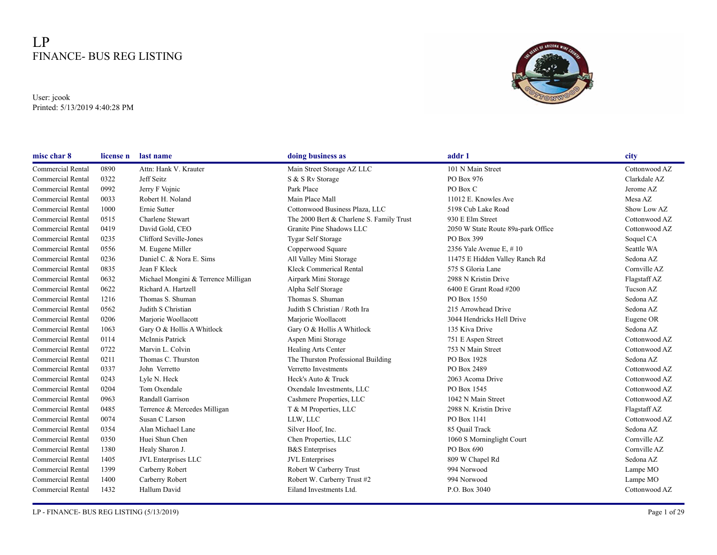## LP FINANCE- BUS REG LISTING

User: jcook Printed: 5/13/2019 4:40:28 PM



| misc char 8              | license n | last name                           | doing business as                        | addr 1                             | city          |
|--------------------------|-----------|-------------------------------------|------------------------------------------|------------------------------------|---------------|
| Commercial Rental        | 0890      | Attn: Hank V. Krauter               | Main Street Storage AZ LLC               | 101 N Main Street                  | Cottonwood AZ |
| <b>Commercial Rental</b> | 0322      | Jeff Seitz                          | S & S Rv Storage                         | PO Box 976                         | Clarkdale AZ  |
| <b>Commercial Rental</b> | 0992      | Jerry F Vojnic                      | Park Place                               | PO Box C                           | Jerome AZ     |
| <b>Commercial Rental</b> | 0033      | Robert H. Noland                    | Main Place Mall                          | 11012 E. Knowles Ave               | Mesa AZ       |
| <b>Commercial Rental</b> | 1000      | Ernie Sutter                        | Cottonwood Business Plaza, LLC           | 5198 Cub Lake Road                 | Show Low AZ   |
| <b>Commercial Rental</b> | 0515      | Charlene Stewart                    | The 2000 Bert & Charlene S. Family Trust | 930 E Elm Street                   | Cottonwood AZ |
| <b>Commercial Rental</b> | 0419      | David Gold, CEO                     | Granite Pine Shadows LLC                 | 2050 W State Route 89a-park Office | Cottonwood AZ |
| <b>Commercial Rental</b> | 0235      | Clifford Seville-Jones              | <b>Tygar Self Storage</b>                | PO Box 399                         | Soquel CA     |
| <b>Commercial Rental</b> | 0556      | M. Eugene Miller                    | Copperwood Square                        | 2356 Yale Avenue E, #10            | Seattle WA    |
| <b>Commercial Rental</b> | 0236      | Daniel C. & Nora E. Sims            | All Valley Mini Storage                  | 11475 E Hidden Valley Ranch Rd     | Sedona AZ     |
| <b>Commercial Rental</b> | 0835      | Jean F Kleck                        | Kleck Commerical Rental                  | 575 S Gloria Lane                  | Cornville AZ  |
| Commercial Rental        | 0632      | Michael Mongini & Terrence Milligan | Airpark Mini Storage                     | 2988 N Kristin Drive               | Flagstaff AZ  |
| <b>Commercial Rental</b> | 0622      | Richard A. Hartzell                 | Alpha Self Storage                       | 6400 E Grant Road #200             | Tucson AZ     |
| <b>Commercial Rental</b> | 1216      | Thomas S. Shuman                    | Thomas S. Shuman                         | PO Box 1550                        | Sedona AZ     |
| <b>Commercial Rental</b> | 0562      | Judith S Christian                  | Judith S Christian / Roth Ira            | 215 Arrowhead Drive                | Sedona AZ     |
| <b>Commercial Rental</b> | 0206      | Marjorie Woollacott                 | Marjorie Woollacott                      | 3044 Hendricks Hell Drive          | Eugene OR     |
| <b>Commercial Rental</b> | 1063      | Gary O & Hollis A Whitlock          | Gary O & Hollis A Whitlock               | 135 Kiva Drive                     | Sedona AZ     |
| <b>Commercial Rental</b> | 0114      | McInnis Patrick                     | Aspen Mini Storage                       | 751 E Aspen Street                 | Cottonwood AZ |
| <b>Commercial Rental</b> | 0722      | Marvin L. Colvin                    | Healing Arts Center                      | 753 N Main Street                  | Cottonwood AZ |
| <b>Commercial Rental</b> | 0211      | Thomas C. Thurston                  | The Thurston Professional Building       | PO Box 1928                        | Sedona AZ     |
| <b>Commercial Rental</b> | 0337      | John Verretto                       | Verretto Investments                     | PO Box 2489                        | Cottonwood AZ |
| <b>Commercial Rental</b> | 0243      | Lyle N. Heck                        | Heck's Auto & Truck                      | 2063 Acoma Drive                   | Cottonwood AZ |
| Commercial Rental        | 0204      | Tom Oxendale                        | Oxendale Investments, LLC                | PO Box 1545                        | Cottonwood AZ |
| <b>Commercial Rental</b> | 0963      | Randall Garrison                    | Cashmere Properties, LLC                 | 1042 N Main Street                 | Cottonwood AZ |
| Commercial Rental        | 0485      | Terrence & Mercedes Milligan        | T & M Properties, LLC                    | 2988 N. Kristin Drive              | Flagstaff AZ  |
| <b>Commercial Rental</b> | 0074      | Susan C Larson                      | LLW, LLC                                 | PO Box 1141                        | Cottonwood AZ |
| <b>Commercial Rental</b> | 0354      | Alan Michael Lane                   | Silver Hoof, Inc.                        | 85 Ouail Track                     | Sedona AZ     |
| Commercial Rental        | 0350      | Huei Shun Chen                      | Chen Properties, LLC                     | 1060 S Morninglight Court          | Cornville AZ  |
| <b>Commercial Rental</b> | 1380      | Healy Sharon J.                     | <b>B&amp;S</b> Enterprises               | PO Box 690                         | Cornville AZ  |
| <b>Commercial Rental</b> | 1405      | JVL Enterprises LLC                 | <b>JVL</b> Enterprises                   | 809 W Chapel Rd                    | Sedona AZ     |
| <b>Commercial Rental</b> | 1399      | Carberry Robert                     | Robert W Carberry Trust                  | 994 Norwood                        | Lampe MO      |
| <b>Commercial Rental</b> | 1400      | Carberry Robert                     | Robert W. Carberry Trust #2              | 994 Norwood                        | Lampe MO      |
| Commercial Rental        | 1432      | Hallum David                        | Eiland Investments Ltd.                  | P.O. Box 3040                      | Cottonwood AZ |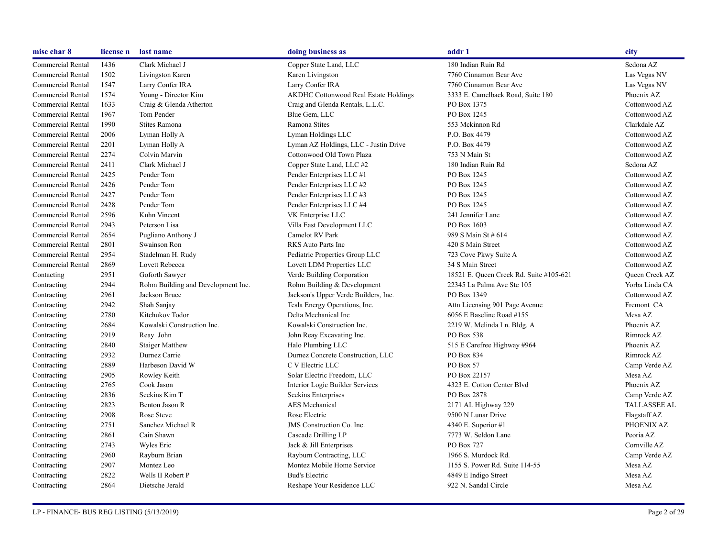| misc char 8       | license n | last name                          | doing business as                            | addr 1                                  | city                  |
|-------------------|-----------|------------------------------------|----------------------------------------------|-----------------------------------------|-----------------------|
| Commercial Rental | 1436      | Clark Michael J                    | Copper State Land, LLC                       | 180 Indian Ruin Rd                      | Sedona AZ             |
| Commercial Rental | 1502      | Livingston Karen                   | Karen Livingston                             | 7760 Cinnamon Bear Ave                  | Las Vegas NV          |
| Commercial Rental | 1547      | Larry Confer IRA                   | Larry Confer IRA                             | 7760 Cinnamon Bear Ave                  | Las Vegas NV          |
| Commercial Rental | 1574      | Young - Director Kim               | <b>AKDHC Cottonwood Real Estate Holdings</b> | 3333 E. Camelback Road, Suite 180       | Phoenix AZ            |
| Commercial Rental | 1633      | Craig & Glenda Atherton            | Craig and Glenda Rentals, L.L.C.             | PO Box 1375                             | Cottonwood AZ         |
| Commercial Rental | 1967      | Tom Pender                         | Blue Gem, LLC                                | PO Box 1245                             | Cottonwood AZ         |
| Commercial Rental | 1990      | Stites Ramona                      | Ramona Stites                                | 553 Mckinnon Rd                         | Clarkdale AZ          |
| Commercial Rental | 2006      | Lyman Holly A                      | Lyman Holdings LLC                           | P.O. Box 4479                           | Cottonwood AZ         |
| Commercial Rental | 2201      | Lyman Holly A                      | Lyman AZ Holdings, LLC - Justin Drive        | P.O. Box 4479                           | Cottonwood AZ         |
| Commercial Rental | 2274      | Colvin Marvin                      | Cottonwood Old Town Plaza                    | 753 N Main St                           | Cottonwood AZ         |
| Commercial Rental | 2411      | Clark Michael J                    | Copper State Land, LLC #2                    | 180 Indian Ruin Rd                      | Sedona AZ             |
| Commercial Rental | 2425      | Pender Tom                         | Pender Enterprises LLC #1                    | PO Box 1245                             | Cottonwood AZ         |
| Commercial Rental | 2426      | Pender Tom                         | Pender Enterprises LLC #2                    | PO Box 1245                             | Cottonwood AZ         |
| Commercial Rental | 2427      | Pender Tom                         | Pender Enterprises LLC #3                    | PO Box 1245                             | Cottonwood AZ         |
| Commercial Rental | 2428      | Pender Tom                         | Pender Enterprises LLC #4                    | PO Box 1245                             | Cottonwood AZ         |
| Commercial Rental | 2596      | Kuhn Vincent                       | VK Enterprise LLC                            | 241 Jennifer Lane                       | Cottonwood AZ         |
| Commercial Rental | 2943      | Peterson Lisa                      | Villa East Development LLC                   | PO Box 1603                             | Cottonwood AZ         |
| Commercial Rental | 2654      | Pugliano Anthony J                 | Camelot RV Park                              | 989 S Main St # 614                     | Cottonwood AZ         |
| Commercial Rental | 2801      | Swainson Ron                       | RKS Auto Parts Inc                           | 420 S Main Street                       | Cottonwood AZ         |
| Commercial Rental | 2954      | Stadelman H. Rudy                  | Pediatric Properties Group LLC               | 723 Cove Pkwy Suite A                   | Cottonwood AZ         |
| Commercial Rental | 2869      | Lovett Rebecca                     | Lovett LDM Properties LLC                    | 34 S Main Street                        | Cottonwood AZ         |
| Contacting        | 2951      | Goforth Sawyer                     | Verde Building Corporation                   | 18521 E. Queen Creek Rd. Suite #105-621 | <b>Oueen Creek AZ</b> |
| Contracting       | 2944      | Rohm Building and Development Inc. | Rohm Building & Development                  | 22345 La Palma Ave Ste 105              | Yorba Linda CA        |
| Contracting       | 2961      | Jackson Bruce                      | Jackson's Upper Verde Builders, Inc.         | PO Box 1349                             | Cottonwood AZ         |
| Contracting       | 2942      | Shah Sanjay                        | Tesla Energy Operations, Inc.                | Attn Licensing 901 Page Avenue          | Fremont CA            |
| Contracting       | 2780      | Kitchukov Todor                    | Delta Mechanical Inc                         | 6056 E Baseline Road #155               | Mesa AZ               |
| Contracting       | 2684      | Kowalski Construction Inc.         | Kowalski Construction Inc.                   | 2219 W. Melinda Ln. Bldg. A             | Phoenix AZ            |
| Contracting       | 2919      | Reay John                          | John Reay Excavating Inc.                    | PO Box 538                              | Rimrock AZ            |
| Contracting       | 2840      | <b>Staiger Matthew</b>             | Halo Plumbing LLC                            | 515 E Carefree Highway #964             | Phoenix AZ            |
| Contracting       | 2932      | Durnez Carrie                      | Durnez Concrete Construction, LLC            | PO Box 834                              | Rimrock AZ            |
| Contracting       | 2889      | Harbeson David W                   | C V Electric LLC                             | PO Box 57                               | Camp Verde AZ         |
| Contracting       | 2905      | Rowley Keith                       | Solar Electric Freedom, LLC                  | PO Box 22157                            | Mesa AZ               |
| Contracting       | 2765      | Cook Jason                         | Interior Logic Builder Services              | 4323 E. Cotton Center Blvd              | Phoenix AZ            |
| Contracting       | 2836      | Seekins Kim T                      | Seekins Enterprises                          | PO Box 2878                             | Camp Verde AZ         |
| Contracting       | 2823      | Benton Jason R                     | <b>AES</b> Mechanical                        | 2171 AL Highway 229                     | <b>TALLASSEE AL</b>   |
| Contracting       | 2908      | Rose Steve                         | Rose Electric                                | 9500 N Lunar Drive                      | Flagstaff AZ          |
| Contracting       | 2751      | Sanchez Michael R                  | JMS Construction Co. Inc.                    | 4340 E. Superior #1                     | PHOENIX AZ            |
| Contracting       | 2861      | Cain Shawn                         | Cascade Drilling LP                          | 7773 W. Seldon Lane                     | Peoria AZ             |
| Contracting       | 2743      | Wyles Eric                         | Jack & Jill Enterprises                      | PO Box 727                              | Cornville AZ          |
| Contracting       | 2960      | Rayburn Brian                      | Rayburn Contracting, LLC                     | 1966 S. Murdock Rd.                     | Camp Verde AZ         |
| Contracting       | 2907      | Montez Leo                         | Montez Mobile Home Service                   | 1155 S. Power Rd. Suite 114-55          | Mesa AZ               |
| Contracting       | 2822      | Wells II Robert P                  | <b>Bud's Electric</b>                        | 4849 E Indigo Street                    | Mesa AZ               |
| Contracting       | 2864      | Dietsche Jerald                    | Reshape Your Residence LLC                   | 922 N. Sandal Circle                    | Mesa AZ               |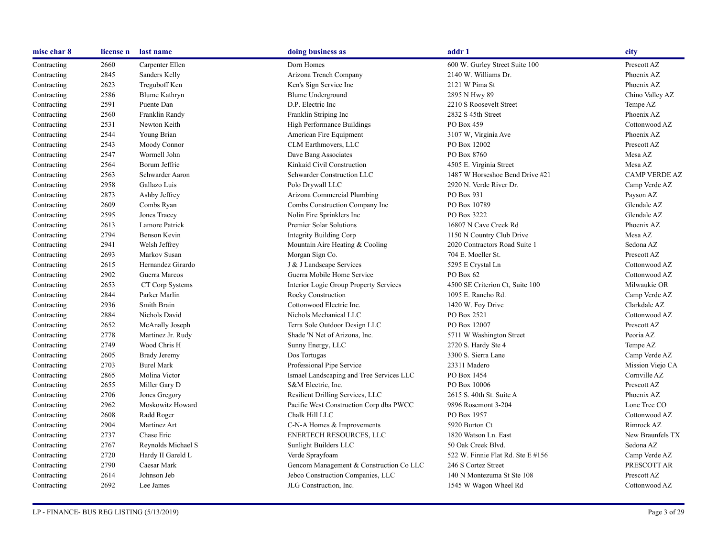| misc char 8 | license n | last name            | doing business as                        | addr 1                            | city                 |
|-------------|-----------|----------------------|------------------------------------------|-----------------------------------|----------------------|
| Contracting | 2660      | Carpenter Ellen      | Dorn Homes                               | 600 W. Gurley Street Suite 100    | Prescott AZ          |
| Contracting | 2845      | Sanders Kelly        | Arizona Trench Company                   | 2140 W. Williams Dr.              | Phoenix AZ           |
| Contracting | 2623      | Treguboff Ken        | Ken's Sign Service Inc                   | 2121 W Pima St                    | Phoenix AZ           |
| Contracting | 2586      | <b>Blume Kathryn</b> | <b>Blume Underground</b>                 | 2895 N Hwy 89                     | Chino Valley AZ      |
| Contracting | 2591      | Puente Dan           | D.P. Electric Inc.                       | 2210 S Roosevelt Street           | Tempe AZ             |
| Contracting | 2560      | Franklin Randy       | Franklin Striping Inc                    | 2832 S 45th Street                | Phoenix AZ           |
| Contracting | 2531      | Newton Keith         | High Performance Buildings               | PO Box 459                        | Cottonwood AZ        |
| Contracting | 2544      | Young Brian          | American Fire Equipment                  | 3107 W, Virginia Ave              | Phoenix AZ           |
| Contracting | 2543      | Moody Connor         | CLM Earthmovers, LLC                     | PO Box 12002                      | Prescott AZ          |
| Contracting | 2547      | Wormell John         | Dave Bang Associates                     | PO Box 8760                       | Mesa AZ              |
| Contracting | 2564      | Borum Jeffrie        | Kinkaid Civil Construction               | 4505 E. Virginia Street           | Mesa AZ              |
| Contracting | 2563      | Schwarder Aaron      | Schwarder Construction LLC               | 1487 W Horseshoe Bend Drive #21   | <b>CAMP VERDE AZ</b> |
| Contracting | 2958      | Gallazo Luis         | Polo Drywall LLC                         | 2920 N. Verde River Dr.           | Camp Verde AZ        |
| Contracting | 2873      | Ashby Jeffrey        | Arizona Commercial Plumbing              | PO Box 931                        | Payson AZ            |
| Contracting | 2609      | Combs Ryan           | Combs Construction Company Inc           | PO Box 10789                      | Glendale AZ          |
| Contracting | 2595      | Jones Tracey         | Nolin Fire Sprinklers Inc                | PO Box 3222                       | Glendale AZ          |
| Contracting | 2613      | Lamore Patrick       | Premier Solar Solutions                  | 16807 N Cave Creek Rd             | Phoenix AZ           |
| Contracting | 2794      | Benson Kevin         | Integrity Building Corp                  | 1150 N Country Club Drive         | Mesa AZ              |
| Contracting | 2941      | Welsh Jeffrey        | Mountain Aire Heating & Cooling          | 2020 Contractors Road Suite 1     | Sedona AZ            |
| Contracting | 2693      | Markov Susan         | Morgan Sign Co.                          | 704 E. Moeller St.                | Prescott AZ          |
| Contracting | 2615      | Hernandez Girardo    | J & J Landscape Services                 | 5295 E Crystal Ln                 | Cottonwood AZ        |
| Contracting | 2902      | Guerra Marcos        | Guerra Mobile Home Service               | PO Box 62                         | Cottonwood AZ        |
| Contracting | 2653      | CT Corp Systems      | Interior Logic Group Property Services   | 4500 SE Criterion Ct, Suite 100   | Milwaukie OR         |
| Contracting | 2844      | Parker Marlin        | Rocky Construction                       | 1095 E. Rancho Rd.                | Camp Verde AZ        |
| Contracting | 2936      | Smith Brain          | Cottonwood Electric Inc.                 | 1420 W. Foy Drive                 | Clarkdale AZ         |
| Contracting | 2884      | Nichols David        | Nichols Mechanical LLC                   | PO Box 2521                       | Cottonwood AZ        |
| Contracting | 2652      | McAnally Joseph      | Terra Sole Outdoor Design LLC            | PO Box 12007                      | Prescott AZ          |
| Contracting | 2778      | Martinez Jr. Rudy    | Shade 'N Net of Arizona, Inc.            | 5711 W Washington Street          | Peoria AZ            |
| Contracting | 2749      | Wood Chris H         | Sunny Energy, LLC                        | 2720 S. Hardy Ste 4               | Tempe AZ             |
| Contracting | 2605      | Brady Jeremy         | Dos Tortugas                             | 3300 S. Sierra Lane               | Camp Verde AZ        |
| Contracting | 2703      | <b>Burel Mark</b>    | Professional Pipe Service                | 23311 Madero                      | Mission Viejo CA     |
| Contracting | 2865      | Molina Victor        | Ismael Landscaping and Tree Services LLC | PO Box 1454                       | Cornville AZ         |
| Contracting | 2655      | Miller Gary D        | S&M Electric, Inc.                       | PO Box 10006                      | Prescott AZ          |
| Contracting | 2706      | Jones Gregory        | Resilient Drilling Services, LLC         | 2615 S. 40th St. Suite A          | Phoenix AZ           |
| Contracting | 2962      | Moskowitz Howard     | Pacific West Construction Corp dba PWCC  | 9896 Rosemont 3-204               | Lone Tree CO         |
| Contracting | 2608      | Radd Roger           | Chalk Hill LLC                           | PO Box 1957                       | Cottonwood AZ        |
| Contracting | 2904      | Martinez Art         | C-N-A Homes & Improvements               | 5920 Burton Ct                    | Rimrock AZ           |
| Contracting | 2737      | Chase Eric           | <b>ENERTECH RESOURCES, LLC</b>           | 1820 Watson Ln. East              | New Braunfels TX     |
| Contracting | 2767      | Reynolds Michael S   | Sunlight Builders LLC                    | 50 Oak Creek Blvd.                | Sedona AZ            |
| Contracting | 2720      | Hardy II Gareld L    | Verde Sprayfoam                          | 522 W. Finnie Flat Rd. Ste E #156 | Camp Verde AZ        |
| Contracting | 2790      | Caesar Mark          | Gencom Management & Construction Co LLC  | 246 S Cortez Street               | PRESCOTT AR          |
| Contracting | 2614      | Johnson Jeb          | Jebco Construction Companies, LLC        | 140 N Montezuma St Ste 108        | Prescott AZ          |
| Contracting | 2692      | Lee James            | JLG Construction, Inc.                   | 1545 W Wagon Wheel Rd             | Cottonwood AZ        |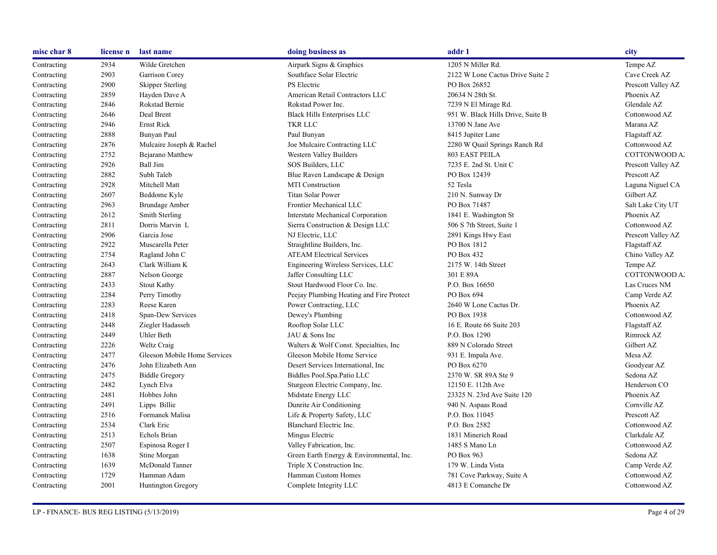| misc char 8 | license n | last name                    | doing business as                        | addr 1                            | city               |
|-------------|-----------|------------------------------|------------------------------------------|-----------------------------------|--------------------|
| Contracting | 2934      | Wilde Gretchen               | Airpark Signs & Graphics                 | 1205 N Miller Rd.                 | Tempe AZ           |
| Contracting | 2903      | Garrison Corey               | Southface Solar Electric                 | 2122 W Lone Cactus Drive Suite 2  | Cave Creek AZ      |
| Contracting | 2900      | <b>Skipper Sterling</b>      | PS Electric                              | PO Box 26852                      | Prescott Valley AZ |
| Contracting | 2859      | Hayden Dave A                | American Retail Contractors LLC          | 20634 N 28th St.                  | Phoenix AZ         |
| Contracting | 2846      | Rokstad Bernie               | Rokstad Power Inc.                       | 7239 N El Mirage Rd.              | Glendale AZ        |
| Contracting | 2646      | Deal Brent                   | Black Hills Enterprises LLC              | 951 W. Black Hills Drive, Suite B | Cottonwood AZ      |
| Contracting | 2946      | Ernst Rick                   | TKR LLC                                  | 13700 N Jane Ave                  | Marana AZ          |
| Contracting | 2888      | Bunyan Paul                  | Paul Bunyan                              | 8415 Jupiter Lane                 | Flagstaff AZ       |
| Contracting | 2876      | Mulcaire Joseph & Rachel     | Joe Mulcaire Contracting LLC             | 2280 W Quail Springs Ranch Rd     | Cottonwood AZ      |
| Contracting | 2752      | Bejarano Matthew             | Western Valley Builders                  | 803 EAST PEILA                    | COTTONWOOD A.      |
| Contracting | 2926      | Ball Jim                     | SOS Builders, LLC                        | 7235 E. 2nd St. Unit C            | Prescott Valley AZ |
| Contracting | 2882      | Subh Taleb                   | Blue Raven Landscape & Design            | PO Box 12439                      | Prescott AZ        |
| Contracting | 2928      | Mitchell Matt                | <b>MTI</b> Construction                  | 52 Tesla                          | Laguna Niguel CA   |
| Contracting | 2607      | Beddome Kyle                 | <b>Titan Solar Power</b>                 | 210 N. Sunway Dr                  | Gilbert AZ         |
| Contracting | 2963      | <b>Brundage Amber</b>        | Frontier Mechanical LLC                  | PO Box 71487                      | Salt Lake City UT  |
| Contracting | 2612      | Smith Sterling               | Interstate Mechanical Corporation        | 1841 E. Washington St             | Phoenix AZ         |
| Contracting | 2811      | Dorris Marvin L              | Sierra Construction & Design LLC         | 506 S 7th Street, Suite 1         | Cottonwood AZ      |
| Contracting | 2906      | Garcia Jose                  | NJ Electric, LLC                         | 2891 Kings Hwy East               | Prescott Valley AZ |
| Contracting | 2922      | Muscarella Peter             | Straightline Builders, Inc.              | PO Box 1812                       | Flagstaff AZ       |
| Contracting | 2754      | Ragland John C               | <b>ATEAM Electrical Services</b>         | PO Box 432                        | Chino Valley AZ    |
| Contracting | 2643      | Clark William K              | Engineering Wireless Services, LLC       | 2175 W. 14th Street               | Tempe AZ           |
| Contracting | 2887      | Nelson George                | Jaffer Consulting LLC                    | 301 E 89A                         | COTTONWOOD A.      |
| Contracting | 2433      | <b>Stout Kathy</b>           | Stout Hardwood Floor Co. Inc.            | P.O. Box 16650                    | Las Cruces NM      |
| Contracting | 2284      | Perry Timothy                | Peejay Plumbing Heating and Fire Protect | PO Box 694                        | Camp Verde AZ      |
| Contracting | 2283      | Reese Karen                  | Power Contracting, LLC                   | 2640 W Lone Cactus Dr.            | Phoenix AZ         |
| Contracting | 2418      | Span-Dew Services            | Dewey's Plumbing                         | PO Box 1938                       | Cottonwood AZ      |
| Contracting | 2448      | Ziegler Hadasseh             | Rooftop Solar LLC                        | 16 E. Route 66 Suite 203          | Flagstaff AZ       |
| Contracting | 2449      | Uhler Beth                   | JAU & Sons Inc                           | P.O. Box 1290                     | Rimrock AZ         |
| Contracting | 2226      | <b>Weltz Craig</b>           | Walters & Wolf Const. Specialties, Inc.  | 889 N Colorado Street             | Gilbert AZ         |
| Contracting | 2477      | Gleeson Mobile Home Services | Gleeson Mobile Home Service              | 931 E. Impala Ave.                | Mesa AZ            |
| Contracting | 2476      | John Elizabeth Ann           | Desert Services International, Inc.      | PO Box 6270                       | Goodyear AZ        |
| Contracting | 2475      | <b>Biddle Gregory</b>        | Biddles Pool.Spa.Patio LLC               | 2370 W. SR 89A Ste 9              | Sedona AZ          |
| Contracting | 2482      | Lynch Elva                   | Sturgeon Electric Company, Inc.          | 12150 E. 112th Ave                | Henderson CO       |
| Contracting | 2481      | Hobbes John                  | Midstate Energy LLC                      | 23325 N. 23rd Ave Suite 120       | Phoenix AZ         |
| Contracting | 2491      | Lipps Billie                 | Dunrite Air Conditioning                 | 940 N. Aspaas Road                | Cornville AZ       |
| Contracting | 2516      | Formanek Malisa              | Life & Property Safety, LLC              | P.O. Box 11045                    | Prescott AZ        |
| Contracting | 2534      | Clark Eric                   | Blanchard Electric Inc.                  | P.O. Box 2582                     | Cottonwood AZ      |
| Contracting | 2513      | Echols Brian                 | Mingus Electric                          | 1831 Minerich Road                | Clarkdale AZ       |
| Contracting | 2507      | Espinosa Roger I             | Valley Fabrication, Inc.                 | 1485 S Mano Ln                    | Cottonwood AZ      |
| Contracting | 1638      | Stine Morgan                 | Green Earth Energy & Environmental, Inc. | PO Box 963                        | Sedona AZ          |
| Contracting | 1639      | McDonald Tanner              | Triple X Construction Inc.               | 179 W. Linda Vista                | Camp Verde AZ      |
| Contracting | 1729      | Hamman Adam                  | Hamman Custom Homes                      | 781 Cove Parkway, Suite A         | Cottonwood AZ      |
| Contracting | 2001      | Huntington Gregory           | Complete Integrity LLC                   | 4813 E Comanche Dr                | Cottonwood AZ      |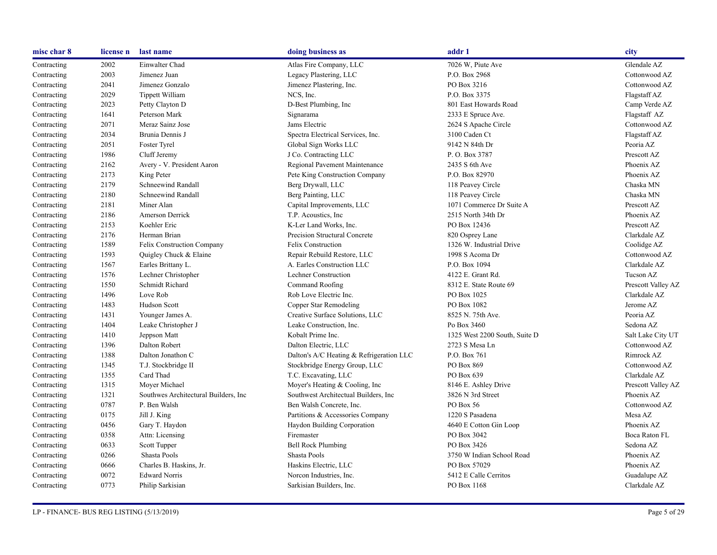| misc char 8 | license n | last name                             | doing business as                        | addr 1                        | city               |
|-------------|-----------|---------------------------------------|------------------------------------------|-------------------------------|--------------------|
| Contracting | 2002      | Einwalter Chad                        | Atlas Fire Company, LLC                  | 7026 W, Piute Ave             | Glendale AZ        |
| Contracting | 2003      | Jimenez Juan                          | Legacy Plastering, LLC                   | P.O. Box 2968                 | Cottonwood AZ      |
| Contracting | 2041      | Jimenez Gonzalo                       | Jimenez Plastering, Inc.                 | PO Box 3216                   | Cottonwood AZ      |
| Contracting | 2029      | Tippett William                       | NCS, Inc.                                | P.O. Box 3375                 | Flagstaff AZ       |
| Contracting | 2023      | Petty Clayton D                       | D-Best Plumbing, Inc.                    | 801 East Howards Road         | Camp Verde AZ      |
| Contracting | 1641      | Peterson Mark                         | Signarama                                | 2333 E Spruce Ave.            | Flagstaff AZ       |
| Contracting | 2071      | Meraz Sainz Jose                      | Jams Electric                            | 2624 S Apache Circle          | Cottonwood AZ      |
| Contracting | 2034      | Brunia Dennis J                       | Spectra Electrical Services, Inc.        | 3100 Caden Ct                 | Flagstaff AZ       |
| Contracting | 2051      | Foster Tyrel                          | Global Sign Works LLC                    | 9142 N 84th Dr                | Peoria AZ          |
| Contracting | 1986      | Cluff Jeremy                          | J Co. Contracting LLC                    | P.O. Box 3787                 | Prescott AZ        |
| Contracting | 2162      | Avery - V. President Aaron            | Regional Pavement Maintenance            | 2435 S 6th Ave                | Phoenix AZ         |
| Contracting | 2173      | King Peter                            | Pete King Construction Company           | P.O. Box 82970                | Phoenix AZ         |
| Contracting | 2179      | Schneewind Randall                    | Berg Drywall, LLC                        | 118 Peavey Circle             | Chaska MN          |
| Contracting | 2180      | <b>Schneewind Randall</b>             | Berg Painting, LLC                       | 118 Peavey Circle             | Chaska MN          |
| Contracting | 2181      | Miner Alan                            | Capital Improvements, LLC                | 1071 Commerce Dr Suite A      | Prescott AZ        |
| Contracting | 2186      | Amerson Derrick                       | T.P. Acoustics, Inc.                     | 2515 North 34th Dr            | Phoenix AZ         |
| Contracting | 2153      | Koehler Eric                          | K-Ler Land Works, Inc.                   | PO Box 12436                  | Prescott AZ        |
| Contracting | 2176      | Herman Brian                          | Precision Structural Concrete            | 820 Osprey Lane               | Clarkdale AZ       |
| Contracting | 1589      | Felix Construction Company            | Felix Construction                       | 1326 W. Industrial Drive      | Coolidge AZ        |
| Contracting | 1593      | Quigley Chuck & Elaine                | Repair Rebuild Restore, LLC              | 1998 S Acoma Dr               | Cottonwood AZ      |
| Contracting | 1567      | Earles Brittany L.                    | A. Earles Construction LLC               | P.O. Box 1094                 | Clarkdale AZ       |
| Contracting | 1576      | Lechner Christopher                   | <b>Lechner Construction</b>              | 4122 E. Grant Rd.             | Tucson AZ          |
| Contracting | 1550      | Schmidt Richard                       | Command Roofing                          | 8312 E. State Route 69        | Prescott Valley AZ |
| Contracting | 1496      | Love Rob                              | Rob Love Electric Inc.                   | PO Box 1025                   | Clarkdale AZ       |
| Contracting | 1483      | Hudson Scott                          | Copper Star Remodeling                   | PO Box 1082                   | Jerome AZ          |
| Contracting | 1431      | Younger James A.                      | Creative Surface Solutions, LLC          | 8525 N. 75th Ave.             | Peoria AZ          |
| Contracting | 1404      | Leake Christopher J                   | Leake Construction, Inc.                 | Po Box 3460                   | Sedona AZ          |
| Contracting | 1410      | Jeppson Matt                          | Kobalt Prime Inc.                        | 1325 West 2200 South, Suite D | Salt Lake City UT  |
| Contracting | 1396      | Dalton Robert                         | Dalton Electric, LLC                     | 2723 S Mesa Ln                | Cottonwood AZ      |
| Contracting | 1388      | Dalton Jonathon C                     | Dalton's A/C Heating & Refrigeration LLC | P.O. Box 761                  | Rimrock AZ         |
| Contracting | 1345      | T.J. Stockbridge II                   | Stockbridge Energy Group, LLC            | PO Box 869                    | Cottonwood AZ      |
| Contracting | 1355      | Card Thad                             | T.C. Excavating, LLC                     | PO Box 639                    | Clarkdale AZ       |
| Contracting | 1315      | Mover Michael                         | Moyer's Heating & Cooling, Inc           | 8146 E. Ashley Drive          | Prescott Valley AZ |
| Contracting | 1321      | Southwes Architectural Builders, Inc. | Southwest Architectual Builders, Inc.    | 3826 N 3rd Street             | Phoenix AZ         |
| Contracting | 0787      | P. Ben Walsh                          | Ben Walsh Concrete, Inc.                 | PO Box 56                     | Cottonwood AZ      |
| Contracting | 0175      | Jill J. King                          | Partitions & Accessories Company         | 1220 S Pasadena               | Mesa AZ            |
| Contracting | 0456      | Gary T. Haydon                        | Haydon Building Corporation              | 4640 E Cotton Gin Loop        | Phoenix AZ         |
| Contracting | 0358      | Attn: Licensing                       | Firemaster                               | PO Box 3042                   | Boca Raton FL      |
| Contracting | 0633      | Scott Tupper                          | <b>Bell Rock Plumbing</b>                | PO Box 3426                   | Sedona AZ          |
| Contracting | 0266      | Shasta Pools                          | Shasta Pools                             | 3750 W Indian School Road     | Phoenix AZ         |
| Contracting | 0666      | Charles B. Haskins, Jr.               | Haskins Electric, LLC                    | PO Box 57029                  | Phoenix AZ         |
| Contracting | 0072      | <b>Edward Norris</b>                  | Norcon Industries, Inc.                  | 5412 E Calle Cerritos         | Guadalupe AZ       |
| Contracting | 0773      | Philip Sarkisian                      | Sarkisian Builders, Inc.                 | PO Box 1168                   | Clarkdale AZ       |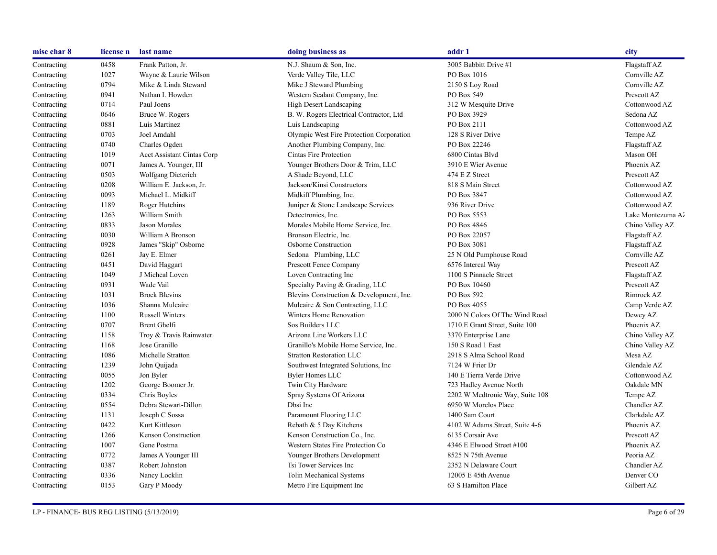| misc char 8 | license n | last name                         | doing business as                        | addr 1                          | city              |
|-------------|-----------|-----------------------------------|------------------------------------------|---------------------------------|-------------------|
| Contracting | 0458      | Frank Patton, Jr.                 | N.J. Shaum & Son, Inc.                   | 3005 Babbitt Drive #1           | Flagstaff AZ      |
| Contracting | 1027      | Wayne & Laurie Wilson             | Verde Valley Tile, LLC                   | PO Box 1016                     | Cornville AZ      |
| Contracting | 0794      | Mike & Linda Steward              | Mike J Steward Plumbing                  | 2150 S Loy Road                 | Cornville AZ      |
| Contracting | 0941      | Nathan I. Howden                  | Western Sealant Company, Inc.            | PO Box 549                      | Prescott AZ       |
| Contracting | 0714      | Paul Joens                        | High Desert Landscaping                  | 312 W Mesquite Drive            | Cottonwood AZ     |
| Contracting | 0646      | Bruce W. Rogers                   | B. W. Rogers Electrical Contractor, Ltd  | PO Box 3929                     | Sedona AZ         |
| Contracting | 0881      | Luis Martinez                     | Luis Landscaping                         | PO Box 2111                     | Cottonwood AZ     |
| Contracting | 0703      | Joel Amdahl                       | Olympic West Fire Protection Corporation | 128 S River Drive               | Tempe AZ          |
| Contracting | 0740      | Charles Ogden                     | Another Plumbing Company, Inc.           | PO Box 22246                    | Flagstaff AZ      |
| Contracting | 1019      | <b>Acct Assistant Cintas Corp</b> | Cintas Fire Protection                   | 6800 Cintas Blvd                | Mason OH          |
| Contracting | 0071      | James A. Younger, III             | Younger Brothers Door & Trim, LLC        | 3910 E Wier Avenue              | Phoenix AZ        |
| Contracting | 0503      | Wolfgang Dieterich                | A Shade Beyond, LLC                      | 474 E Z Street                  | Prescott AZ       |
| Contracting | 0208      | William E. Jackson, Jr.           | Jackson/Kinsi Constructors               | 818 S Main Street               | Cottonwood AZ     |
| Contracting | 0093      | Michael L. Midkiff                | Midkiff Plumbing, Inc.                   | PO Box 3847                     | Cottonwood AZ     |
| Contracting | 1189      | Roger Hutchins                    | Juniper & Stone Landscape Services       | 936 River Drive                 | Cottonwood AZ     |
| Contracting | 1263      | William Smith                     | Detectronics, Inc.                       | PO Box 5553                     | Lake Montezuma Az |
| Contracting | 0833      | Jason Morales                     | Morales Mobile Home Service, Inc.        | PO Box 4846                     | Chino Valley AZ   |
| Contracting | 0030      | William A Bronson                 | Bronson Electric, Inc.                   | PO Box 22057                    | Flagstaff AZ      |
| Contracting | 0928      | James "Skip" Osborne              | Osborne Construction                     | PO Box 3081                     | Flagstaff AZ      |
| Contracting | 0261      | Jay E. Elmer                      | Sedona Plumbing, LLC                     | 25 N Old Pumphouse Road         | Cornville AZ      |
| Contracting | 0451      | David Haggart                     | Prescott Fence Company                   | 6576 Intercal Way               | Prescott AZ       |
| Contracting | 1049      | J Micheal Loven                   | Loven Contracting Inc                    | 1100 S Pinnacle Street          | Flagstaff AZ      |
| Contracting | 0931      | Wade Vail                         | Specialty Paving & Grading, LLC          | PO Box 10460                    | Prescott AZ       |
| Contracting | 1031      | <b>Brock Blevins</b>              | Blevins Construction & Development, Inc. | PO Box 592                      | Rimrock AZ        |
| Contracting | 1036      | Shanna Mulcaire                   | Mulcaire & Son Contracting, LLC          | PO Box 4055                     | Camp Verde AZ     |
| Contracting | 1100      | <b>Russell Winters</b>            | Winters Home Renovation                  | 2000 N Colors Of The Wind Road  | Dewey AZ          |
| Contracting | 0707      | Brent Ghelfi                      | Sos Builders LLC                         | 1710 E Grant Street, Suite 100  | Phoenix AZ        |
| Contracting | 1158      | Troy & Travis Rainwater           | Arizona Line Workers LLC                 | 3370 Enterprise Lane            | Chino Valley AZ   |
| Contracting | 1168      | Jose Granillo                     | Granillo's Mobile Home Service, Inc.     | 150 S Road 1 East               | Chino Valley AZ   |
| Contracting | 1086      | Michelle Stratton                 | <b>Stratton Restoration LLC</b>          | 2918 S Alma School Road         | Mesa AZ           |
| Contracting | 1239      | John Quijada                      | Southwest Integrated Solutions, Inc      | 7124 W Frier Dr                 | Glendale AZ       |
| Contracting | 0055      | Jon Byler                         | <b>Byler Homes LLC</b>                   | 140 E Tierra Verde Drive        | Cottonwood AZ     |
| Contracting | 1202      | George Boomer Jr.                 | Twin City Hardware                       | 723 Hadley Avenue North         | Oakdale MN        |
| Contracting | 0334      | Chris Boyles                      | Spray Systems Of Arizona                 | 2202 W Medtronic Way, Suite 108 | Tempe AZ          |
| Contracting | 0554      | Debra Stewart-Dillon              | Dbsi Inc                                 | 6950 W Morelos Place            | Chandler AZ       |
| Contracting | 1131      | Joseph C Sossa                    | Paramount Flooring LLC                   | 1400 Sam Court                  | Clarkdale AZ      |
| Contracting | 0422      | Kurt Kittleson                    | Rebath & 5 Day Kitchens                  | 4102 W Adams Street, Suite 4-6  | Phoenix AZ        |
| Contracting | 1266      | Kenson Construction               | Kenson Construction Co., Inc.            | 6135 Corsair Ave                | Prescott AZ       |
| Contracting | 1007      | Gene Postma                       | Western States Fire Protection Co        | 4346 E Elwood Street #100       | Phoenix AZ        |
| Contracting | 0772      | James A Younger III               | Younger Brothers Development             | 8525 N 75th Avenue              | Peoria AZ         |
| Contracting | 0387      | Robert Johnston                   | Tsi Tower Services Inc                   | 2352 N Delaware Court           | Chandler AZ       |
| Contracting | 0336      | Nancy Locklin                     | <b>Tolin Mechanical Systems</b>          | 12005 E 45th Avenue             | Denver CO         |
| Contracting | 0153      | Gary P Moody                      | Metro Fire Equipment Inc                 | 63 S Hamilton Place             | Gilbert AZ        |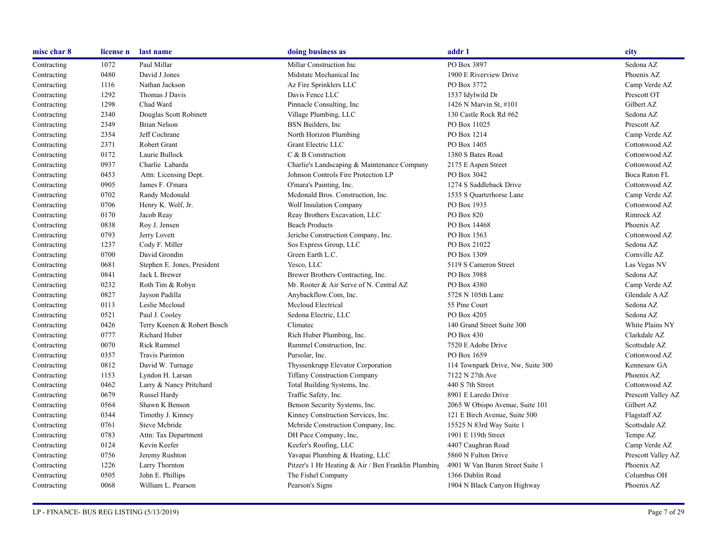| misc char 8 | license n | last name                   | doing business as                                   | addr 1                            | city               |
|-------------|-----------|-----------------------------|-----------------------------------------------------|-----------------------------------|--------------------|
| Contracting | 1072      | Paul Millar                 | Millar Construction Inc                             | PO Box 3897                       | Sedona AZ          |
| Contracting | 0480      | David J Jones               | Midstate Mechanical Inc                             | 1900 E Riverview Drive            | Phoenix AZ         |
| Contracting | 1116      | Nathan Jackson              | Az Fire Sprinklers LLC                              | PO Box 3772                       | Camp Verde AZ      |
| Contracting | 1292      | Thomas J Davis              | Davis Fence LLC                                     | 1537 Idylwild Dr                  | Prescott OT        |
| Contracting | 1298      | Chad Ward                   | Pinnacle Consulting, Inc.                           | 1426 N Marvin St, #101            | Gilbert AZ         |
| Contracting | 2340      | Douglas Scott Robinett      | Village Plumbing, LLC                               | 130 Castle Rock Rd #62            | Sedona AZ          |
| Contracting | 2349      | Brian Nelson                | BSN Builders, Inc.                                  | PO Box 11025                      | Prescott AZ        |
| Contracting | 2354      | Jeff Cochrane               | North Horizon Plumbing                              | PO Box 1214                       | Camp Verde AZ      |
| Contracting | 2371      | Robert Grant                | Grant Electric LLC                                  | PO Box 1405                       | Cottonwood AZ      |
| Contracting | 0172      | Laurie Bullock              | C & B Construction                                  | 1380 S Bates Road                 | Cottonwood AZ      |
| Contracting | 0937      | Charlie Labarda             | Charlie's Landscaping & Maintenance Company         | 2175 E Aspen Street               | Cottonwood AZ      |
| Contracting | 0453      | Attn: Licensing Dept.       | Johnson Controls Fire Protection LP                 | PO Box 3042                       | Boca Raton FL      |
| Contracting | 0905      | James F. O'mara             | O'mara's Painting, Inc.                             | 1274 S Saddleback Drive           | Cottonwood AZ      |
| Contracting | 0702      | Randy Mcdonald              | Mcdonald Bros. Construction, Inc.                   | 1535 S Quarterhorse Lane          | Camp Verde AZ      |
| Contracting | 0706      | Henry K. Wolf, Jr.          | Wolf Insulation Company                             | PO Box 1935                       | Cottonwood AZ      |
| Contracting | 0170      | Jacob Reay                  | Reay Brothers Excavation, LLC                       | PO Box 820                        | Rimrock AZ         |
| Contracting | 0838      | Roy J. Jensen               | <b>Beach Products</b>                               | PO Box 14468                      | Phoenix AZ         |
| Contracting | 0793      | Jerry Lovett                | Jericho Construction Company, Inc.                  | PO Box 1563                       | Cottonwood AZ      |
| Contracting | 1237      | Cody F. Miller              | Sos Express Group, LLC                              | PO Box 21022                      | Sedona AZ          |
| Contracting | 0700      | David Grondin               | Green Earth L.C.                                    | PO Box 1309                       | Cornville AZ       |
| Contracting | 0681      | Stephen E. Jones, President | Yesco, LLC                                          | 5119 S Cameron Street             | Las Vegas NV       |
| Contracting | 0841      | Jack L Brewer               | Brewer Brothers Contracting, Inc.                   | PO Box 3988                       | Sedona AZ          |
| Contracting | 0232      | Roth Tim & Robyn            | Mr. Rooter & Air Serve of N. Central AZ             | PO Box 4380                       | Camp Verde AZ      |
| Contracting | 0827      | Jayson Padilla              | Anybackflow.Com, Inc.                               | 5728 N 105th Lane                 | Glendale AAZ       |
| Contracting | 0113      | Leslie Mccloud              | Mccloud Electrical                                  | 55 Pine Court                     | Sedona AZ          |
| Contracting | 0521      | Paul J. Cooley              | Sedona Electric, LLC                                | PO Box 4205                       | Sedona AZ          |
| Contracting | 0426      | Terry Keenen & Robert Bosch | Climatec                                            | 140 Grand Street Suite 300        | White Plains NY    |
| Contracting | 0777      | <b>Richard Huber</b>        | Rich Huber Plumbing, Inc.                           | PO Box 430                        | Clarkdale AZ       |
| Contracting | 0070      | <b>Rick Rummel</b>          | Rummel Construction, Inc.                           | 7520 E Adobe Drive                | Scottsdale AZ      |
| Contracting | 0357      | Travis Purinton             | Pursolar, Inc.                                      | PO Box 1659                       | Cottonwood AZ      |
| Contracting | 0812      | David W. Turnage            | Thyssenkrupp Elevator Corporation                   | 114 Townpark Drive, Nw, Suite 300 | Kennesaw GA        |
| Contracting | 1153      | Lyndon H. Larsan            | <b>Tiffany Construction Company</b>                 | 7122 N 27th Ave                   | Phoenix AZ         |
| Contracting | 0462      | Larry & Nancy Pritchard     | Total Building Systems, Inc.                        | 440 S 7th Street                  | Cottonwood AZ      |
| Contracting | 0679      | Russel Hardy                | Traffic Safety, Inc.                                | 8901 E Laredo Drive               | Prescott Valley AZ |
| Contracting | 0564      | Shawn K Benson              | Benson Security Systems, Inc.                       | 2065 W Obispo Avenue, Suite 101   | Gilbert AZ         |
| Contracting | 0344      | Timothy J. Kinney           | Kinney Construction Services, Inc.                  | 121 E Birch Avenue, Suite 500     | Flagstaff AZ       |
| Contracting | 0761      | Steve Mcbride               | Mebride Construction Company, Inc.                  | 15525 N 83rd Way Suite 1          | Scottsdale AZ      |
| Contracting | 0783      | Attn: Tax Department        | DH Pace Company, Inc,                               | 1901 E 119th Street               | Tempe AZ           |
| Contracting | 0124      | Kevin Keefer                | Keefer's Roofing, LLC                               | 4407 Caughran Road                | Camp Verde AZ      |
| Contracting | 0756      | Jeremy Rushton              | Yavapai Plumbing & Heating, LLC                     | 5860 N Fulton Drive               | Prescott Valley AZ |
| Contracting | 1226      | Larry Thornton              | Pitzer's 1 Hr Heating & Air / Ben Franklin Plumbing | 4901 W Van Buren Street Suite 1   | Phoenix AZ         |
| Contracting | 0505      | John E. Phillips            | The Fishel Company                                  | 1366 Dublin Road                  | Columbus OH        |
| Contracting | 0068      | William L. Pearson          | Pearson's Signs                                     | 1904 N Black Canyon Highway       | Phoenix AZ         |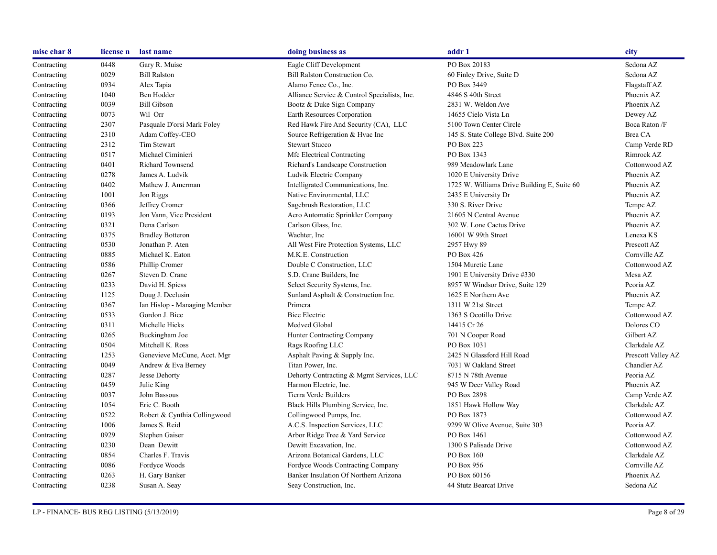| misc char 8 | license n | last name                    | doing business as                            | addr 1                                      | city               |
|-------------|-----------|------------------------------|----------------------------------------------|---------------------------------------------|--------------------|
| Contracting | 0448      | Gary R. Muise                | Eagle Cliff Development                      | PO Box 20183                                | Sedona AZ          |
| Contracting | 0029      | <b>Bill Ralston</b>          | Bill Ralston Construction Co.                | 60 Finley Drive, Suite D                    | Sedona AZ          |
| Contracting | 0934      | Alex Tapia                   | Alamo Fence Co., Inc.                        | PO Box 3449                                 | Flagstaff AZ       |
| Contracting | 1040      | Ben Hodder                   | Alliance Service & Control Specialists, Inc. | 4846 S 40th Street                          | Phoenix AZ         |
| Contracting | 0039      | <b>Bill Gibson</b>           | Bootz & Duke Sign Company                    | 2831 W. Weldon Ave                          | Phoenix AZ         |
| Contracting | 0073      | Wil Orr                      | Earth Resources Corporation                  | 14655 Cielo Vista Ln                        | Dewey AZ           |
| Contracting | 2307      | Pasquale D'orsi Mark Foley   | Red Hawk Fire And Security (CA), LLC         | 5100 Town Center Circle                     | Boca Raton /F      |
| Contracting | 2310      | Adam Coffey-CEO              | Source Refrigeration & Hvac Inc              | 145 S. State College Blvd. Suite 200        | Brea CA            |
| Contracting | 2312      | Tim Stewart                  | <b>Stewart Stucco</b>                        | PO Box 223                                  | Camp Verde RD      |
| Contracting | 0517      | Michael Ciminieri            | Mfc Electrical Contracting                   | PO Box 1343                                 | Rimrock AZ         |
| Contracting | 0401      | <b>Richard Townsend</b>      | Richard's Landscape Construction             | 989 Meadowlark Lane                         | Cottonwood AZ      |
| Contracting | 0278      | James A. Ludvik              | Ludvik Electric Company                      | 1020 E University Drive                     | Phoenix AZ         |
| Contracting | 0402      | Mathew J. Amerman            | Intelligrated Communications, Inc.           | 1725 W. Williams Drive Building E, Suite 60 | Phoenix AZ         |
| Contracting | 1001      | Jon Riggs                    | Native Environmental, LLC                    | 2435 E University Dr                        | Phoenix AZ         |
| Contracting | 0366      | Jeffrey Cromer               | Sagebrush Restoration, LLC                   | 330 S. River Drive                          | Tempe AZ           |
| Contracting | 0193      | Jon Vann, Vice President     | Aero Automatic Sprinkler Company             | 21605 N Central Avenue                      | Phoenix AZ         |
| Contracting | 0321      | Dena Carlson                 | Carlson Glass, Inc.                          | 302 W. Lone Cactus Drive                    | Phoenix AZ         |
| Contracting | 0375      | <b>Bradley Botteron</b>      | Wachter, Inc.                                | 16001 W 99th Street                         | Lenexa KS          |
| Contracting | 0530      | Jonathan P. Aten             | All West Fire Protection Systems, LLC        | 2957 Hwy 89                                 | Prescott AZ        |
| Contracting | 0885      | Michael K. Eaton             | M.K.E. Construction                          | PO Box 426                                  | Cornville AZ       |
| Contracting | 0586      | Phillip Cromer               | Double C Construction, LLC                   | 1504 Muretic Lane                           | Cottonwood AZ      |
| Contracting | 0267      | Steven D. Crane              | S.D. Crane Builders, Inc.                    | 1901 E University Drive #330                | Mesa AZ            |
| Contracting | 0233      | David H. Spiess              | Select Security Systems, Inc.                | 8957 W Windsor Drive, Suite 129             | Peoria AZ          |
| Contracting | 1125      | Doug J. Declusin             | Sunland Asphalt & Construction Inc.          | 1625 E Northern Ave                         | Phoenix AZ         |
| Contracting | 0367      | Ian Hislop - Managing Member | Primera                                      | 1311 W 21st Street                          | Tempe AZ           |
| Contracting | 0533      | Gordon J. Bice               | <b>Bice Electric</b>                         | 1363 S Ocotillo Drive                       | Cottonwood AZ      |
| Contracting | 0311      | Michelle Hicks               | Medved Global                                | 14415 Cr 26                                 | Dolores CO         |
| Contracting | 0265      | Buckingham Joe               | Hunter Contracting Company                   | 701 N Cooper Road                           | Gilbert AZ         |
| Contracting | 0504      | Mitchell K. Ross             | Rags Roofing LLC                             | PO Box 1031                                 | Clarkdale AZ       |
| Contracting | 1253      | Genevieve McCune, Acct. Mgr  | Asphalt Paving & Supply Inc.                 | 2425 N Glassford Hill Road                  | Prescott Valley AZ |
| Contracting | 0049      | Andrew & Eva Berney          | Titan Power, Inc.                            | 7031 W Oakland Street                       | Chandler AZ        |
| Contracting | 0287      | Jesse Dehorty                | Dehorty Contracting & Mgmt Services, LLC     | 8715 N 78th Avenue                          | Peoria AZ          |
| Contracting | 0459      | Julie King                   | Harmon Electric, Inc.                        | 945 W Deer Valley Road                      | Phoenix AZ         |
| Contracting | 0037      | John Bassous                 | Tierra Verde Builders                        | PO Box 2898                                 | Camp Verde AZ      |
| Contracting | 1054      | Eric C. Booth                | Black Hills Plumbing Service, Inc.           | 1851 Hawk Hollow Way                        | Clarkdale AZ       |
| Contracting | 0522      | Robert & Cynthia Collingwood | Collingwood Pumps, Inc.                      | PO Box 1873                                 | Cottonwood AZ      |
| Contracting | 1006      | James S. Reid                | A.C.S. Inspection Services, LLC              | 9299 W Olive Avenue, Suite 303              | Peoria AZ          |
| Contracting | 0929      | Stephen Gaiser               | Arbor Ridge Tree & Yard Service              | PO Box 1461                                 | Cottonwood AZ      |
| Contracting | 0230      | Dean Dewitt                  | Dewitt Excavation, Inc.                      | 1300 S Palisade Drive                       | Cottonwood AZ      |
| Contracting | 0854      | Charles F. Travis            | Arizona Botanical Gardens, LLC               | PO Box 160                                  | Clarkdale AZ       |
| Contracting | 0086      | Fordyce Woods                | Fordyce Woods Contracting Company            | PO Box 956                                  | Cornville AZ       |
| Contracting | 0263      | H. Gary Banker               | Banker Insulation Of Northern Arizona        | PO Box 60156                                | Phoenix AZ         |
| Contracting | 0238      | Susan A. Seay                | Seay Construction, Inc.                      | 44 Stutz Bearcat Drive                      | Sedona AZ          |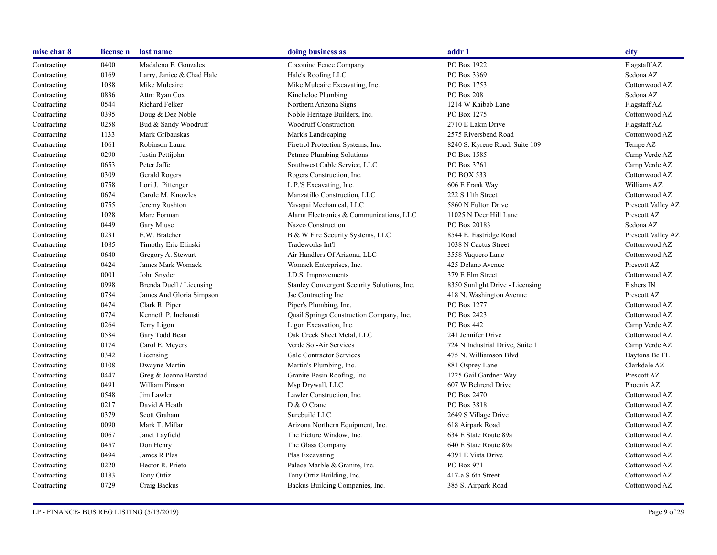| misc char 8 | license n | last name                 | doing business as                           | addr 1                          | city               |
|-------------|-----------|---------------------------|---------------------------------------------|---------------------------------|--------------------|
| Contracting | 0400      | Madaleno F. Gonzales      | Coconino Fence Company                      | PO Box 1922                     | Flagstaff AZ       |
| Contracting | 0169      | Larry, Janice & Chad Hale | Hale's Roofing LLC                          | PO Box 3369                     | Sedona AZ          |
| Contracting | 1088      | Mike Mulcaire             | Mike Mulcaire Excavating, Inc.              | PO Box 1753                     | Cottonwood AZ      |
| Contracting | 0836      | Attn: Ryan Cox            | Kincheloe Plumbing                          | <b>PO Box 208</b>               | Sedona AZ          |
| Contracting | 0544      | Richard Felker            | Northern Arizona Signs                      | 1214 W Kaibab Lane              | Flagstaff AZ       |
| Contracting | 0395      | Doug & Dez Noble          | Noble Heritage Builders, Inc.               | PO Box 1275                     | Cottonwood AZ      |
| Contracting | 0258      | Bud & Sandy Woodruff      | Woodruff Construction                       | 2710 E Lakin Drive              | Flagstaff AZ       |
| Contracting | 1133      | Mark Gribauskas           | Mark's Landscaping                          | 2575 Riversbend Road            | Cottonwood AZ      |
| Contracting | 1061      | Robinson Laura            | Firetrol Protection Systems, Inc.           | 8240 S. Kyrene Road, Suite 109  | Tempe AZ           |
| Contracting | 0290      | Justin Pettijohn          | Petmec Plumbing Solutions                   | PO Box 1585                     | Camp Verde AZ      |
| Contracting | 0653      | Peter Jaffe               | Southwest Cable Service, LLC                | PO Box 3761                     | Camp Verde AZ      |
| Contracting | 0309      | Gerald Rogers             | Rogers Construction, Inc.                   | PO BOX 533                      | Cottonwood AZ      |
| Contracting | 0758      | Lori J. Pittenger         | L.P.'S Excavating, Inc.                     | 606 E Frank Way                 | Williams AZ        |
| Contracting | 0674      | Carole M. Knowles         | Manzatillo Construction, LLC                | 222 S 11th Street               | Cottonwood AZ      |
| Contracting | 0755      | Jeremy Rushton            | Yavapai Mechanical, LLC                     | 5860 N Fulton Drive             | Prescott Valley AZ |
| Contracting | 1028      | Marc Forman               | Alarm Electronics & Communications, LLC     | 11025 N Deer Hill Lane          | Prescott AZ        |
| Contracting | 0449      | Gary Miuse                | Nazco Construction                          | PO Box 20183                    | Sedona AZ          |
| Contracting | 0231      | E.W. Bratcher             | B & W Fire Security Systems, LLC            | 8544 E. Eastridge Road          | Prescott Valley AZ |
| Contracting | 1085      | Timothy Eric Elinski      | Tradeworks Int'l                            | 1038 N Cactus Street            | Cottonwood AZ      |
| Contracting | 0640      | Gregory A. Stewart        | Air Handlers Of Arizona, LLC                | 3558 Vaquero Lane               | Cottonwood AZ      |
| Contracting | 0424      | James Mark Womack         | Womack Enterprises, Inc.                    | 425 Delano Avenue               | Prescott AZ        |
| Contracting | 0001      | John Snyder               | J.D.S. Improvements                         | 379 E Elm Street                | Cottonwood AZ      |
| Contracting | 0998      | Brenda Duell / Licensing  | Stanley Convergent Security Solutions, Inc. | 8350 Sunlight Drive - Licensing | Fishers IN         |
| Contracting | 0784      | James And Gloria Simpson  | Jsc Contracting Inc.                        | 418 N. Washington Avenue        | Prescott AZ        |
| Contracting | 0474      | Clark R. Piper            | Piper's Plumbing, Inc.                      | PO Box 1277                     | Cottonwood AZ      |
| Contracting | 0774      | Kenneth P. Inchausti      | Quail Springs Construction Company, Inc.    | PO Box 2423                     | Cottonwood AZ      |
| Contracting | 0264      | Terry Ligon               | Ligon Excavation, Inc.                      | PO Box 442                      | Camp Verde AZ      |
| Contracting | 0584      | Gary Todd Bean            | Oak Creek Sheet Metal, LLC                  | 241 Jennifer Drive              | Cottonwood AZ      |
| Contracting | 0174      | Carol E. Meyers           | Verde Sol-Air Services                      | 724 N Industrial Drive, Suite 1 | Camp Verde AZ      |
| Contracting | 0342      | Licensing                 | Gale Contractor Services                    | 475 N. Williamson Blvd          | Daytona Be FL      |
| Contracting | 0108      | Dwayne Martin             | Martin's Plumbing, Inc.                     | 881 Osprey Lane                 | Clarkdale AZ       |
| Contracting | 0447      | Greg & Joanna Barstad     | Granite Basin Roofing, Inc.                 | 1225 Gail Gardner Way           | Prescott AZ        |
| Contracting | 0491      | William Pinson            | Msp Drywall, LLC                            | 607 W Behrend Drive             | Phoenix AZ         |
| Contracting | 0548      | Jim Lawler                | Lawler Construction, Inc.                   | PO Box 2470                     | Cottonwood AZ      |
| Contracting | 0217      | David A Heath             | D & O Crane                                 | PO Box 3818                     | Cottonwood AZ      |
| Contracting | 0379      | Scott Graham              | Surebuild LLC                               | 2649 S Village Drive            | Cottonwood AZ      |
| Contracting | 0090      | Mark T. Millar            | Arizona Northern Equipment, Inc.            | 618 Airpark Road                | Cottonwood AZ      |
| Contracting | 0067      | Janet Layfield            | The Picture Window, Inc.                    | 634 E State Route 89a           | Cottonwood AZ      |
| Contracting | 0457      | Don Henry                 | The Glass Company                           | 640 E State Route 89a           | Cottonwood AZ      |
| Contracting | 0494      | James R Plas              | Plas Excavating                             | 4391 E Vista Drive              | Cottonwood AZ      |
| Contracting | 0220      | Hector R. Prieto          | Palace Marble & Granite, Inc.               | PO Box 971                      | Cottonwood AZ      |
| Contracting | 0183      | Tony Ortiz                | Tony Ortiz Building, Inc.                   | 417-a S 6th Street              | Cottonwood AZ      |
| Contracting | 0729      | Craig Backus              | Backus Building Companies, Inc.             | 385 S. Airpark Road             | Cottonwood AZ      |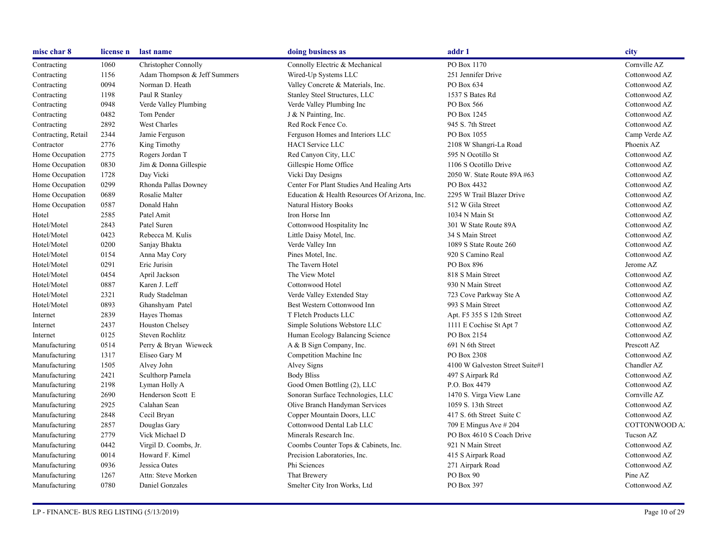| misc char 8         | license n | last name                    | doing business as                             | addr 1                          | city          |
|---------------------|-----------|------------------------------|-----------------------------------------------|---------------------------------|---------------|
| Contracting         | 1060      | Christopher Connolly         | Connolly Electric & Mechanical                | PO Box 1170                     | Cornville AZ  |
| Contracting         | 1156      | Adam Thompson & Jeff Summers | Wired-Up Systems LLC                          | 251 Jennifer Drive              | Cottonwood AZ |
| Contracting         | 0094      | Norman D. Heath              | Valley Concrete & Materials, Inc.             | PO Box 634                      | Cottonwood AZ |
| Contracting         | 1198      | Paul R Stanley               | Stanley Steel Structures, LLC                 | 1537 S Bates Rd                 | Cottonwood AZ |
| Contracting         | 0948      | Verde Valley Plumbing        | Verde Valley Plumbing Inc                     | PO Box 566                      | Cottonwood AZ |
| Contracting         | 0482      | Tom Pender                   | J & N Painting, Inc.                          | PO Box 1245                     | Cottonwood AZ |
| Contracting         | 2892      | West Charles                 | Red Rock Fence Co.                            | 945 S. 7th Street               | Cottonwood AZ |
| Contracting, Retail | 2344      | Jamie Ferguson               | Ferguson Homes and Interiors LLC              | PO Box 1055                     | Camp Verde AZ |
| Contractor          | 2776      | King Timothy                 | <b>HACI Service LLC</b>                       | 2108 W Shangri-La Road          | Phoenix AZ    |
| Home Occupation     | 2775      | Rogers Jordan T              | Red Canyon City, LLC                          | 595 N Ocotillo St               | Cottonwood AZ |
| Home Occupation     | 0830      | Jim & Donna Gillespie        | Gillespie Home Office                         | 1106 S Ocotillo Drive           | Cottonwood AZ |
| Home Occupation     | 1728      | Day Vicki                    | Vicki Day Designs                             | 2050 W. State Route 89A #63     | Cottonwood AZ |
| Home Occupation     | 0299      | Rhonda Pallas Downey         | Center For Plant Studies And Healing Arts     | PO Box 4432                     | Cottonwood AZ |
| Home Occupation     | 0689      | Rosalie Malter               | Education & Health Resources Of Arizona, Inc. | 2295 W Trail Blazer Drive       | Cottonwood AZ |
| Home Occupation     | 0587      | Donald Hahn                  | Natural History Books                         | 512 W Gila Street               | Cottonwood AZ |
| Hotel               | 2585      | Patel Amit                   | Iron Horse Inn                                | 1034 N Main St                  | Cottonwood AZ |
| Hotel/Motel         | 2843      | Patel Suren                  | Cottonwood Hospitality Inc                    | 301 W State Route 89A           | Cottonwood AZ |
| Hotel/Motel         | 0423      | Rebecca M. Kulis             | Little Daisy Motel, Inc.                      | 34 S Main Street                | Cottonwood AZ |
| Hotel/Motel         | 0200      | Sanjay Bhakta                | Verde Valley Inn                              | 1089 S State Route 260          | Cottonwood AZ |
| Hotel/Motel         | 0154      | Anna May Cory                | Pines Motel, Inc.                             | 920 S Camino Real               | Cottonwood AZ |
| Hotel/Motel         | 0291      | Eric Jurisin                 | The Tavern Hotel                              | PO Box 896                      | Jerome AZ     |
| Hotel/Motel         | 0454      | April Jackson                | The View Motel                                | 818 S Main Street               | Cottonwood AZ |
| Hotel/Motel         | 0887      | Karen J. Leff                | Cottonwood Hotel                              | 930 N Main Street               | Cottonwood AZ |
| Hotel/Motel         | 2321      | Rudy Stadelman               | Verde Valley Extended Stay                    | 723 Cove Parkway Ste A          | Cottonwood AZ |
| Hotel/Motel         | 0893      | Ghanshyam Patel              | Best Western Cottonwood Inn                   | 993 S Main Street               | Cottonwood AZ |
| Internet            | 2839      | Hayes Thomas                 | T Fletch Products LLC                         | Apt. F5 355 S 12th Street       | Cottonwood AZ |
| Internet            | 2437      | Houston Chelsey              | Simple Solutions Webstore LLC                 | 1111 E Cochise St Apt 7         | Cottonwood AZ |
| Internet            | 0125      | Steven Rochlitz              | Human Ecology Balancing Science               | PO Box 2154                     | Cottonwood AZ |
| Manufacturing       | 0514      | Perry & Bryan Wieweck        | A & B Sign Company, Inc.                      | 691 N 6th Street                | Prescott AZ   |
| Manufacturing       | 1317      | Eliseo Gary M                | Competition Machine Inc                       | PO Box 2308                     | Cottonwood AZ |
| Manufacturing       | 1505      | Alvey John                   | Alvey Signs                                   | 4100 W Galveston Street Suite#1 | Chandler AZ   |
| Manufacturing       | 2421      | Sculthorp Pamela             | <b>Body Bliss</b>                             | 497 S Airpark Rd                | Cottonwood AZ |
| Manufacturing       | 2198      | Lyman Holly A                | Good Omen Bottling (2), LLC                   | P.O. Box 4479                   | Cottonwood AZ |
| Manufacturing       | 2690      | Henderson Scott E            | Sonoran Surface Technologies, LLC             | 1470 S. Virga View Lane         | Cornville AZ  |
| Manufacturing       | 2925      | Calahan Sean                 | Olive Branch Handyman Services                | 1059 S. 13th Street             | Cottonwood AZ |
| Manufacturing       | 2848      | Cecil Bryan                  | Copper Mountain Doors, LLC                    | 417 S. 6th Street Suite C       | Cottonwood AZ |
| Manufacturing       | 2857      | Douglas Gary                 | Cottonwood Dental Lab LLC                     | 709 E Mingus Ave # 204          | COTTONWOOD A. |
| Manufacturing       | 2779      | Vick Michael D               | Minerals Research Inc.                        | PO Box 4610 S Coach Drive       | Tucson AZ     |
| Manufacturing       | 0442      | Virgil D. Coombs, Jr.        | Coombs Counter Tops & Cabinets, Inc.          | 921 N Main Street               | Cottonwood AZ |
| Manufacturing       | 0014      | Howard F. Kimel              | Precision Laboratories, Inc.                  | 415 S Airpark Road              | Cottonwood AZ |
| Manufacturing       | 0936      | Jessica Oates                | Phi Sciences                                  | 271 Airpark Road                | Cottonwood AZ |
| Manufacturing       | 1267      | Attn: Steve Morken           | That Brewery                                  | PO Box 90                       | Pine AZ       |
| Manufacturing       | 0780      | Daniel Gonzales              | Smelter City Iron Works, Ltd                  | PO Box 397                      | Cottonwood AZ |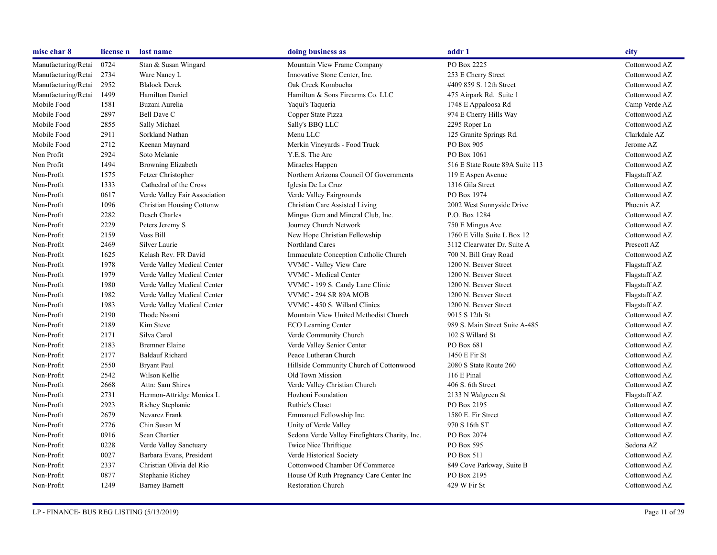| misc char 8         | license n | last name                        | doing business as                              | addr 1                          | city          |
|---------------------|-----------|----------------------------------|------------------------------------------------|---------------------------------|---------------|
| Manufacturing/Retai | 0724      | Stan & Susan Wingard             | Mountain View Frame Company                    | PO Box 2225                     | Cottonwood AZ |
| Manufacturing/Retai | 2734      | Ware Nancy L                     | Innovative Stone Center, Inc.                  | 253 E Cherry Street             | Cottonwood AZ |
| Manufacturing/Retai | 2952      | <b>Blalock Derek</b>             | Oak Creek Kombucha                             | #409 859 S. 12th Street         | Cottonwood AZ |
| Manufacturing/Retai | 1499      | Hamilton Daniel                  | Hamilton & Sons Firearms Co. LLC               | 475 Airpark Rd. Suite 1         | Cottonwood AZ |
| Mobile Food         | 1581      | Buzani Aurelia                   | Yaqui's Taqueria                               | 1748 E Appaloosa Rd             | Camp Verde AZ |
| Mobile Food         | 2897      | Bell Dave C                      | Copper State Pizza                             | 974 E Cherry Hills Way          | Cottonwood AZ |
| Mobile Food         | 2855      | Sally Michael                    | Sally's BBQ LLC                                | 2295 Roper Ln                   | Cottonwood AZ |
| Mobile Food         | 2911      | Sorkland Nathan                  | Menu LLC                                       | 125 Granite Springs Rd.         | Clarkdale AZ  |
| Mobile Food         | 2712      | Keenan Maynard                   | Merkin Vineyards - Food Truck                  | PO Box 905                      | Jerome AZ     |
| Non Profit          | 2924      | Soto Melanie                     | Y.E.S. The Arc                                 | PO Box 1061                     | Cottonwood AZ |
| Non Profit          | 1494      | Browning Elizabeth               | Miracles Happen                                | 516 E State Route 89A Suite 113 | Cottonwood AZ |
| Non-Profit          | 1575      | Fetzer Christopher               | Northern Arizona Council Of Governments        | 119 E Aspen Avenue              | Flagstaff AZ  |
| Non-Profit          | 1333      | Cathedral of the Cross           | Iglesia De La Cruz                             | 1316 Gila Street                | Cottonwood AZ |
| Non-Profit          | 0617      | Verde Valley Fair Association    | Verde Valley Fairgrounds                       | PO Box 1974                     | Cottonwood AZ |
| Non-Profit          | 1096      | <b>Christian Housing Cottonw</b> | Christian Care Assisted Living                 | 2002 West Sunnyside Drive       | Phoenix AZ    |
| Non-Profit          | 2282      | Desch Charles                    | Mingus Gem and Mineral Club, Inc.              | P.O. Box 1284                   | Cottonwood AZ |
| Non-Profit          | 2229      | Peters Jeremy S                  | Journey Church Network                         | 750 E Mingus Ave                | Cottonwood AZ |
| Non-Profit          | 2159      | <b>Voss Bill</b>                 | New Hope Christian Fellowship                  | 1760 E Villa Suite L Box 12     | Cottonwood AZ |
| Non-Profit          | 2469      | Silver Laurie                    | Northland Cares                                | 3112 Clearwater Dr. Suite A     | Prescott AZ   |
| Non-Profit          | 1625      | Kelash Rev. FR David             | Immaculate Conception Catholic Church          | 700 N. Bill Gray Road           | Cottonwood AZ |
| Non-Profit          | 1978      | Verde Valley Medical Center      | VVMC - Valley View Care                        | 1200 N. Beaver Street           | Flagstaff AZ  |
| Non-Profit          | 1979      | Verde Valley Medical Center      | VVMC - Medical Center                          | 1200 N. Beaver Street           | Flagstaff AZ  |
| Non-Profit          | 1980      | Verde Valley Medical Center      | VVMC - 199 S. Candy Lane Clinic                | 1200 N. Beaver Street           | Flagstaff AZ  |
| Non-Profit          | 1982      | Verde Valley Medical Center      | <b>VVMC - 294 SR 89A MOB</b>                   | 1200 N. Beaver Street           | Flagstaff AZ  |
| Non-Profit          | 1983      | Verde Valley Medical Center      | VVMC - 450 S. Willard Clinics                  | 1200 N. Beaver Street           | Flagstaff AZ  |
| Non-Profit          | 2190      | Thode Naomi                      | Mountain View United Methodist Church          | 9015 S 12th St                  | Cottonwood AZ |
| Non-Profit          | 2189      | Kim Steve                        | ECO Learning Center                            | 989 S. Main Street Suite A-485  | Cottonwood AZ |
| Non-Profit          | 2171      | Silva Carol                      | Verde Community Church                         | 102 S Willard St                | Cottonwood AZ |
| Non-Profit          | 2183      | <b>Bremner Elaine</b>            | Verde Valley Senior Center                     | PO Box 681                      | Cottonwood AZ |
| Non-Profit          | 2177      | <b>Baldauf Richard</b>           | Peace Lutheran Church                          | 1450 E Fir St                   | Cottonwood AZ |
| Non-Profit          | 2550      | <b>Bryant Paul</b>               | Hillside Community Church of Cottonwood        | 2080 S State Route 260          | Cottonwood AZ |
| Non-Profit          | 2542      | Wilson Kellie                    | Old Town Mission                               | 116 E Pinal                     | Cottonwood AZ |
| Non-Profit          | 2668      | Attn: Sam Shires                 | Verde Valley Christian Church                  | 406 S. 6th Street               | Cottonwood AZ |
| Non-Profit          | 2731      | Hermon-Attridge Monica L         | Hozhoni Foundation                             | 2133 N Walgreen St              | Flagstaff AZ  |
| Non-Profit          | 2923      | Richey Stephanie                 | Ruthie's Closet                                | PO Box 2195                     | Cottonwood AZ |
| Non-Profit          | 2679      | Nevarez Frank                    | Emmanuel Fellowship Inc.                       | 1580 E. Fir Street              | Cottonwood AZ |
| Non-Profit          | 2726      | Chin Susan M                     | Unity of Verde Valley                          | 970 S 16th ST                   | Cottonwood AZ |
| Non-Profit          | 0916      | Sean Chartier                    | Sedona Verde Valley Firefighters Charity, Inc. | PO Box 2074                     | Cottonwood AZ |
| Non-Profit          | 0228      | Verde Valley Sanctuary           | Twice Nice Thriftique                          | PO Box 595                      | Sedona AZ     |
| Non-Profit          | 0027      | Barbara Evans, President         | Verde Historical Society                       | PO Box 511                      | Cottonwood AZ |
| Non-Profit          | 2337      | Christian Olivia del Rio         | Cottonwood Chamber Of Commerce                 | 849 Cove Parkway, Suite B       | Cottonwood AZ |
| Non-Profit          | 0877      | Stephanie Richey                 | House Of Ruth Pregnancy Care Center Inc        | PO Box 2195                     | Cottonwood AZ |
| Non-Profit          | 1249      | <b>Barney Barnett</b>            | <b>Restoration Church</b>                      | 429 W Fir St                    | Cottonwood AZ |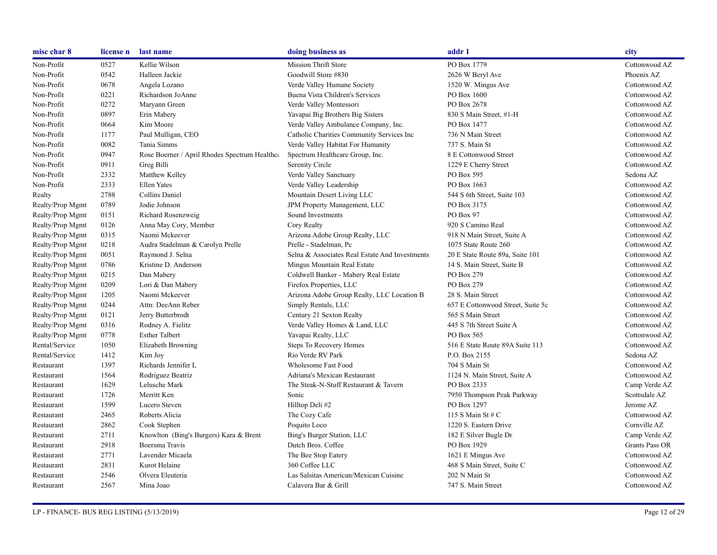| misc char 8      | license n | last name                                     | doing business as                              | addr 1                            | city                  |
|------------------|-----------|-----------------------------------------------|------------------------------------------------|-----------------------------------|-----------------------|
| Non-Profit       | 0527      | Kellie Wilson                                 | Mission Thrift Store                           | PO Box 1779                       | Cottonwood AZ         |
| Non-Profit       | 0542      | Halleen Jackie                                | Goodwill Store #830                            | 2626 W Beryl Ave                  | Phoenix AZ            |
| Non-Profit       | 0678      | Angela Lozano                                 | Verde Valley Humane Society                    | 1520 W. Mingus Ave                | Cottonwood AZ         |
| Non-Profit       | 0221      | Richardson JoAnne                             | Buena Vista Children's Services                | PO Box 1600                       | Cottonwood AZ         |
| Non-Profit       | 0272      | Maryann Green                                 | Verde Valley Montessori                        | PO Box 2678                       | Cottonwood AZ         |
| Non-Profit       | 0897      | Erin Mabery                                   | Yavapai Big Brothers Big Sisters               | 830 S Main Street, #1-H           | Cottonwood AZ         |
| Non-Profit       | 0664      | Kim Moore                                     | Verde Valley Ambulance Company, Inc.           | PO Box 1477                       | Cottonwood AZ         |
| Non-Profit       | 1177      | Paul Mulligan, CEO                            | Catholic Charities Community Services Inc      | 736 N Main Street                 | Cottonwood AZ         |
| Non-Profit       | 0082      | Tania Simms                                   | Verde Valley Habitat For Humanity              | 737 S. Main St                    | Cottonwood AZ         |
| Non-Profit       | 0947      | Rose Boerner / April Rhodes Spectrum Healthca | Spectrum Healthcare Group, Inc.                | 8 E Cottonwood Street             | Cottonwood AZ         |
| Non-Profit       | 0911      | Greg Billi                                    | Serenity Circle                                | 1229 E Cherry Street              | Cottonwood AZ         |
| Non-Profit       | 2332      | Matthew Kelley                                | Verde Valley Sanctuary                         | PO Box 595                        | Sedona AZ             |
| Non-Profit       | 2333      | <b>Ellen Yates</b>                            | Verde Valley Leadership                        | PO Box 1663                       | Cottonwood AZ         |
| Realty           | 2788      | Collins Daniel                                | Mountain Desert Living LLC                     | 544 S 6th Street, Suite 103       | Cottonwood AZ         |
| Realty/Prop Mgmt | 0789      | Jodie Johnson                                 | JPM Property Management, LLC                   | PO Box 3175                       | Cottonwood AZ         |
| Realty/Prop Mgmt | 0151      | Richard Rosenzweig                            | Sound Investments                              | PO Box 97                         | Cottonwood AZ         |
| Realty/Prop Mgmt | 0126      | Anna May Cory, Member                         | Cory Realty                                    | 920 S Camino Real                 | Cottonwood AZ         |
| Realty/Prop Mgmt | 0315      | Naomi Mckeever                                | Arizona Adobe Group Realty, LLC                | 918 N Main Street, Suite A        | Cottonwood AZ         |
| Realty/Prop Mgmt | 0218      | Audra Stadelman & Carolyn Prelle              | Prelle - Stadelman, Pc                         | 1075 State Route 260              | Cottonwood AZ         |
| Realty/Prop Mgmt | 0051      | Raymond J. Selna                              | Selna & Associates Real Estate And Investments | 20 E State Route 89a, Suite 101   | Cottonwood AZ         |
| Realty/Prop Mgmt | 0786      | Kristine D. Anderson                          | Mingus Mountain Real Estate                    | 14 S. Main Street, Suite B        | Cottonwood AZ         |
| Realty/Prop Mgmt | 0215      | Dan Mabery                                    | Coldwell Banker - Mabery Real Estate           | PO Box 279                        | Cottonwood AZ         |
| Realty/Prop Mgmt | 0209      | Lori & Dan Mabery                             | Firefox Properties, LLC                        | PO Box 279                        | Cottonwood AZ         |
| Realty/Prop Mgmt | 1205      | Naomi Mckeever                                | Arizona Adobe Group Realty, LLC Location B     | 28 S. Main Street                 | Cottonwood AZ         |
| Realty/Prop Mgmt | 0244      | Attn: DeeAnn Reber                            | Simply Rentals, LLC                            | 657 E Cottonwood Street, Suite 5c | Cottonwood AZ         |
| Realty/Prop Mgmt | 0121      | Jerry Butterbrodt                             | Century 21 Sexton Realty                       | 565 S Main Street                 | Cottonwood AZ         |
| Realty/Prop Mgmt | 0316      | Rodney A. Fielitz                             | Verde Valley Homes & Land, LLC                 | 445 S 7th Street Suite A          | Cottonwood AZ         |
| Realty/Prop Mgmt | 0778      | <b>Esther Talbert</b>                         | Yavapai Realty, LLC                            | PO Box 565                        | Cottonwood AZ         |
| Rental/Service   | 1050      | Elizabeth Browning                            | Steps To Recovery Homes                        | 516 E State Route 89A Suite 113   | Cottonwood AZ         |
| Rental/Service   | 1412      | Kim Joy                                       | Rio Verde RV Park                              | P.O. Box 2155                     | Sedona AZ             |
| Restaurant       | 1397      | Richards Jennifer L                           | Wholesome Fast Food                            | 704 S Main St                     | Cottonwood AZ         |
| Restaurant       | 1564      | Rodriguez Beatriz                             | Adriana's Mexican Restaurant                   | 1124 N. Main Street, Suite A      | Cottonwood AZ         |
| Restaurant       | 1629      | Lelusche Mark                                 | The Steak-N-Stuff Restaurant & Tavern          | PO Box 2335                       | Camp Verde AZ         |
| Restaurant       | 1726      | Merritt Ken                                   | Sonic                                          | 7950 Thompson Peak Parkway        | Scottsdale AZ         |
| Restaurant       | 1599      | Lucero Steven                                 | Hilltop Deli#2                                 | PO Box 1297                       | Jerome AZ             |
| Restaurant       | 2465      | Roberts Alicia                                | The Cozy Cafe                                  | 115 S Main St # C                 | Cottonwood AZ         |
| Restaurant       | 2862      | Cook Stephen                                  | Poquito Loco                                   | 1220 S. Eastern Drive             | Cornville AZ          |
| Restaurant       | 2711      | Knowlton (Bing's Burgers) Kara & Brent        | Bing's Burger Station, LLC                     | 182 E Silver Bugle Dr             | Camp Verde AZ         |
| Restaurant       | 2918      | Boersma Travis                                | Dutch Bros. Coffee                             | PO Box 1929                       | <b>Grants Pass OR</b> |
| Restaurant       | 2771      | Lavender Micaela                              | The Bee Stop Eatery                            | 1621 E Mingus Ave                 | Cottonwood AZ         |
| Restaurant       | 2831      | Kurot Helaine                                 | 360 Coffee LLC                                 | 468 S Main Street, Suite C        | Cottonwood AZ         |
| Restaurant       | 2546      | Olvera Eleuteria                              | Las Salsitas American/Mexican Cuisine          | 202 N Main St                     | Cottonwood AZ         |
| Restaurant       | 2567      | Mina Joao                                     | Calavera Bar & Grill                           | 747 S. Main Street                | Cottonwood AZ         |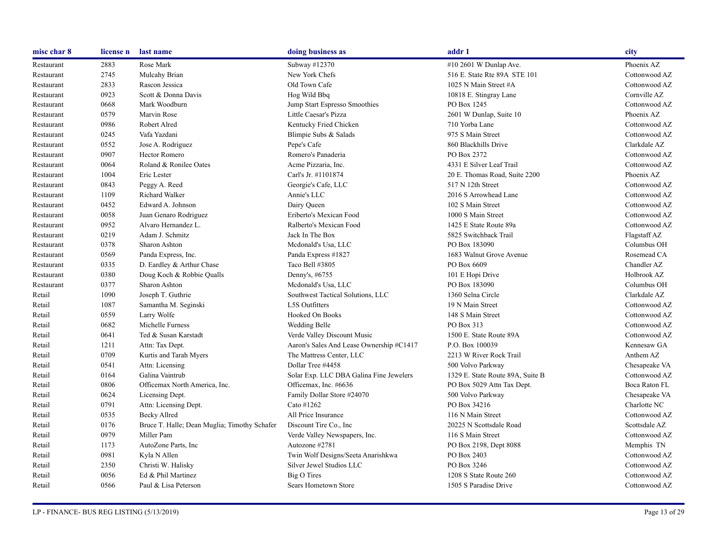| misc char 8 | license n | last name                                    | doing business as                        | addr 1                           | city          |
|-------------|-----------|----------------------------------------------|------------------------------------------|----------------------------------|---------------|
| Restaurant  | 2883      | Rose Mark                                    | Subway #12370                            | #10 2601 W Dunlap Ave.           | Phoenix AZ    |
| Restaurant  | 2745      | Mulcahy Brian                                | New York Chefs                           | 516 E. State Rte 89A STE 101     | Cottonwood AZ |
| Restaurant  | 2833      | Rascon Jessica                               | Old Town Cafe                            | 1025 N Main Street #A            | Cottonwood AZ |
| Restaurant  | 0923      | Scott & Donna Davis                          | Hog Wild Bbq                             | 10818 E. Stingray Lane           | Cornville AZ  |
| Restaurant  | 0668      | Mark Woodburn                                | Jump Start Espresso Smoothies            | PO Box 1245                      | Cottonwood AZ |
| Restaurant  | 0579      | Marvin Rose                                  | Little Caesar's Pizza                    | 2601 W Dunlap, Suite 10          | Phoenix AZ    |
| Restaurant  | 0986      | Robert Alred                                 | Kentucky Fried Chicken                   | 710 Yorba Lane                   | Cottonwood AZ |
| Restaurant  | 0245      | Vafa Yazdani                                 | Blimpie Subs & Salads                    | 975 S Main Street                | Cottonwood AZ |
| Restaurant  | 0552      | Jose A. Rodriguez                            | Pepe's Cafe                              | 860 Blackhills Drive             | Clarkdale AZ  |
| Restaurant  | 0907      | <b>Hector Romero</b>                         | Romero's Panaderia                       | PO Box 2372                      | Cottonwood AZ |
| Restaurant  | 0064      | Roland & Ronilee Oates                       | Acme Pizzaria, Inc.                      | 4331 E Silver Leaf Trail         | Cottonwood AZ |
| Restaurant  | 1004      | Eric Lester                                  | Carl's Jr. #1101874                      | 20 E. Thomas Road, Suite 2200    | Phoenix AZ    |
| Restaurant  | 0843      | Peggy A. Reed                                | Georgie's Cafe, LLC                      | 517 N 12th Street                | Cottonwood AZ |
| Restaurant  | 1109      | Richard Walker                               | Annie's LLC                              | 2016 S Arrowhead Lane            | Cottonwood AZ |
| Restaurant  | 0452      | Edward A. Johnson                            | Dairy Queen                              | 102 S Main Street                | Cottonwood AZ |
| Restaurant  | 0058      | Juan Genaro Rodriguez                        | Eriberto's Mexican Food                  | 1000 S Main Street               | Cottonwood AZ |
| Restaurant  | 0952      | Alvaro Hernandez L.                          | Ralberto's Mexican Food                  | 1425 E State Route 89a           | Cottonwood AZ |
| Restaurant  | 0219      | Adam J. Schmitz                              | Jack In The Box                          | 5825 Switchback Trail            | Flagstaff AZ  |
| Restaurant  | 0378      | Sharon Ashton                                | Mcdonald's Usa, LLC                      | PO Box 183090                    | Columbus OH   |
| Restaurant  | 0569      | Panda Express, Inc.                          | Panda Express #1827                      | 1683 Walnut Grove Avenue         | Rosemead CA   |
| Restaurant  | 0335      | D. Eardley & Arthur Chase                    | Taco Bell #3805                          | PO Box 6609                      | Chandler AZ   |
| Restaurant  | 0380      | Doug Koch & Robbie Qualls                    | Denny's, #6755                           | 101 E Hopi Drive                 | Holbrook AZ   |
| Restaurant  | 0377      | <b>Sharon Ashton</b>                         | Mcdonald's Usa, LLC                      | PO Box 183090                    | Columbus OH   |
| Retail      | 1090      | Joseph T. Guthrie                            | Southwest Tactical Solutions, LLC        | 1360 Selna Circle                | Clarkdale AZ  |
| Retail      | 1087      | Samantha M. Seginski                         | <b>L5S</b> Outfitters                    | 19 N Main Street                 | Cottonwood AZ |
| Retail      | 0559      | Larry Wolfe                                  | Hooked On Books                          | 148 S Main Street                | Cottonwood AZ |
| Retail      | 0682      | Michelle Furness                             | Wedding Belle                            | PO Box 313                       | Cottonwood AZ |
| Retail      | 0641      | Ted & Susan Karstadt                         | Verde Valley Discount Music              | 1500 E. State Route 89A          | Cottonwood AZ |
| Retail      | 1211      | Attn: Tax Dept.                              | Aaron's Sales And Lease Ownership #C1417 | P.O. Box 100039                  | Kennesaw GA   |
| Retail      | 0709      | Kurtis and Tarah Myers                       | The Mattress Center, LLC                 | 2213 W River Rock Trail          | Anthem AZ     |
| Retail      | 0541      | Attn: Licensing                              | Dollar Tree #4458                        | 500 Volvo Parkway                | Chesapeake VA |
| Retail      | 0164      | Galina Vaintrub                              | Solar Exp. LLC DBA Galina Fine Jewelers  | 1329 E. State Route 89A, Suite B | Cottonwood AZ |
| Retail      | 0806      | Officemax North America, Inc.                | Officemax, Inc. #6636                    | PO Box 5029 Attn Tax Dept.       | Boca Raton FL |
| Retail      | 0624      | Licensing Dept.                              | Family Dollar Store #24070               | 500 Volvo Parkway                | Chesapeake VA |
| Retail      | 0791      | Attn: Licensing Dept.                        | Cato #1262                               | PO Box 34216                     | Charlotte NC  |
| Retail      | 0535      | Becky Allred                                 | All Price Insurance                      | 116 N Main Street                | Cottonwood AZ |
| Retail      | 0176      | Bruce T. Halle; Dean Muglia; Timothy Schafer | Discount Tire Co., Inc.                  | 20225 N Scottsdale Road          | Scottsdale AZ |
| Retail      | 0979      | Miller Pam                                   | Verde Valley Newspapers, Inc.            | 116 S Main Street                | Cottonwood AZ |
| Retail      | 1173      | AutoZone Parts, Inc                          | Autozone #2781                           | PO Box 2198, Dept 8088           | Memphis TN    |
| Retail      | 0981      | Kyla N Allen                                 | Twin Wolf Designs/Seeta Anarishkwa       | PO Box 2403                      | Cottonwood AZ |
| Retail      | 2350      | Christi W. Halisky                           | Silver Jewel Studios LLC                 | PO Box 3246                      | Cottonwood AZ |
| Retail      | 0056      | Ed & Phil Martinez                           | Big O Tires                              | 1208 S State Route 260           | Cottonwood AZ |
| Retail      | 0566      | Paul & Lisa Peterson                         | Sears Hometown Store                     | 1505 S Paradise Drive            | Cottonwood AZ |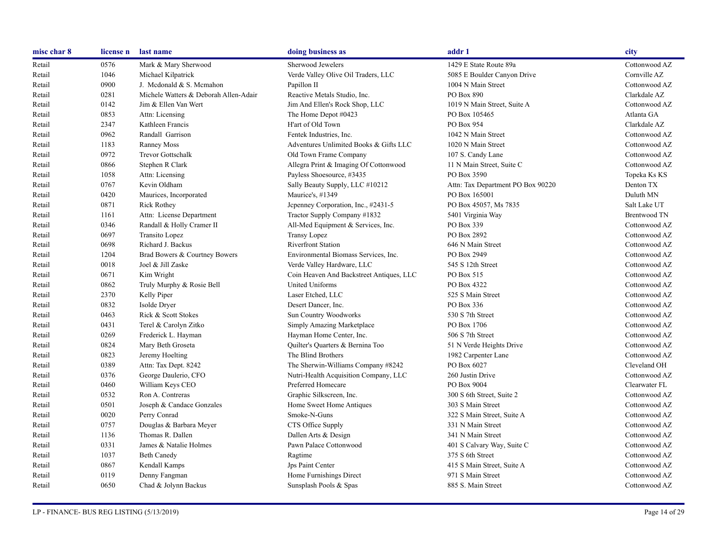| misc char 8 | license n | last name                             | doing business as                        | addr 1                            | city                |
|-------------|-----------|---------------------------------------|------------------------------------------|-----------------------------------|---------------------|
| Retail      | 0576      | Mark & Mary Sherwood                  | Sherwood Jewelers                        | 1429 E State Route 89a            | Cottonwood AZ       |
| Retail      | 1046      | Michael Kilpatrick                    | Verde Valley Olive Oil Traders, LLC      | 5085 E Boulder Canyon Drive       | Cornville AZ        |
| Retail      | 0900      | J. Mcdonald & S. Mcmahon              | Papillon II                              | 1004 N Main Street                | Cottonwood AZ       |
| Retail      | 0281      | Michele Watters & Deborah Allen-Adair | Reactive Metals Studio, Inc.             | PO Box 890                        | Clarkdale AZ        |
| Retail      | 0142      | Jim & Ellen Van Wert                  | Jim And Ellen's Rock Shop, LLC           | 1019 N Main Street, Suite A       | Cottonwood AZ       |
| Retail      | 0853      | Attn: Licensing                       | The Home Depot #0423                     | PO Box 105465                     | Atlanta GA          |
| Retail      | 2347      | Kathleen Francis                      | H'art of Old Town                        | PO Box 954                        | Clarkdale AZ        |
| Retail      | 0962      | Randall Garrison                      | Fentek Industries, Inc.                  | 1042 N Main Street                | Cottonwood AZ       |
| Retail      | 1183      | <b>Ranney Moss</b>                    | Adventures Unlimited Books & Gifts LLC   | 1020 N Main Street                | Cottonwood AZ       |
| Retail      | 0972      | <b>Trevor Gottschalk</b>              | Old Town Frame Company                   | 107 S. Candy Lane                 | Cottonwood AZ       |
| Retail      | 0866      | Stephen R Clark                       | Allegra Print & Imaging Of Cottonwood    | 11 N Main Street, Suite C         | Cottonwood AZ       |
| Retail      | 1058      | Attn: Licensing                       | Payless Shoesource, #3435                | PO Box 3590                       | Topeka Ks KS        |
| Retail      | 0767      | Kevin Oldham                          | Sally Beauty Supply, LLC #10212          | Attn: Tax Department PO Box 90220 | Denton TX           |
| Retail      | 0420      | Maurices, Incorporated                | Maurice's, #1349                         | PO Box 165001                     | Duluth MN           |
| Retail      | 0871      | <b>Rick Rothey</b>                    | Jepenney Corporation, Inc., #2431-5      | PO Box 45057, Ms 7835             | Salt Lake UT        |
| Retail      | 1161      | Attn: License Department              | Tractor Supply Company #1832             | 5401 Virginia Way                 | <b>Brentwood TN</b> |
| Retail      | 0346      | Randall & Holly Cramer II             | All-Med Equipment & Services, Inc.       | PO Box 339                        | Cottonwood AZ       |
| Retail      | 0697      | Transito Lopez                        | <b>Transy Lopez</b>                      | PO Box 2892                       | Cottonwood AZ       |
| Retail      | 0698      | Richard J. Backus                     | <b>Riverfront Station</b>                | 646 N Main Street                 | Cottonwood AZ       |
| Retail      | 1204      | Brad Bowers & Courtney Bowers         | Environmental Biomass Services, Inc.     | PO Box 2949                       | Cottonwood AZ       |
| Retail      | 0018      | Joel & Jill Zaske                     | Verde Valley Hardware, LLC               | 545 S 12th Street                 | Cottonwood AZ       |
| Retail      | 0671      | Kim Wright                            | Coin Heaven And Backstreet Antiques, LLC | PO Box 515                        | Cottonwood AZ       |
| Retail      | 0862      | Truly Murphy & Rosie Bell             | United Uniforms                          | PO Box 4322                       | Cottonwood AZ       |
| Retail      | 2370      | Kelly Piper                           | Laser Etched, LLC                        | 525 S Main Street                 | Cottonwood AZ       |
| Retail      | 0832      | Isolde Dryer                          | Desert Dancer, Inc.                      | PO Box 336                        | Cottonwood AZ       |
| Retail      | 0463      | Rick & Scott Stokes                   | <b>Sun Country Woodworks</b>             | 530 S 7th Street                  | Cottonwood AZ       |
| Retail      | 0431      | Terel & Carolyn Zitko                 | Simply Amazing Marketplace               | PO Box 1706                       | Cottonwood AZ       |
| Retail      | 0269      | Frederick L. Hayman                   | Hayman Home Center, Inc.                 | 506 S 7th Street                  | Cottonwood AZ       |
| Retail      | 0824      | Mary Beth Groseta                     | Quilter's Quarters & Bernina Too         | 51 N Verde Heights Drive          | Cottonwood AZ       |
| Retail      | 0823      | Jeremy Hoelting                       | The Blind Brothers                       | 1982 Carpenter Lane               | Cottonwood AZ       |
| Retail      | 0389      | Attn: Tax Dept. 8242                  | The Sherwin-Williams Company #8242       | PO Box 6027                       | Cleveland OH        |
| Retail      | 0376      | George Daulerio, CFO                  | Nutri-Health Acquisition Company, LLC    | 260 Justin Drive                  | Cottonwood AZ       |
| Retail      | 0460      | William Keys CEO                      | Preferred Homecare                       | PO Box 9004                       | Clearwater FL       |
| Retail      | 0532      | Ron A. Contreras                      | Graphic Silkscreen, Inc.                 | 300 S 6th Street, Suite 2         | Cottonwood AZ       |
| Retail      | 0501      | Joseph & Candace Gonzales             | Home Sweet Home Antiques                 | 303 S Main Street                 | Cottonwood AZ       |
| Retail      | 0020      | Perry Conrad                          | Smoke-N-Guns                             | 322 S Main Street, Suite A        | Cottonwood AZ       |
| Retail      | 0757      | Douglas & Barbara Meyer               | CTS Office Supply                        | 331 N Main Street                 | Cottonwood AZ       |
| Retail      | 1136      | Thomas R. Dallen                      | Dallen Arts & Design                     | 341 N Main Street                 | Cottonwood AZ       |
| Retail      | 0331      | James & Natalie Holmes                | Pawn Palace Cottonwood                   | 401 S Calvary Way, Suite C        | Cottonwood AZ       |
| Retail      | 1037      | <b>Beth Canedy</b>                    | Ragtime                                  | 375 S 6th Street                  | Cottonwood AZ       |
| Retail      | 0867      | Kendall Kamps                         | Jps Paint Center                         | 415 S Main Street, Suite A        | Cottonwood AZ       |
| Retail      | 0119      | Denny Fangman                         | Home Furnishings Direct                  | 971 S Main Street                 | Cottonwood AZ       |
| Retail      | 0650      | Chad & Jolynn Backus                  | Sunsplash Pools & Spas                   | 885 S. Main Street                | Cottonwood AZ       |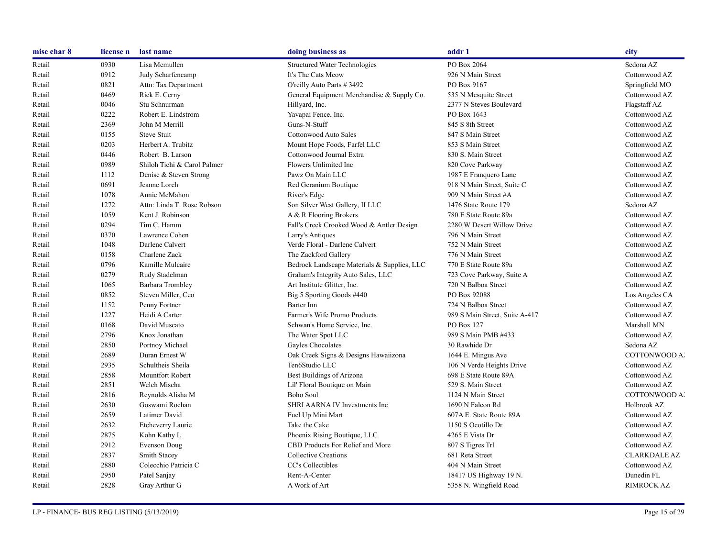| misc char 8 | license n | last name                   | doing business as                           | addr 1                         | city                |
|-------------|-----------|-----------------------------|---------------------------------------------|--------------------------------|---------------------|
| Retail      | 0930      | Lisa Mcmullen               | <b>Structured Water Technologies</b>        | PO Box 2064                    | Sedona AZ           |
| Retail      | 0912      | Judy Scharfencamp           | It's The Cats Meow                          | 926 N Main Street              | Cottonwood AZ       |
| Retail      | 0821      | Attn: Tax Department        | O'reilly Auto Parts # 3492                  | PO Box 9167                    | Springfield MO      |
| Retail      | 0469      | Rick E. Cerny               | General Equipment Merchandise & Supply Co.  | 535 N Mesquite Street          | Cottonwood AZ       |
| Retail      | 0046      | Stu Schnurman               | Hillyard, Inc.                              | 2377 N Steves Boulevard        | Flagstaff AZ        |
| Retail      | 0222      | Robert E. Lindstrom         | Yavapai Fence, Inc.                         | PO Box 1643                    | Cottonwood AZ       |
| Retail      | 2369      | John M Merrill              | Guns-N-Stuff                                | 845 S 8th Street               | Cottonwood AZ       |
| Retail      | 0155      | <b>Steve Stuit</b>          | Cottonwood Auto Sales                       | 847 S Main Street              | Cottonwood AZ       |
| Retail      | 0203      | Herbert A. Trubitz          | Mount Hope Foods, Farfel LLC                | 853 S Main Street              | Cottonwood AZ       |
| Retail      | 0446      | Robert B. Larson            | Cottonwood Journal Extra                    | 830 S. Main Street             | Cottonwood AZ       |
| Retail      | 0989      | Shiloh Tichi & Carol Palmer | Flowers Unlimited Inc                       | 820 Cove Parkway               | Cottonwood AZ       |
| Retail      | 1112      | Denise & Steven Strong      | Pawz On Main LLC                            | 1987 E Franquero Lane          | Cottonwood AZ       |
| Retail      | 0691      | Jeanne Lorch                | Red Geranium Boutique                       | 918 N Main Street, Suite C     | Cottonwood AZ       |
| Retail      | 1078      | Annie McMahon               | River's Edge                                | 909 N Main Street #A           | Cottonwood AZ       |
| Retail      | 1272      | Attn: Linda T. Rose Robson  | Son Silver West Gallery, II LLC             | 1476 State Route 179           | Sedona AZ           |
| Retail      | 1059      | Kent J. Robinson            | A & R Flooring Brokers                      | 780 E State Route 89a          | Cottonwood AZ       |
| Retail      | 0294      | Tim C. Hamm                 | Fall's Creek Crooked Wood & Antler Design   | 2280 W Desert Willow Drive     | Cottonwood AZ       |
| Retail      | 0370      | Lawrence Cohen              | Larry's Antiques                            | 796 N Main Street              | Cottonwood AZ       |
| Retail      | 1048      | Darlene Calvert             | Verde Floral - Darlene Calvert              | 752 N Main Street              | Cottonwood AZ       |
| Retail      | 0158      | Charlene Zack               | The Zackford Gallery                        | 776 N Main Street              | Cottonwood AZ       |
| Retail      | 0796      | Kamille Mulcaire            | Bedrock Landscape Materials & Supplies, LLC | 770 E State Route 89a          | Cottonwood AZ       |
| Retail      | 0279      | Rudy Stadelman              | Graham's Integrity Auto Sales, LLC          | 723 Cove Parkway, Suite A      | Cottonwood AZ       |
| Retail      | 1065      | Barbara Trombley            | Art Institute Glitter, Inc.                 | 720 N Balboa Street            | Cottonwood AZ       |
| Retail      | 0852      | Steven Miller, Ceo          | Big 5 Sporting Goods #440                   | PO Box 92088                   | Los Angeles CA      |
| Retail      | 1152      | Penny Fortner               | Barter Inn                                  | 724 N Balboa Street            | Cottonwood AZ       |
| Retail      | 1227      | Heidi A Carter              | Farmer's Wife Promo Products                | 989 S Main Street, Suite A-417 | Cottonwood AZ       |
| Retail      | 0168      | David Muscato               | Schwan's Home Service, Inc.                 | PO Box 127                     | Marshall MN         |
| Retail      | 2796      | Knox Jonathan               | The Water Spot LLC                          | 989 S Main PMB #433            | Cottonwood AZ       |
| Retail      | 2850      | Portnoy Michael             | Gayles Chocolates                           | 30 Rawhide Dr                  | Sedona AZ           |
| Retail      | 2689      | Duran Ernest W              | Oak Creek Signs & Designs Hawaiizona        | 1644 E. Mingus Ave             | COTTONWOOD A.       |
| Retail      | 2935      | Schultheis Sheila           | Ten6Studio LLC                              | 106 N Verde Heights Drive      | Cottonwood AZ       |
| Retail      | 2858      | <b>Mountfort Robert</b>     | Best Buildings of Arizona                   | 698 E State Route 89A          | Cottonwood AZ       |
| Retail      | 2851      | Welch Mischa                | Lil' Floral Boutique on Main                | 529 S. Main Street             | Cottonwood AZ       |
| Retail      | 2816      | Reynolds Alisha M           | Boho Soul                                   | 1124 N Main Street             | COTTONWOOD A.       |
| Retail      | 2630      | Goswami Rochan              | SHRI AARNA IV Investments Inc               | 1690 N Falcon Rd               | Holbrook AZ         |
| Retail      | 2659      | Latimer David               | Fuel Up Mini Mart                           | 607A E. State Route 89A        | Cottonwood AZ       |
| Retail      | 2632      | Etcheverry Laurie           | Take the Cake                               | 1150 S Ocotillo Dr             | Cottonwood AZ       |
| Retail      | 2875      | Kohn Kathy L                | Phoenix Rising Boutique, LLC                | 4265 E Vista Dr                | Cottonwood AZ       |
| Retail      | 2912      | Evenson Doug                | CBD Products For Relief and More            | 807 S Tigres Trl               | Cottonwood AZ       |
| Retail      | 2837      | <b>Smith Stacey</b>         | <b>Collective Creations</b>                 | 681 Reta Street                | <b>CLARKDALE AZ</b> |
| Retail      | 2880      | Colecchio Patricia C        | CC's Collectibles                           | 404 N Main Street              | Cottonwood AZ       |
| Retail      | 2950      | Patel Sanjay                | Rent-A-Center                               | 18417 US Highway 19 N.         | Dunedin FL          |
| Retail      | 2828      | Gray Arthur G               | A Work of Art                               | 5358 N. Wingfield Road         | <b>RIMROCK AZ</b>   |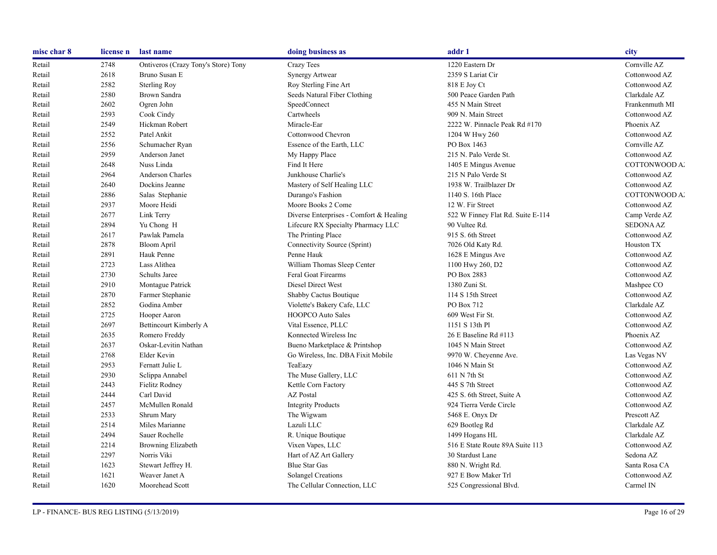| misc char 8 | license n | last name                           | doing business as                       | addr 1                            | city             |
|-------------|-----------|-------------------------------------|-----------------------------------------|-----------------------------------|------------------|
| Retail      | 2748      | Ontiveros (Crazy Tony's Store) Tony | Crazy Tees                              | 1220 Eastern Dr                   | Cornville AZ     |
| Retail      | 2618      | Bruno Susan E                       | <b>Synergy Artwear</b>                  | 2359 S Lariat Cir                 | Cottonwood AZ    |
| Retail      | 2582      | <b>Sterling Roy</b>                 | Roy Sterling Fine Art                   | 818 E Joy Ct                      | Cottonwood AZ    |
| Retail      | 2580      | Brown Sandra                        | Seeds Natural Fiber Clothing            | 500 Peace Garden Path             | Clarkdale AZ     |
| Retail      | 2602      | Ogren John                          | SpeedConnect                            | 455 N Main Street                 | Frankenmuth MI   |
| Retail      | 2593      | Cook Cindy                          | Cartwheels                              | 909 N. Main Street                | Cottonwood AZ    |
| Retail      | 2549      | Hickman Robert                      | Miracle-Ear                             | 2222 W. Pinnacle Peak Rd #170     | Phoenix AZ       |
| Retail      | 2552      | Patel Ankit                         | Cottonwood Chevron                      | 1204 W Hwy 260                    | Cottonwood AZ    |
| Retail      | 2556      | Schumacher Ryan                     | Essence of the Earth, LLC               | PO Box 1463                       | Cornville AZ     |
| Retail      | 2959      | Anderson Janet                      | My Happy Place                          | 215 N. Palo Verde St.             | Cottonwood AZ    |
| Retail      | 2648      | Nuss Linda                          | Find It Here                            | 1405 E Mingus Avenue              | COTTONWOOD A.    |
| Retail      | 2964      | Anderson Charles                    | Junkhouse Charlie's                     | 215 N Palo Verde St               | Cottonwood AZ    |
| Retail      | 2640      | Dockins Jeanne                      | Mastery of Self Healing LLC             | 1938 W. Trailblazer Dr            | Cottonwood AZ    |
| Retail      | 2886      | Salas Stephanie                     | Durango's Fashion                       | 1140 S. 16th Place                | COTTONWOOD A.    |
| Retail      | 2937      | Moore Heidi                         | Moore Books 2 Come                      | 12 W. Fir Street                  | Cottonwood AZ    |
| Retail      | 2677      | Link Terry                          | Diverse Enterprises - Comfort & Healing | 522 W Finney Flat Rd. Suite E-114 | Camp Verde AZ    |
| Retail      | 2894      | Yu Chong H                          | Lifecure RX Specialty Pharmacy LLC      | 90 Vultee Rd.                     | <b>SEDONA AZ</b> |
| Retail      | 2617      | Pawlak Pamela                       | The Printing Place                      | 915 S. 6th Street                 | Cottonwood AZ    |
| Retail      | 2878      | <b>Bloom April</b>                  | Connectivity Source (Sprint)            | 7026 Old Katy Rd.                 | Houston TX       |
| Retail      | 2891      | Hauk Penne                          | Penne Hauk                              | 1628 E Mingus Ave                 | Cottonwood AZ    |
| Retail      | 2723      | Lass Alithea                        | William Thomas Sleep Center             | 1100 Hwy 260, D2                  | Cottonwood AZ    |
| Retail      | 2730      | <b>Schults Jaree</b>                | Feral Goat Firearms                     | PO Box 2883                       | Cottonwood AZ    |
| Retail      | 2910      | Montague Patrick                    | Diesel Direct West                      | 1380 Zuni St.                     | Mashpee CO       |
| Retail      | 2870      | Farmer Stephanie                    | Shabby Cactus Boutique                  | 114 S 15th Street                 | Cottonwood AZ    |
| Retail      | 2852      | Godina Amber                        | Violette's Bakery Cafe, LLC             | PO Box 712                        | Clarkdale AZ     |
| Retail      | 2725      | Hooper Aaron                        | <b>HOOPCO Auto Sales</b>                | 609 West Fir St.                  | Cottonwood AZ    |
| Retail      | 2697      | Bettincourt Kimberly A              | Vital Essence, PLLC                     | 1151 S 13th Pl                    | Cottonwood AZ    |
| Retail      | 2635      | Romero Freddy                       | Konnected Wireless Inc                  | 26 E Baseline Rd #113             | Phoenix AZ       |
| Retail      | 2637      | Oskar-Levitin Nathan                | Bueno Marketplace & Printshop           | 1045 N Main Street                | Cottonwood AZ    |
| Retail      | 2768      | Elder Kevin                         | Go Wireless, Inc. DBA Fixit Mobile      | 9970 W. Cheyenne Ave.             | Las Vegas NV     |
| Retail      | 2953      | Fernatt Julie L                     | TeaEazy                                 | 1046 N Main St                    | Cottonwood AZ    |
| Retail      | 2930      | Sclippa Annabel                     | The Muse Gallery, LLC                   | 611 N 7th St                      | Cottonwood AZ    |
| Retail      | 2443      | Fielitz Rodney                      | Kettle Corn Factory                     | 445 S 7th Street                  | Cottonwood AZ    |
| Retail      | 2444      | Carl David                          | <b>AZ</b> Postal                        | 425 S. 6th Street, Suite A        | Cottonwood AZ    |
| Retail      | 2457      | McMullen Ronald                     | <b>Integrity Products</b>               | 924 Tierra Verde Circle           | Cottonwood AZ    |
| Retail      | 2533      | Shrum Mary                          | The Wigwam                              | 5468 E. Onyx Dr                   | Prescott AZ      |
| Retail      | 2514      | Miles Marianne                      | Lazuli LLC                              | 629 Bootleg Rd                    | Clarkdale AZ     |
| Retail      | 2494      | Sauer Rochelle                      | R. Unique Boutique                      | 1499 Hogans HL                    | Clarkdale AZ     |
| Retail      | 2214      | Browning Elizabeth                  | Vixen Vapes, LLC                        | 516 E State Route 89A Suite 113   | Cottonwood AZ    |
| Retail      | 2297      | Norris Viki                         | Hart of AZ Art Gallery                  | 30 Stardust Lane                  | Sedona AZ        |
| Retail      | 1623      | Stewart Jeffrey H.                  | <b>Blue Star Gas</b>                    | 880 N. Wright Rd.                 | Santa Rosa CA    |
| Retail      | 1621      | Weaver Janet A                      | Solangel Creations                      | 927 E Bow Maker Trl               | Cottonwood AZ    |
| Retail      | 1620      | Moorehead Scott                     | The Cellular Connection, LLC            | 525 Congressional Blvd.           | Carmel IN        |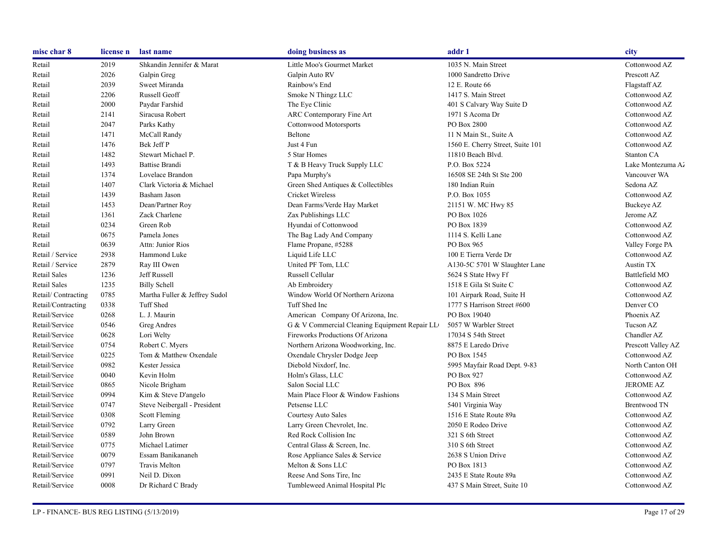| misc char 8         | license n | last name                     | doing business as                             | addr 1                           | city               |
|---------------------|-----------|-------------------------------|-----------------------------------------------|----------------------------------|--------------------|
| Retail              | 2019      | Shkandin Jennifer & Marat     | Little Moo's Gourmet Market                   | 1035 N. Main Street              | Cottonwood AZ      |
| Retail              | 2026      | Galpin Greg                   | Galpin Auto RV                                | 1000 Sandretto Drive             | Prescott AZ        |
| Retail              | 2039      | Sweet Miranda                 | Rainbow's End                                 | 12 E. Route 66                   | Flagstaff AZ       |
| Retail              | 2206      | Russell Geoff                 | Smoke N Thingz LLC                            | 1417 S. Main Street              | Cottonwood AZ      |
| Retail              | 2000      | Paydar Farshid                | The Eye Clinic                                | 401 S Calvary Way Suite D        | Cottonwood AZ      |
| Retail              | 2141      | Siracusa Robert               | ARC Contemporary Fine Art                     | 1971 S Acoma Dr                  | Cottonwood AZ      |
| Retail              | 2047      | Parks Kathy                   | <b>Cottonwood Motorsports</b>                 | PO Box 2800                      | Cottonwood AZ      |
| Retail              | 1471      | McCall Randy                  | Beltone                                       | 11 N Main St., Suite A           | Cottonwood AZ      |
| Retail              | 1476      | Bek Jeff P                    | Just 4 Fun                                    | 1560 E. Cherry Street, Suite 101 | Cottonwood AZ      |
| Retail              | 1482      | Stewart Michael P.            | 5 Star Homes                                  | 11810 Beach Blvd.                | Stanton CA         |
| Retail              | 1493      | <b>Battise Brandi</b>         | T & B Heavy Truck Supply LLC                  | P.O. Box 5224                    | Lake Montezuma Az  |
| Retail              | 1374      | Lovelace Brandon              | Papa Murphy's                                 | 16508 SE 24th St Ste 200         | Vancouver WA       |
| Retail              | 1407      | Clark Victoria & Michael      | Green Shed Antiques & Collectibles            | 180 Indian Ruin                  | Sedona AZ          |
| Retail              | 1439      | Basham Jason                  | <b>Cricket Wireless</b>                       | P.O. Box 1055                    | Cottonwood AZ      |
| Retail              | 1453      | Dean/Partner Roy              | Dean Farms/Verde Hay Market                   | 21151 W. MC Hwy 85               | Buckeye AZ         |
| Retail              | 1361      | Zack Charlene                 | Zax Publishings LLC                           | PO Box 1026                      | Jerome AZ          |
| Retail              | 0234      | Green Rob                     | Hyundai of Cottonwood                         | PO Box 1839                      | Cottonwood AZ      |
| Retail              | 0675      | Pamela Jones                  | The Bag Lady And Company                      | 1114 S. Kelli Lane               | Cottonwood AZ      |
| Retail              | 0639      | Attn: Junior Rios             | Flame Propane, #5288                          | PO Box 965                       | Valley Forge PA    |
| Retail / Service    | 2938      | Hammond Luke                  | Liquid Life LLC                               | 100 E Tierra Verde Dr            | Cottonwood AZ      |
| Retail / Service    | 2879      | Ray III Owen                  | United PF Tom, LLC                            | A130-5C 5701 W Slaughter Lane    | Austin TX          |
| <b>Retail Sales</b> | 1236      | Jeff Russell                  | Russell Cellular                              | 5624 S State Hwy Ff              | Battlefield MO     |
| Retail Sales        | 1235      | <b>Billy Schell</b>           | Ab Embroidery                                 | 1518 E Gila St Suite C           | Cottonwood AZ      |
| Retail/Contracting  | 0785      | Martha Fuller & Jeffrey Sudol | Window World Of Northern Arizona              | 101 Airpark Road, Suite H        | Cottonwood AZ      |
| Retail/Contracting  | 0338      | <b>Tuff Shed</b>              | Tuff Shed Inc                                 | 1777 S Harrison Street #600      | Denver CO          |
| Retail/Service      | 0268      | L. J. Maurin                  | American Company Of Arizona, Inc.             | PO Box 19040                     | Phoenix AZ         |
| Retail/Service      | 0546      | Greg Andres                   | G & V Commercial Cleaning Equipment Repair LL | 5057 W Warbler Street            | Tucson AZ          |
| Retail/Service      | 0628      | Lori Welty                    | Fireworks Productions Of Arizona              | 17034 S 54th Street              | Chandler AZ        |
| Retail/Service      | 0754      | Robert C. Myers               | Northern Arizona Woodworking, Inc.            | 8875 E Laredo Drive              | Prescott Valley AZ |
| Retail/Service      | 0225      | Tom & Matthew Oxendale        | Oxendale Chrysler Dodge Jeep                  | PO Box 1545                      | Cottonwood AZ      |
| Retail/Service      | 0982      | Kester Jessica                | Diebold Nixdorf, Inc.                         | 5995 Mayfair Road Dept. 9-83     | North Canton OH    |
| Retail/Service      | 0040      | Kevin Holm                    | Holm's Glass, LLC                             | PO Box 927                       | Cottonwood AZ      |
| Retail/Service      | 0865      | Nicole Brigham                | Salon Social LLC                              | PO Box 896                       | <b>JEROME AZ</b>   |
| Retail/Service      | 0994      | Kim & Steve D'angelo          | Main Place Floor & Window Fashions            | 134 S Main Street                | Cottonwood AZ      |
| Retail/Service      | 0747      | Steve Neibergall - President  | Petsense LLC                                  | 5401 Virginia Way                | Brentwood TN       |
| Retail/Service      | 0308      | Scott Fleming                 | Courtesy Auto Sales                           | 1516 E State Route 89a           | Cottonwood AZ      |
| Retail/Service      | 0792      | Larry Green                   | Larry Green Chevrolet, Inc.                   | 2050 E Rodeo Drive               | Cottonwood AZ      |
| Retail/Service      | 0589      | John Brown                    | Red Rock Collision Inc                        | 321 S 6th Street                 | Cottonwood AZ      |
| Retail/Service      | 0775      | Michael Latimer               | Central Glass & Screen, Inc.                  | 310 S 6th Street                 | Cottonwood AZ      |
| Retail/Service      | 0079      | Essam Banikananeh             | Rose Appliance Sales & Service                | 2638 S Union Drive               | Cottonwood AZ      |
| Retail/Service      | 0797      | <b>Travis Melton</b>          | Melton & Sons LLC                             | PO Box 1813                      | Cottonwood AZ      |
| Retail/Service      | 0991      | Neil D. Dixon                 | Reese And Sons Tire, Inc.                     | 2435 E State Route 89a           | Cottonwood AZ      |
| Retail/Service      | 0008      | Dr Richard C Brady            | Tumbleweed Animal Hospital Plc                | 437 S Main Street, Suite 10      | Cottonwood AZ      |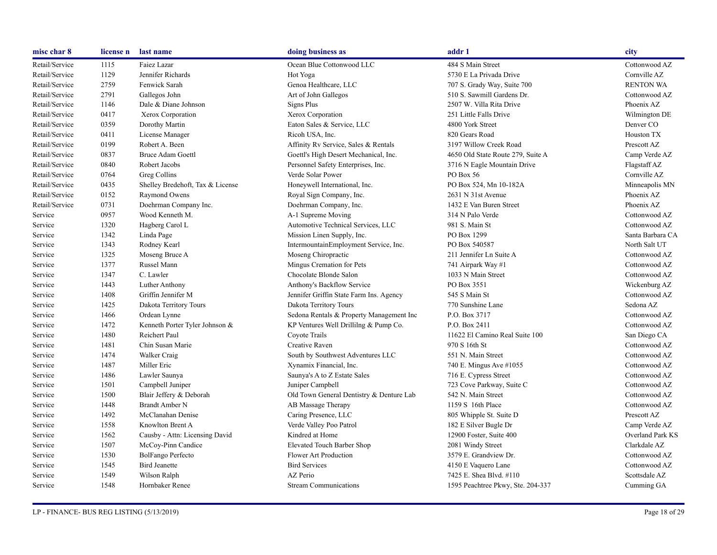| misc char 8    | license n | last name                        | doing business as                        | addr 1                            | city             |
|----------------|-----------|----------------------------------|------------------------------------------|-----------------------------------|------------------|
| Retail/Service | 1115      | Faiez Lazar                      | Ocean Blue Cottonwood LLC                | 484 S Main Street                 | Cottonwood AZ    |
| Retail/Service | 1129      | Jennifer Richards                | Hot Yoga                                 | 5730 E La Privada Drive           | Cornville AZ     |
| Retail/Service | 2759      | Fenwick Sarah                    | Genoa Healthcare, LLC                    | 707 S. Grady Way, Suite 700       | <b>RENTON WA</b> |
| Retail/Service | 2791      | Gallegos John                    | Art of John Gallegos                     | 510 S. Sawmill Gardens Dr.        | Cottonwood AZ    |
| Retail/Service | 1146      | Dale & Diane Johnson             | Signs Plus                               | 2507 W. Villa Rita Drive          | Phoenix AZ       |
| Retail/Service | 0417      | Xerox Corporation                | Xerox Corporation                        | 251 Little Falls Drive            | Wilmington DE    |
| Retail/Service | 0359      | Dorothy Martin                   | Eaton Sales & Service, LLC               | 4800 York Street                  | Denver CO        |
| Retail/Service | 0411      | License Manager                  | Ricoh USA, Inc.                          | 820 Gears Road                    | Houston TX       |
| Retail/Service | 0199      | Robert A. Been                   | Affinity Rv Service, Sales & Rentals     | 3197 Willow Creek Road            | Prescott AZ      |
| Retail/Service | 0837      | <b>Bruce Adam Goettl</b>         | Goettl's High Desert Mechanical, Inc.    | 4650 Old State Route 279, Suite A | Camp Verde AZ    |
| Retail/Service | 0840      | Robert Jacobs                    | Personnel Safety Enterprises, Inc.       | 3716 N Eagle Mountain Drive       | Flagstaff AZ     |
| Retail/Service | 0764      | Greg Collins                     | Verde Solar Power                        | PO Box 56                         | Cornville AZ     |
| Retail/Service | 0435      | Shelley Bredehoft, Tax & License | Honeywell International, Inc.            | PO Box 524, Mn 10-182A            | Minneapolis MN   |
| Retail/Service | 0152      | Raymond Owens                    | Royal Sign Company, Inc.                 | 2631 N 31st Avenue                | Phoenix AZ       |
| Retail/Service | 0731      | Doehrman Company Inc.            | Doehrman Company, Inc.                   | 1432 E Van Buren Street           | Phoenix AZ       |
| Service        | 0957      | Wood Kenneth M.                  | A-1 Supreme Moving                       | 314 N Palo Verde                  | Cottonwood AZ    |
| Service        | 1320      | Hagberg Carol L                  | Automotive Technical Services, LLC       | 981 S. Main St                    | Cottonwood AZ    |
| Service        | 1342      | Linda Page                       | Mission Linen Supply, Inc.               | PO Box 1299                       | Santa Barbara CA |
| Service        | 1343      | Rodney Kearl                     | IntermountainEmployment Service, Inc.    | PO Box 540587                     | North Salt UT    |
| Service        | 1325      | Moseng Bruce A                   | Moseng Chiropractic                      | 211 Jennifer Ln Suite A           | Cottonwood AZ    |
| Service        | 1377      | Russel Mann                      | Mingus Cremation for Pets                | 741 Airpark Way #1                | Cottonwood AZ    |
| Service        | 1347      | C. Lawler                        | Chocolate Blonde Salon                   | 1033 N Main Street                | Cottonwood AZ    |
| Service        | 1443      | Luther Anthony                   | Anthony's Backflow Service               | PO Box 3551                       | Wickenburg AZ    |
| Service        | 1408      | Griffin Jennifer M               | Jennifer Griffin State Farm Ins. Agency  | 545 S Main St                     | Cottonwood AZ    |
| Service        | 1425      | Dakota Territory Tours           | Dakota Territory Tours                   | 770 Sunshine Lane                 | Sedona AZ        |
| Service        | 1466      | Ordean Lynne                     | Sedona Rentals & Property Management Inc | P.O. Box 3717                     | Cottonwood AZ    |
| Service        | 1472      | Kenneth Porter Tyler Johnson &   | KP Ventures Well Drillilng & Pump Co.    | P.O. Box 2411                     | Cottonwood AZ    |
| Service        | 1480      | Reichert Paul                    | Coyote Trails                            | 11622 El Camino Real Suite 100    | San Diego CA     |
| Service        | 1481      | Chin Susan Marie                 | Creative Raven                           | 970 S 16th St                     | Cottonwood AZ    |
| Service        | 1474      | Walker Craig                     | South by Southwest Adventures LLC        | 551 N. Main Street                | Cottonwood AZ    |
| Service        | 1487      | Miller Eric                      | Xynamix Financial, Inc.                  | 740 E. Mingus Ave #1055           | Cottonwood AZ    |
| Service        | 1486      | Lawler Saunya                    | Saunya's A to Z Estate Sales             | 716 E. Cypress Street             | Cottonwood AZ    |
| Service        | 1501      | Campbell Juniper                 | Juniper Campbell                         | 723 Cove Parkway, Suite C         | Cottonwood AZ    |
| Service        | 1500      | Blair Jeffery & Deborah          | Old Town General Dentistry & Denture Lab | 542 N. Main Street                | Cottonwood AZ    |
| Service        | 1448      | <b>Brandt Amber N</b>            | AB Massage Therapy                       | 1159 S 16th Place                 | Cottonwood AZ    |
| Service        | 1492      | McClanahan Denise                | Caring Presence, LLC                     | 805 Whipple St. Suite D           | Prescott AZ      |
| Service        | 1558      | Knowlton Brent A                 | Verde Valley Poo Patrol                  | 182 E Silver Bugle Dr             | Camp Verde AZ    |
| Service        | 1562      | Causby - Attn: Licensing David   | Kindred at Home                          | 12900 Foster, Suite 400           | Overland Park KS |
| Service        | 1507      | McCoy-Pinn Candice               | <b>Elevated Touch Barber Shop</b>        | 2081 Windy Street                 | Clarkdale AZ     |
| Service        | 1530      | BolFango Perfecto                | Flower Art Production                    | 3579 E. Grandview Dr.             | Cottonwood AZ    |
| Service        | 1545      | <b>Bird Jeanette</b>             | <b>Bird Services</b>                     | 4150 E Vaquero Lane               | Cottonwood AZ    |
| Service        | 1549      | Wilson Ralph                     | AZ Perio                                 | 7425 E. Shea Blvd. #110           | Scottsdale AZ    |
| Service        | 1548      | Hornbaker Renee                  | <b>Stream Communications</b>             | 1595 Peachtree Pkwy, Ste. 204-337 | Cumming GA       |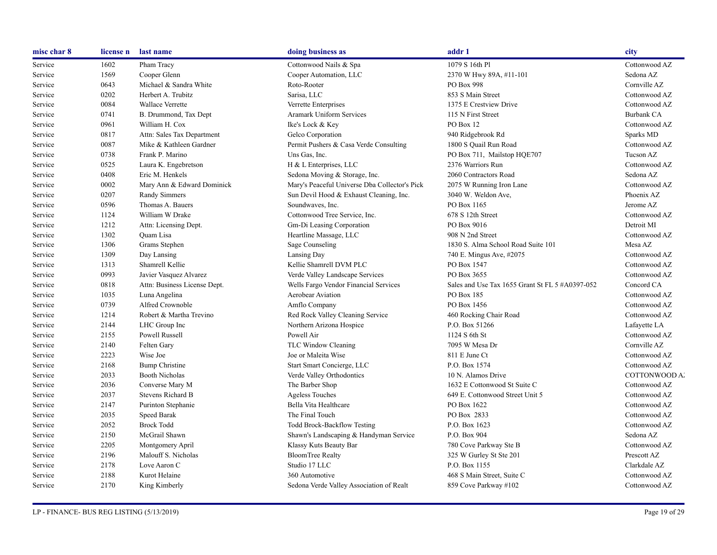| misc char 8 | license n | last name                    | doing business as                             | addr 1                                          | city              |
|-------------|-----------|------------------------------|-----------------------------------------------|-------------------------------------------------|-------------------|
| Service     | 1602      | Pham Tracy                   | Cottonwood Nails & Spa                        | 1079 S 16th Pl                                  | Cottonwood AZ     |
| Service     | 1569      | Cooper Glenn                 | Cooper Automation, LLC                        | 2370 W Hwy 89A, #11-101                         | Sedona AZ         |
| Service     | 0643      | Michael & Sandra White       | Roto-Rooter                                   | PO Box 998                                      | Cornville AZ      |
| Service     | 0202      | Herbert A. Trubitz           | Sarisa, LLC                                   | 853 S Main Street                               | Cottonwood AZ     |
| Service     | 0084      | Wallace Verrette             | Verrette Enterprises                          | 1375 E Crestview Drive                          | Cottonwood AZ     |
| Service     | 0741      | B. Drummond, Tax Dept        | Aramark Uniform Services                      | 115 N First Street                              | <b>Burbank CA</b> |
| Service     | 0961      | William H. Cox               | Ike's Lock & Key                              | PO Box 12                                       | Cottonwood AZ     |
| Service     | 0817      | Attn: Sales Tax Department   | Gelco Corporation                             | 940 Ridgebrook Rd                               | Sparks MD         |
| Service     | 0087      | Mike & Kathleen Gardner      | Permit Pushers & Casa Verde Consulting        | 1800 S Quail Run Road                           | Cottonwood AZ     |
| Service     | 0738      | Frank P. Marino              | Uns Gas, Inc.                                 | PO Box 711, Mailstop HQE707                     | Tucson AZ         |
| Service     | 0525      | Laura K. Engebretson         | H & L Enterprises, LLC                        | 2376 Warriors Run                               | Cottonwood AZ     |
| Service     | 0408      | Eric M. Henkels              | Sedona Moving & Storage, Inc.                 | 2060 Contractors Road                           | Sedona AZ         |
| Service     | 0002      | Mary Ann & Edward Dominick   | Mary's Peaceful Universe Dba Collector's Pick | 2075 W Running Iron Lane                        | Cottonwood AZ     |
| Service     | 0207      | Randy Simmers                | Sun Devil Hood & Exhaust Cleaning, Inc.       | 3040 W. Weldon Ave.                             | Phoenix AZ        |
| Service     | 0596      | Thomas A. Bauers             | Soundwaves, Inc.                              | PO Box 1165                                     | Jerome AZ         |
| Service     | 1124      | William W Drake              | Cottonwood Tree Service, Inc.                 | 678 S 12th Street                               | Cottonwood AZ     |
| Service     | 1212      | Attn: Licensing Dept.        | Gm-Di Leasing Corporation                     | PO Box 9016                                     | Detroit MI        |
| Service     | 1302      | <b>Ouam Lisa</b>             | Heartline Massage, LLC                        | 908 N 2nd Street                                | Cottonwood AZ     |
| Service     | 1306      | Grams Stephen                | Sage Counseling                               | 1830 S. Alma School Road Suite 101              | Mesa AZ           |
| Service     | 1309      | Day Lansing                  | Lansing Day                                   | 740 E. Mingus Ave, #2075                        | Cottonwood AZ     |
| Service     | 1313      | Shamrell Kellie              | Kellie Shamrell DVM PLC                       | PO Box 1547                                     | Cottonwood AZ     |
| Service     | 0993      | Javier Vasquez Alvarez       | Verde Valley Landscape Services               | PO Box 3655                                     | Cottonwood AZ     |
| Service     | 0818      | Attn: Business License Dept. | Wells Fargo Vendor Financial Services         | Sales and Use Tax 1655 Grant St FL 5 #A0397-052 | Concord CA        |
| Service     | 1035      | Luna Angelina                | <b>Aerobear Aviation</b>                      | PO Box 185                                      | Cottonwood AZ     |
| Service     | 0739      | Alfred Crownoble             | Amflo Company                                 | PO Box 1456                                     | Cottonwood AZ     |
| Service     | 1214      | Robert & Martha Trevino      | Red Rock Valley Cleaning Service              | 460 Rocking Chair Road                          | Cottonwood AZ     |
| Service     | 2144      | LHC Group Inc                | Northern Arizona Hospice                      | P.O. Box 51266                                  | Lafayette LA      |
| Service     | 2155      | Powell Russell               | Powell Air                                    | 1124 S 6th St                                   | Cottonwood AZ     |
| Service     | 2140      | Felten Gary                  | TLC Window Cleaning                           | 7095 W Mesa Dr                                  | Cornville AZ      |
| Service     | 2223      | Wise Joe                     | Joe or Maleita Wise                           | 811 E June Ct                                   | Cottonwood AZ     |
| Service     | 2168      | <b>Bump Christine</b>        | Start Smart Concierge, LLC                    | P.O. Box 1574                                   | Cottonwood AZ     |
| Service     | 2033      | <b>Booth Nicholas</b>        | Verde Valley Orthodontics                     | 10 N. Alamos Drive                              | COTTONWOOD A.     |
| Service     | 2036      | Converse Mary M              | The Barber Shop                               | 1632 E Cottonwood St Suite C                    | Cottonwood AZ     |
| Service     | 2037      | Stevens Richard B            | <b>Ageless Touches</b>                        | 649 E. Cottonwood Street Unit 5                 | Cottonwood AZ     |
| Service     | 2147      | Purinton Stephanie           | Bella Vita Healthcare                         | PO Box 1622                                     | Cottonwood AZ     |
| Service     | 2035      | Speed Barak                  | The Final Touch                               | PO Box 2833                                     | Cottonwood AZ     |
| Service     | 2052      | <b>Brock Todd</b>            | <b>Todd Brock-Backflow Testing</b>            | P.O. Box 1623                                   | Cottonwood AZ     |
| Service     | 2150      | McGrail Shawn                | Shawn's Landscaping & Handyman Service        | P.O. Box 904                                    | Sedona AZ         |
| Service     | 2205      | Montgomery April             | Klassy Kuts Beauty Bar                        | 780 Cove Parkway Ste B                          | Cottonwood AZ     |
| Service     | 2196      | Malouff S. Nicholas          | <b>BloomTree Realty</b>                       | 325 W Gurley St Ste 201                         | Prescott AZ       |
| Service     | 2178      | Love Aaron C                 | Studio 17 LLC                                 | P.O. Box 1155                                   | Clarkdale AZ      |
| Service     | 2188      | Kurot Helaine                | 360 Automotive                                | 468 S Main Street, Suite C                      | Cottonwood AZ     |
| Service     | 2170      | King Kimberly                | Sedona Verde Valley Association of Realt      | 859 Cove Parkway #102                           | Cottonwood AZ     |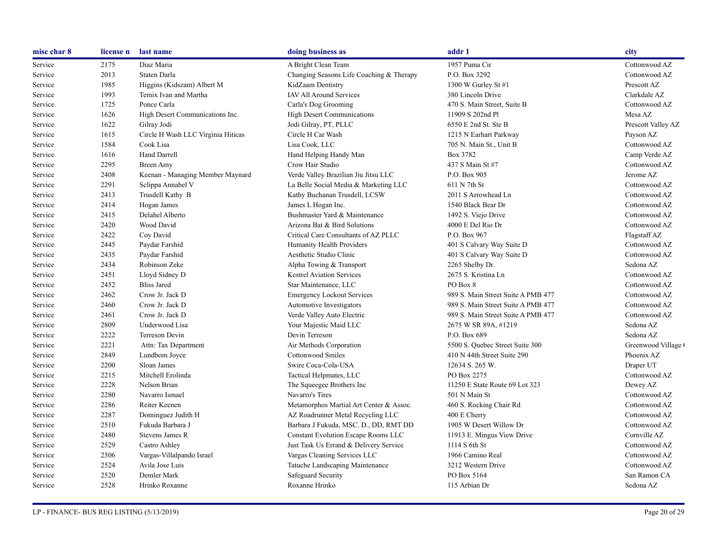| misc char 8 | license n | last name                          | doing business as                        | addr 1                             | city               |
|-------------|-----------|------------------------------------|------------------------------------------|------------------------------------|--------------------|
| Service     | 2175      | Diaz Maria                         | A Bright Clean Team                      | 1957 Puma Cir                      | Cottonwood AZ      |
| Service     | 2013      | Staten Darla                       | Changing Seasons Life Coaching & Therapy | P.O. Box 3292                      | Cottonwood AZ      |
| Service     | 1985      | Higgins (Kidszam) Albert M         | KidZaam Dentistry                        | 1300 W Gurley St #1                | Prescott AZ        |
| Service     | 1993      | Temix Ivan and Martha              | <b>IAV All Around Services</b>           | 380 Lincoln Drive                  | Clarkdale AZ       |
| Service     | 1725      | Ponce Carla                        | Carla's Dog Grooming                     | 470 S. Main Street, Suite B        | Cottonwood AZ      |
| Service     | 1626      | High Desert Communications Inc.    | <b>High Desert Communications</b>        | 11909 S 202nd Pl                   | Mesa AZ            |
| Service     | 1622      | Gilray Jodi                        | Jodi Gilray, PT, PLLC                    | 6550 E 2nd St. Ste B               | Prescott Valley AZ |
| Service     | 1615      | Circle H Wash LLC Virginia Hiticas | Circle H Car Wash                        | 1215 N Earhart Parkway             | Payson AZ          |
| Service     | 1584      | Cook Lisa                          | Lisa Cook, LLC                           | 705 N. Main St., Unit B            | Cottonwood AZ      |
| Service     | 1616      | Hand Darrell                       | Hand Helping Handy Man                   | Box 3782                           | Camp Verde AZ      |
| Service     | 2295      | <b>Breen Amy</b>                   | Crow Hair Studio                         | 437 S Main St #7                   | Cottonwood AZ      |
| Service     | 2408      | Keenan - Managing Member Maynard   | Verde Valley Brazilian Jiu Jitsu LLC     | P.O. Box 905                       | Jerome AZ          |
| Service     | 2291      | Sclippa Annabel V                  | La Belle Social Media & Marketing LLC    | 611 N 7th St                       | Cottonwood AZ      |
| Service     | 2413      | Trusdell Kathy B                   | Kathy Buchanan Trusdell, LCSW            | 2011 S Arrowhead Ln                | Cottonwood AZ      |
| Service     | 2414      | Hogan James                        | James L Hogan Inc.                       | 1540 Black Bear Dr                 | Cottonwood AZ      |
| Service     | 2415      | Delahel Alberto                    | Bushmaster Yard & Maintenance            | 1492 S. Viejo Drive                | Cottonwood AZ      |
| Service     | 2420      | Wood David                         | Arizona Bat & Bird Solutions             | 4000 E Del Rio Dr                  | Cottonwood AZ      |
| Service     | 2422      | Coy David                          | Critical Care Consultants of AZ PLLC     | P.O. Box 967                       | Flagstaff AZ       |
| Service     | 2445      | Paydar Farshid                     | Humanity Health Providers                | 401 S Calvary Way Suite D          | Cottonwood AZ      |
| Service     | 2435      | Paydar Farshid                     | Aesthetic Studio Clinic                  | 401 S Calvary Way Suite D          | Cottonwood AZ      |
| Service     | 2434      | Robinson Zeke                      | Alpha Towing & Transport                 | 2265 Shelby Dr.                    | Sedona AZ          |
| Service     | 2451      | Lloyd Sidney D                     | <b>Kestrel Aviation Services</b>         | 2675 S. Kristina Ln                | Cottonwood AZ      |
| Service     | 2452      | <b>Bliss Jared</b>                 | Star Maintenance, LLC                    | PO Box 8                           | Cottonwood AZ      |
| Service     | 2462      | Crow Jr. Jack D                    | <b>Emergency Lockout Services</b>        | 989 S. Main Street Suite A PMB 477 | Cottonwood AZ      |
| Service     | 2460      | Crow Jr. Jack D                    | Automotive Investigators                 | 989 S. Main Street Suite A PMB 477 | Cottonwood AZ      |
| Service     | 2461      | Crow Jr. Jack D                    | Verde Valley Auto Electric               | 989 S. Main Street Suite A PMB 477 | Cottonwood AZ      |
| Service     | 2809      | Underwood Lisa                     | Your Majestic Maid LLC                   | 2675 W SR 89A, #1219               | Sedona AZ          |
| Service     | 2222      | Terreson Devin                     | Devin Terreson                           | P.O. Box 689                       | Sedona AZ          |
| Service     | 2221      | Attn: Tax Department               | Air Methods Corporation                  | 5500 S. Ouebec Street Suite 300    | Greenwood Village  |
| Service     | 2849      | Lundbom Joyce                      | <b>Cottonwood Smiles</b>                 | 410 N 44th Street Suite 290        | Phoenix AZ         |
| Service     | 2200      | Sloan James                        | Swire Coca-Cola-USA                      | 12634 S. 265 W.                    | Draper UT          |
| Service     | 2215      | Mitchell Erolinda                  | Tactical Helpmates, LLC                  | PO Box 2275                        | Cottonwood AZ      |
| Service     | 2228      | Nelson Brian                       | The Squeegee Brothers Inc                | 11250 E State Route 69 Lot 323     | Dewey AZ           |
| Service     | 2280      | Navarro Ismael                     | Navarro's Tires                          | 501 N Main St                      | Cottonwood AZ      |
| Service     | 2286      | Reiter Keenen                      | Metamorphos Martial Art Center & Assoc.  | 460 S. Rocking Chair Rd            | Cottonwood AZ      |
| Service     | 2287      | Dominguez Judith H                 | AZ Roadrunner Metal Recycling LLC        | 400 E Cherry                       | Cottonwood AZ      |
| Service     | 2510      | Fukuda Barbara J                   | Barbara J Fukuda, MSC. D., DD, RMT DD    | 1905 W Desert Willow Dr            | Cottonwood AZ      |
| Service     | 2480      | Stevens James R                    | Constant Evolution Escape Rooms LLC      | 11913 E. Mingus View Drive         | Cornville AZ       |
| Service     | 2529      | Castro Ashley                      | Just Task Us Errand & Delivery Service   | 1114 S 6th St                      | Cottonwood AZ      |
| Service     | 2506      | Vargas-Villalpando Israel          | Vargas Cleaning Services LLC             | 1966 Camino Real                   | Cottonwood AZ      |
| Service     | 2524      | Avila Jose Luis                    | Tatuche Landscaping Maintenance          | 3212 Western Drive                 | Cottonwood AZ      |
| Service     | 2520      | Demler Mark                        | Safeguard Security                       | PO Box 5164                        | San Ramon CA       |
| Service     | 2528      | Hrinko Roxanne                     | Roxanne Hrinko                           | 115 Arbian Dr                      | Sedona AZ          |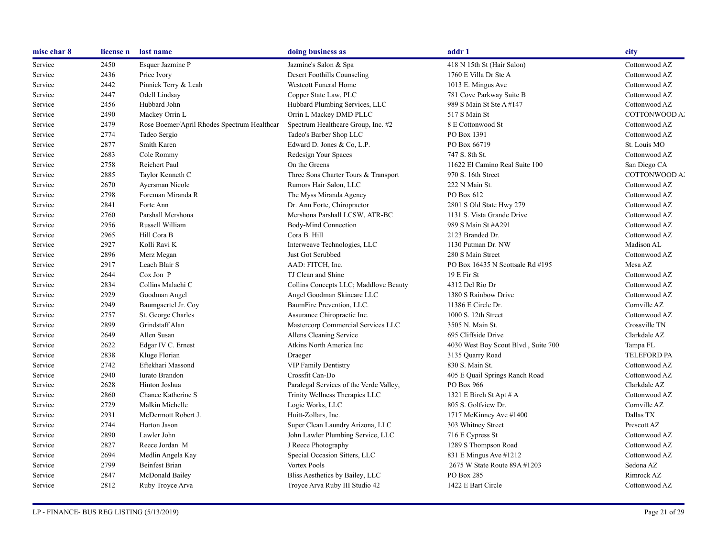| misc char 8 | license n | last name                                   | doing business as                       | addr 1                               | city               |
|-------------|-----------|---------------------------------------------|-----------------------------------------|--------------------------------------|--------------------|
| Service     | 2450      | Esquer Jazmine P                            | Jazmine's Salon & Spa                   | 418 N 15th St (Hair Salon)           | Cottonwood AZ      |
| Service     | 2436      | Price Ivory                                 | Desert Foothills Counseling             | 1760 E Villa Dr Ste A                | Cottonwood AZ      |
| Service     | 2442      | Pinnick Terry & Leah                        | <b>Westcott Funeral Home</b>            | 1013 E. Mingus Ave                   | Cottonwood AZ      |
| Service     | 2447      | Odell Lindsay                               | Copper State Law, PLC                   | 781 Cove Parkway Suite B             | Cottonwood AZ      |
| Service     | 2456      | Hubbard John                                | Hubbard Plumbing Services, LLC          | 989 S Main St Ste A #147             | Cottonwood AZ      |
| Service     | 2490      | Mackey Orrin L                              | Orrin L Mackey DMD PLLC                 | 517 S Main St                        | COTTONWOOD A.      |
| Service     | 2479      | Rose Boemer/April Rhodes Spectrum Healthcar | Spectrum Healthcare Group, Inc. #2      | 8 E Cottonwood St                    | Cottonwood AZ      |
| Service     | 2774      | Tadeo Sergio                                | Tadeo's Barber Shop LLC                 | PO Box 1391                          | Cottonwood AZ      |
| Service     | 2877      | Smith Karen                                 | Edward D. Jones & Co, L.P.              | PO Box 66719                         | St. Louis MO       |
| Service     | 2683      | Cole Rommy                                  | Redesign Your Spaces                    | 747 S. 8th St.                       | Cottonwood AZ      |
| Service     | 2758      | Reichert Paul                               | On the Greens                           | 11622 El Camino Real Suite 100       | San Diego CA       |
| Service     | 2885      | Taylor Kenneth C                            | Three Sons Charter Tours & Transport    | 970 S. 16th Street                   | COTTONWOOD A.      |
| Service     | 2670      | Ayersman Nicole                             | Rumors Hair Salon, LLC                  | 222 N Main St.                       | Cottonwood AZ      |
| Service     | 2798      | Foreman Miranda R                           | The Myss Miranda Agency                 | PO Box 612                           | Cottonwood AZ      |
| Service     | 2841      | Forte Ann                                   | Dr. Ann Forte, Chiropractor             | 2801 S Old State Hwy 279             | Cottonwood AZ      |
| Service     | 2760      | Parshall Mershona                           | Mershona Parshall LCSW, ATR-BC          | 1131 S. Vista Grande Drive           | Cottonwood AZ      |
| Service     | 2956      | Russell William                             | Body-Mind Connection                    | 989 S Main St #A291                  | Cottonwood AZ      |
| Service     | 2965      | Hill Cora B                                 | Cora B. Hill                            | 2123 Branded Dr.                     | Cottonwood AZ      |
| Service     | 2927      | Kolli Ravi K                                | Interweave Technologies, LLC            | 1130 Putman Dr. NW                   | Madison AL         |
| Service     | 2896      | Merz Megan                                  | Just Got Scrubbed                       | 280 S Main Street                    | Cottonwood AZ      |
| Service     | 2917      | Leach Blair S                               | AAD: FITCH, Inc.                        | PO Box 16435 N Scottsale Rd #195     | Mesa AZ            |
| Service     | 2644      | Cox Jon P                                   | TJ Clean and Shine                      | 19 E Fir St                          | Cottonwood AZ      |
| Service     | 2834      | Collins Malachi C                           | Collins Concepts LLC; Maddlove Beauty   | 4312 Del Rio Dr                      | Cottonwood AZ      |
| Service     | 2929      | Goodman Angel                               | Angel Goodman Skincare LLC              | 1380 S Rainbow Drive                 | Cottonwood AZ      |
| Service     | 2949      | Baumgaertel Jr. Coy                         | BaumFire Prevention, LLC.               | 11386 E Circle Dr.                   | Cornville AZ       |
| Service     | 2757      | St. George Charles                          | Assurance Chiropractic Inc.             | 1000 S. 12th Street                  | Cottonwood AZ      |
| Service     | 2899      | Grindstaff Alan                             | Mastercorp Commercial Services LLC      | 3505 N. Main St.                     | Crossville TN      |
| Service     | 2649      | Allen Susan                                 | Allens Cleaning Service                 | 695 Cliffside Drive                  | Clarkdale AZ       |
| Service     | 2622      | Edgar IV C. Ernest                          | Atkins North America Inc                | 4030 West Boy Scout Blvd., Suite 700 | Tampa FL           |
| Service     | 2838      | Kluge Florian                               | Draeger                                 | 3135 Quarry Road                     | <b>TELEFORD PA</b> |
| Service     | 2742      | Eftekhari Massond                           | <b>VIP Family Dentistry</b>             | 830 S. Main St.                      | Cottonwood AZ      |
| Service     | 2940      | Iurato Brandon                              | Crossfit Can-Do                         | 405 E Quail Springs Ranch Road       | Cottonwood AZ      |
| Service     | 2628      | Hinton Joshua                               | Paralegal Services of the Verde Valley, | PO Box 966                           | Clarkdale AZ       |
| Service     | 2860      | Chance Katherine S                          | Trinity Wellness Therapies LLC          | 1321 E Birch St Apt $#A$             | Cottonwood AZ      |
| Service     | 2729      | Malkin Michelle                             | Logic Works, LLC                        | 805 S. Golfview Dr.                  | Cornville AZ       |
| Service     | 2931      | McDermott Robert J.                         | Huitt-Zollars, Inc.                     | 1717 McKinney Ave #1400              | Dallas TX          |
| Service     | 2744      | Horton Jason                                | Super Clean Laundry Arizona, LLC        | 303 Whitney Street                   | Prescott AZ        |
| Service     | 2890      | Lawler John                                 | John Lawler Plumbing Service, LLC       | 716 E Cypress St                     | Cottonwood AZ      |
| Service     | 2827      | Reece Jordan M                              | J Reece Photography                     | 1289 S Thompson Road                 | Cottonwood AZ      |
| Service     | 2694      | Medlin Angela Kay                           | Special Occasion Sitters, LLC           | 831 E Mingus Ave #1212               | Cottonwood AZ      |
| Service     | 2799      | <b>Beinfest Brian</b>                       | Vortex Pools                            | 2675 W State Route 89A #1203         | Sedona AZ          |
| Service     | 2847      | McDonald Bailey                             | Bliss Aesthetics by Bailey, LLC         | PO Box 285                           | Rimrock AZ         |
| Service     | 2812      | Ruby Troyce Arva                            | Troyce Arva Ruby III Studio 42          | 1422 E Bart Circle                   | Cottonwood AZ      |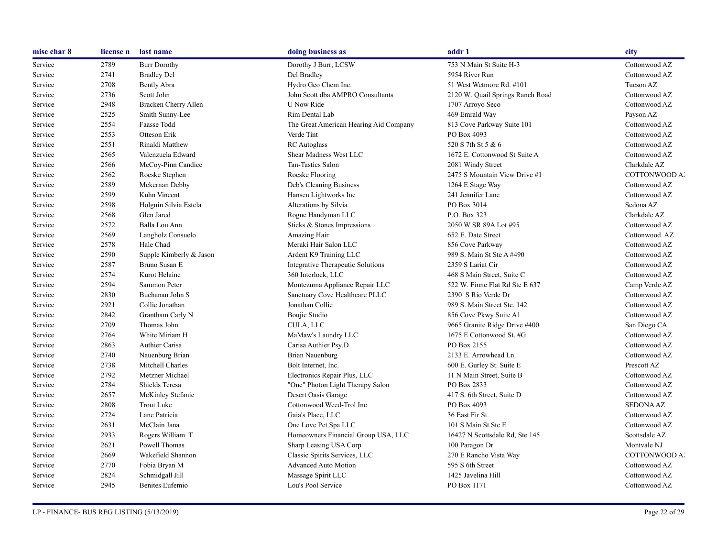| misc char 8 | license n | last name               | doing business as                      | addr 1                           | city             |
|-------------|-----------|-------------------------|----------------------------------------|----------------------------------|------------------|
| Service     | 2789      | <b>Burr Dorothy</b>     | Dorothy J Burr, LCSW                   | 753 N Main St Suite H-3          | Cottonwood AZ    |
| Service     | 2741      | <b>Bradley Del</b>      | Del Bradley                            | 5954 River Run                   | Cottonwood AZ    |
| Service     | 2708      | <b>Bently Abra</b>      | Hydro Geo Chem Inc.                    | 51 West Wetmore Rd. #101         | Tucson AZ        |
| Service     | 2736      | Scott John              | John Scott dba AMPRO Consultants       | 2120 W. Quail Springs Ranch Road | Cottonwood AZ    |
| Service     | 2948      | Bracken Cherry Allen    | U Now Ride                             | 1707 Arroyo Seco                 | Cottonwood AZ    |
| Service     | 2525      | Smith Sunny-Lee         | Rim Dental Lab                         | 469 Emrald Way                   | Payson AZ        |
| Service     | 2554      | Faasse Todd             | The Great American Hearing Aid Company | 813 Cove Parkway Suite 101       | Cottonwood AZ    |
| Service     | 2553      | Otteson Erik            | Verde Tint                             | PO Box 4093                      | Cottonwood AZ    |
| Service     | 2551      | Rinaldi Matthew         | <b>RC</b> Autoglass                    | 520 S 7th St 5 & 6               | Cottonwood AZ    |
| Service     | 2565      | Valenzuela Edward       | Shear Madness West LLC                 | 1672 E. Cottonwood St Suite A    | Cottonwood AZ    |
| Service     | 2566      | McCoy-Pinn Candice      | Tan-Tastics Salon                      | 2081 Windy Street                | Clarkdale AZ     |
| Service     | 2562      | Roeske Stephen          | Roeske Flooring                        | 2475 S Mountain View Drive #1    | COTTONWOOD A.    |
| Service     | 2589      | Mckernan Debby          | Deb's Cleaning Business                | 1264 E Stage Way                 | Cottonwood AZ    |
| Service     | 2599      | Kuhn Vincent            | Hansen Lightworks Inc                  | 241 Jennifer Lane                | Cottonwood AZ    |
| Service     | 2598      | Holguin Silvia Estela   | Alterations by Silvia                  | PO Box 3014                      | Sedona AZ        |
| Service     | 2568      | Glen Jared              | Rogue Handyman LLC                     | P.O. Box 323                     | Clarkdale AZ     |
| Service     | 2572      | Balla Lou Ann           | Sticks & Stones Impressions            | 2050 W SR 89A Lot #95            | Cottonwood AZ    |
| Service     | 2569      | Langholz Consuelo       | Amazing Hair                           | 652 E. Date Street               | Cottonwood AZ    |
| Service     | 2578      | Hale Chad               | Meraki Hair Salon LLC                  | 856 Cove Parkway                 | Cottonwood AZ    |
| Service     | 2590      | Supple Kimberly & Jason | Ardent K9 Training LLC                 | 989 S. Main St Ste A #490        | Cottonwood AZ    |
| Service     | 2587      | Bruno Susan E           | Integrative Therapeutic Solutions      | 2359 S Lariat Cir                | Cottonwood AZ    |
| Service     | 2574      | Kurot Helaine           | 360 Interlock, LLC                     | 468 S Main Street, Suite C       | Cottonwood AZ    |
| Service     | 2594      | Sammon Peter            | Montezuma Appliance Repair LLC         | 522 W. Finne Flat Rd Ste E 637   | Camp Verde AZ    |
| Service     | 2830      | Buchanan John S         | Sanctuary Cove Healthcare PLLC         | 2390 S Rio Verde Dr              | Cottonwood AZ    |
| Service     | 2921      | Collie Jonathan         | Jonathan Collie                        | 989 S. Main Street Ste. 142      | Cottonwood AZ    |
| Service     | 2842      | Grantham Carly N        | Boujie Studio                          | 856 Cove Pkwy Suite A1           | Cottonwood AZ    |
| Service     | 2709      | Thomas John             | CULA, LLC                              | 9665 Granite Ridge Drive #400    | San Diego CA     |
| Service     | 2764      | White Miriam H          | MaMaw's Laundry LLC                    | 1675 E Cottonwood St. #G         | Cottonwood AZ    |
| Service     | 2863      | Authier Carisa          | Carisa Authier Psy.D                   | PO Box 2155                      | Cottonwood AZ    |
| Service     | 2740      | Nauenburg Brian         | <b>Brian Nauenburg</b>                 | 2133 E. Arrowhead Ln.            | Cottonwood AZ    |
| Service     | 2738      | Mitchell Charles        | Bolt Internet, Inc.                    | 600 E. Gurley St. Suite E        | Prescott AZ      |
| Service     | 2792      | Metzner Michael         | Electronics Repair Plus, LLC           | 11 N Main Street, Suite B        | Cottonwood AZ    |
| Service     | 2784      | Shields Teresa          | "One" Photon Light Therapy Salon       | PO Box 2833                      | Cottonwood AZ    |
| Service     | 2657      | McKinley Stefanie       | Desert Oasis Garage                    | 417 S. 6th Street, Suite D       | Cottonwood AZ    |
| Service     | 2808      | <b>Trout Luke</b>       | Cottonwood Weed-Trol Inc               | PO Box 4093                      | <b>SEDONA AZ</b> |
| Service     | 2724      | Lane Patricia           | Gaia's Place, LLC                      | 36 East Fir St.                  | Cottonwood AZ    |
| Service     | 2631      | McClain Jana            | One Love Pet Spa LLC                   | 101 S Main St Ste E              | Cottonwood AZ    |
| Service     | 2933      | Rogers William T        | Homeowners Financial Group USA, LLC    | 16427 N Scottsdale Rd, Ste 145   | Scottsdale AZ    |
| Service     | 2621      | Powell Thomas           | Sharp Leasing USA Corp                 | 100 Paragon Dr                   | Montvale NJ      |
| Service     | 2669      | Wakefield Shannon       | Classic Spirits Services, LLC          | 270 E Rancho Vista Way           | COTTONWOOD A.    |
| Service     | 2770      | Fobia Bryan M           | <b>Advanced Auto Motion</b>            | 595 S 6th Street                 | Cottonwood AZ    |
| Service     | 2824      | Schmidgall Jill         | Massage Spirit LLC                     | 1425 Javelina Hill               | Cottonwood AZ    |
| Service     | 2945      | <b>Benites Eufemio</b>  | Lou's Pool Service                     | PO Box 1171                      | Cottonwood AZ    |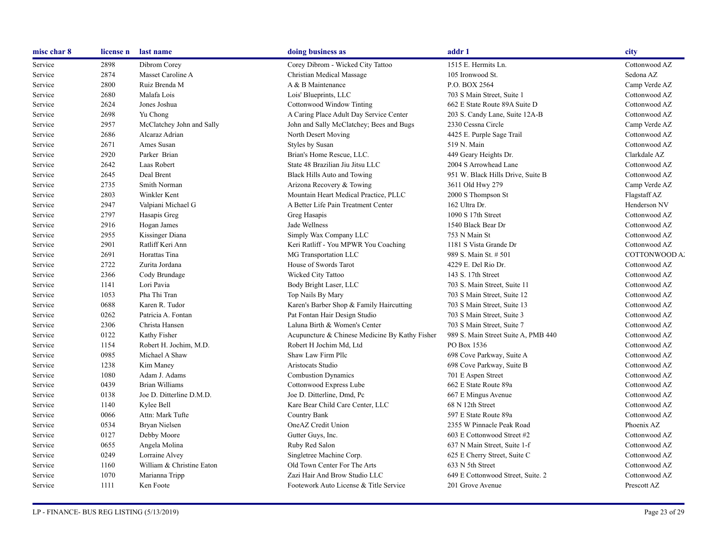| misc char 8 | license n | last name                 | doing business as                              | addr 1                              | city          |
|-------------|-----------|---------------------------|------------------------------------------------|-------------------------------------|---------------|
| Service     | 2898      | Dibrom Corey              | Corey Dibrom - Wicked City Tattoo              | 1515 E. Hermits Ln.                 | Cottonwood AZ |
| Service     | 2874      | Masset Caroline A         | Christian Medical Massage                      | 105 Ironwood St.                    | Sedona AZ     |
| Service     | 2800      | Ruiz Brenda M             | A & B Maintenance                              | P.O. BOX 2564                       | Camp Verde AZ |
| Service     | 2680      | Malafa Lois               | Lois' Blueprints, LLC                          | 703 S Main Street, Suite 1          | Cottonwood AZ |
| Service     | 2624      | Jones Joshua              | Cottonwood Window Tinting                      | 662 E State Route 89A Suite D       | Cottonwood AZ |
| Service     | 2698      | Yu Chong                  | A Caring Place Adult Day Service Center        | 203 S. Candy Lane, Suite 12A-B      | Cottonwood AZ |
| Service     | 2957      | McClatchey John and Sally | John and Sally McClatchey; Bees and Bugs       | 2330 Cessna Circle                  | Camp Verde AZ |
| Service     | 2686      | Alcaraz Adrian            | North Desert Moving                            | 4425 E. Purple Sage Trail           | Cottonwood AZ |
| Service     | 2671      | Ames Susan                | Styles by Susan                                | 519 N. Main                         | Cottonwood AZ |
| Service     | 2920      | Parker Brian              | Brian's Home Rescue, LLC.                      | 449 Geary Heights Dr.               | Clarkdale AZ  |
| Service     | 2642      | Laas Robert               | State 48 Brazilian Jiu Jitsu LLC               | 2004 S Arrowhead Lane               | Cottonwood AZ |
| Service     | 2645      | Deal Brent                | Black Hills Auto and Towing                    | 951 W. Black Hills Drive, Suite B   | Cottonwood AZ |
| Service     | 2735      | Smith Norman              | Arizona Recovery & Towing                      | 3611 Old Hwy 279                    | Camp Verde AZ |
| Service     | 2803      | Winkler Kent              | Mountain Heart Medical Practice, PLLC          | 2000 S Thompson St                  | Flagstaff AZ  |
| Service     | 2947      | Valpiani Michael G        | A Better Life Pain Treatment Center            | 162 Ultra Dr.                       | Henderson NV  |
| Service     | 2797      | Hasapis Greg              | Greg Hasapis                                   | 1090 S 17th Street                  | Cottonwood AZ |
| Service     | 2916      | Hogan James               | Jade Wellness                                  | 1540 Black Bear Dr                  | Cottonwood AZ |
| Service     | 2955      | Kissinger Diana           | Simply Wax Company LLC                         | 753 N Main St                       | Cottonwood AZ |
| Service     | 2901      | Ratliff Keri Ann          | Keri Ratliff - You MPWR You Coaching           | 1181 S Vista Grande Dr              | Cottonwood AZ |
| Service     | 2691      | Horattas Tina             | MG Transportation LLC                          | 989 S. Main St. # 501               | COTTONWOOD A. |
| Service     | 2722      | Zurita Jordana            | House of Swords Tarot                          | 4229 E. Del Rio Dr.                 | Cottonwood AZ |
| Service     | 2366      | Cody Brundage             | Wicked City Tattoo                             | 143 S. 17th Street                  | Cottonwood AZ |
| Service     | 1141      | Lori Pavia                | Body Bright Laser, LLC                         | 703 S. Main Street, Suite 11        | Cottonwood AZ |
| Service     | 1053      | Pha Thi Tran              | Top Nails By Mary                              | 703 S Main Street, Suite 12         | Cottonwood AZ |
| Service     | 0688      | Karen R. Tudor            | Karen's Barber Shop & Family Haircutting       | 703 S Main Street, Suite 13         | Cottonwood AZ |
| Service     | 0262      | Patricia A. Fontan        | Pat Fontan Hair Design Studio                  | 703 S Main Street, Suite 3          | Cottonwood AZ |
| Service     | 2306      | Christa Hansen            | Laluna Birth & Women's Center                  | 703 S Main Street, Suite 7          | Cottonwood AZ |
| Service     | 0122      | Kathy Fisher              | Acupuncture & Chinese Medicine By Kathy Fisher | 989 S. Main Street Suite A, PMB 440 | Cottonwood AZ |
| Service     | 1154      | Robert H. Jochim, M.D.    | Robert H Jochim Md, Ltd                        | PO Box 1536                         | Cottonwood AZ |
| Service     | 0985      | Michael A Shaw            | Shaw Law Firm Pllc                             | 698 Cove Parkway, Suite A           | Cottonwood AZ |
| Service     | 1238      | Kim Maney                 | Aristocats Studio                              | 698 Cove Parkway, Suite B           | Cottonwood AZ |
| Service     | 1080      | Adam J. Adams             | <b>Combustion Dynamics</b>                     | 701 E Aspen Street                  | Cottonwood AZ |
| Service     | 0439      | <b>Brian Williams</b>     | Cottonwood Express Lube                        | 662 E State Route 89a               | Cottonwood AZ |
| Service     | 0138      | Joe D. Ditterline D.M.D.  | Joe D. Ditterline, Dmd, Pc                     | 667 E Mingus Avenue                 | Cottonwood AZ |
| Service     | 1140      | Kylee Bell                | Kare Bear Child Care Center, LLC               | 68 N 12th Street                    | Cottonwood AZ |
| Service     | 0066      | Attn: Mark Tufte          | Country Bank                                   | 597 E State Route 89a               | Cottonwood AZ |
| Service     | 0534      | Bryan Nielsen             | OneAZ Credit Union                             | 2355 W Pinnacle Peak Road           | Phoenix AZ    |
| Service     | 0127      | Debby Moore               | Gutter Guys, Inc.                              | 603 E Cottonwood Street #2          | Cottonwood AZ |
| Service     | 0655      | Angela Molina             | Ruby Red Salon                                 | 637 N Main Street, Suite 1-f        | Cottonwood AZ |
| Service     | 0249      | Lorraine Alvey            | Singletree Machine Corp.                       | 625 E Cherry Street, Suite C        | Cottonwood AZ |
| Service     | 1160      | William & Christine Eaton | Old Town Center For The Arts                   | 633 N 5th Street                    | Cottonwood AZ |
| Service     | 1070      | Marianna Tripp            | Zazi Hair And Brow Studio LLC                  | 649 E Cottonwood Street, Suite. 2   | Cottonwood AZ |
| Service     | 1111      | Ken Foote                 | Footework Auto License & Title Service         | 201 Grove Avenue                    | Prescott AZ   |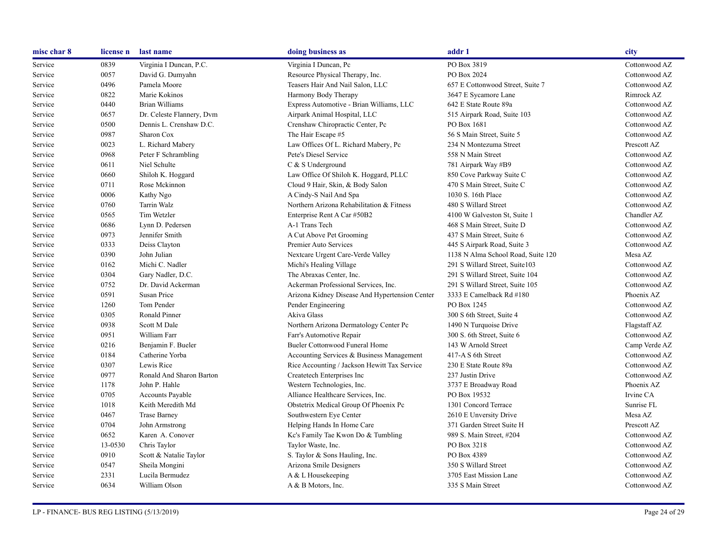| misc char 8 | license n | last name                 | doing business as                              | addr 1                             | city          |
|-------------|-----------|---------------------------|------------------------------------------------|------------------------------------|---------------|
| Service     | 0839      | Virginia I Duncan, P.C.   | Virginia I Duncan, Pc                          | PO Box 3819                        | Cottonwood AZ |
| Service     | 0057      | David G. Dumyahn          | Resource Physical Therapy, Inc.                | PO Box 2024                        | Cottonwood AZ |
| Service     | 0496      | Pamela Moore              | Teasers Hair And Nail Salon, LLC               | 657 E Cottonwood Street, Suite 7   | Cottonwood AZ |
| Service     | 0822      | Marie Kokinos             | Harmony Body Therapy                           | 3647 E Sycamore Lane               | Rimrock AZ    |
| Service     | 0440      | Brian Williams            | Express Automotive - Brian Williams, LLC       | 642 E State Route 89a              | Cottonwood AZ |
| Service     | 0657      | Dr. Celeste Flannery, Dvm | Airpark Animal Hospital, LLC                   | 515 Airpark Road, Suite 103        | Cottonwood AZ |
| Service     | 0500      | Dennis L. Crenshaw D.C.   | Crenshaw Chiropractic Center, Pc               | PO Box 1681                        | Cottonwood AZ |
| Service     | 0987      | Sharon Cox                | The Hair Escape #5                             | 56 S Main Street, Suite 5          | Cottonwood AZ |
| Service     | 0023      | L. Richard Mabery         | Law Offices Of L. Richard Mabery, Pc           | 234 N Montezuma Street             | Prescott AZ   |
| Service     | 0968      | Peter F Schrambling       | Pete's Diesel Service                          | 558 N Main Street                  | Cottonwood AZ |
| Service     | 0611      | Niel Schulte              | C & S Underground                              | 781 Airpark Way #B9                | Cottonwood AZ |
| Service     | 0660      | Shiloh K. Hoggard         | Law Office Of Shiloh K. Hoggard, PLLC          | 850 Cove Parkway Suite C           | Cottonwood AZ |
| Service     | 0711      | Rose Mckinnon             | Cloud 9 Hair, Skin, & Body Salon               | 470 S Main Street, Suite C         | Cottonwood AZ |
| Service     | 0006      | Kathy Ngo                 | A Cindy-S Nail And Spa                         | 1030 S. 16th Place                 | Cottonwood AZ |
| Service     | 0760      | <b>Tarrin Walz</b>        | Northern Arizona Rehabilitation & Fitness      | 480 S Willard Street               | Cottonwood AZ |
| Service     | 0565      | Tim Wetzler               | Enterprise Rent A Car #50B2                    | 4100 W Galveston St, Suite 1       | Chandler AZ   |
| Service     | 0686      | Lynn D. Pedersen          | A-1 Trans Tech                                 | 468 S Main Street, Suite D         | Cottonwood AZ |
| Service     | 0973      | Jennifer Smith            | A Cut Above Pet Grooming                       | 437 S Main Street, Suite 6         | Cottonwood AZ |
| Service     | 0333      | Deiss Clayton             | Premier Auto Services                          | 445 S Airpark Road, Suite 3        | Cottonwood AZ |
| Service     | 0390      | John Julian               | Nextcare Urgent Care-Verde Valley              | 1138 N Alma School Road, Suite 120 | Mesa AZ       |
| Service     | 0162      | Michi C. Nadler           | Michi's Healing Village                        | 291 S Willard Street, Suite 103    | Cottonwood AZ |
| Service     | 0304      | Gary Nadler, D.C.         | The Abraxas Center, Inc.                       | 291 S Willard Street, Suite 104    | Cottonwood AZ |
| Service     | 0752      | Dr. David Ackerman        | Ackerman Professional Services, Inc.           | 291 S Willard Street, Suite 105    | Cottonwood AZ |
| Service     | 0591      | Susan Price               | Arizona Kidney Disease And Hypertension Center | 3333 E Camelback Rd #180           | Phoenix AZ    |
| Service     | 1260      | Tom Pender                | Pender Engineering                             | PO Box 1245                        | Cottonwood AZ |
| Service     | 0305      | Ronald Pinner             | Akiva Glass                                    | 300 S 6th Street, Suite 4          | Cottonwood AZ |
| Service     | 0938      | Scott M Dale              | Northern Arizona Dermatology Center Pc         | 1490 N Turquoise Drive             | Flagstaff AZ  |
| Service     | 0951      | William Farr              | Farr's Automotive Repair                       | 300 S. 6th Street, Suite 6         | Cottonwood AZ |
| Service     | 0216      | Benjamin F. Bueler        | <b>Bueler Cottonwood Funeral Home</b>          | 143 W Arnold Street                | Camp Verde AZ |
| Service     | 0184      | Catherine Yorba           | Accounting Services & Business Management      | 417-A S 6th Street                 | Cottonwood AZ |
| Service     | 0307      | Lewis Rice                | Rice Accounting / Jackson Hewitt Tax Service   | 230 E State Route 89a              | Cottonwood AZ |
| Service     | 0977      | Ronald And Sharon Barton  | Createtech Enterprises Inc                     | 237 Justin Drive                   | Cottonwood AZ |
| Service     | 1178      | John P. Hahle             | Western Technologies, Inc.                     | 3737 E Broadway Road               | Phoenix AZ    |
| Service     | 0705      | <b>Accounts Payable</b>   | Alliance Healthcare Services, Inc.             | PO Box 19532                       | Irvine CA     |
| Service     | 1018      | Keith Meredith Md         | Obstetrix Medical Group Of Phoenix Pc          | 1301 Concord Terrace               | Sunrise FL    |
| Service     | 0467      | <b>Trase Barney</b>       | Southwestern Eye Center                        | 2610 E Unversity Drive             | Mesa AZ       |
| Service     | 0704      | John Armstrong            | Helping Hands In Home Care                     | 371 Garden Street Suite H          | Prescott AZ   |
| Service     | 0652      | Karen A. Conover          | Kc's Family Tae Kwon Do & Tumbling             | 989 S. Main Street, #204           | Cottonwood AZ |
| Service     | 13-0530   | Chris Taylor              | Taylor Waste, Inc.                             | PO Box 3218                        | Cottonwood AZ |
| Service     | 0910      | Scott & Natalie Taylor    | S. Taylor & Sons Hauling, Inc.                 | PO Box 4389                        | Cottonwood AZ |
| Service     | 0547      | Sheila Mongini            | Arizona Smile Designers                        | 350 S Willard Street               | Cottonwood AZ |
| Service     | 2331      | Lucila Bermudez           | A & L Housekeeping                             | 3705 East Mission Lane             | Cottonwood AZ |
| Service     | 0634      | William Olson             | A & B Motors, Inc.                             | 335 S Main Street                  | Cottonwood AZ |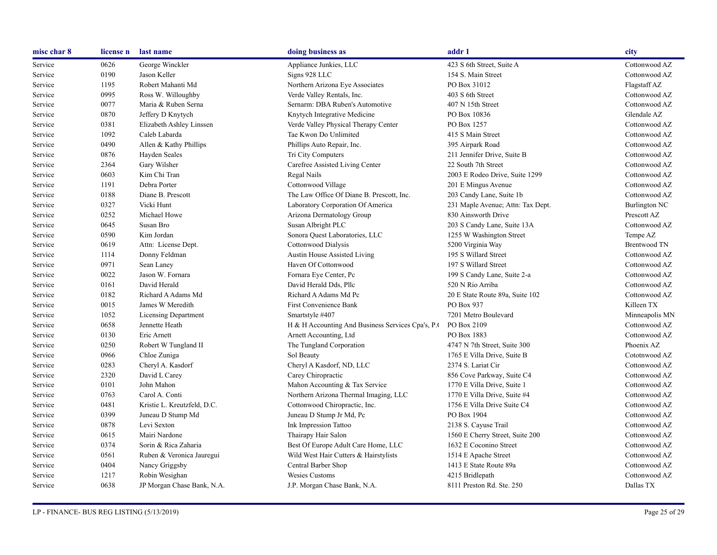| misc char 8 | license n | last name                   | doing business as                                | addr 1                            | city                 |
|-------------|-----------|-----------------------------|--------------------------------------------------|-----------------------------------|----------------------|
| Service     | 0626      | George Winckler             | Appliance Junkies, LLC                           | 423 S 6th Street, Suite A         | Cottonwood AZ        |
| Service     | 0190      | Jason Keller                | Signs 928 LLC                                    | 154 S. Main Street                | Cottonwood AZ        |
| Service     | 1195      | Robert Mahanti Md           | Northern Arizona Eye Associates                  | PO Box 31012                      | Flagstaff AZ         |
| Service     | 0995      | Ross W. Willoughby          | Verde Valley Rentals, Inc.                       | 403 S 6th Street                  | Cottonwood AZ        |
| Service     | 0077      | Maria & Ruben Serna         | Sernarm: DBA Ruben's Automotive                  | 407 N 15th Street                 | Cottonwood AZ        |
| Service     | 0870      | Jeffery D Knytych           | Knytych Integrative Medicine                     | PO Box 10836                      | Glendale AZ          |
| Service     | 0381      | Elizabeth Ashley Linssen    | Verde Valley Physical Therapy Center             | PO Box 1257                       | Cottonwood AZ        |
| Service     | 1092      | Caleb Labarda               | Tae Kwon Do Unlimited                            | 415 S Main Street                 | Cottonwood AZ        |
| Service     | 0490      | Allen & Kathy Phillips      | Phillips Auto Repair, Inc.                       | 395 Airpark Road                  | Cottonwood AZ        |
| Service     | 0876      | Hayden Seales               | Tri City Computers                               | 211 Jennifer Drive, Suite B       | Cottonwood AZ        |
| Service     | 2364      | Gary Wilsher                | Carefree Assisted Living Center                  | 22 South 7th Street               | Cottonwood AZ        |
| Service     | 0603      | Kim Chi Tran                | Regal Nails                                      | 2003 E Rodeo Drive, Suite 1299    | Cottonwood AZ        |
| Service     | 1191      | Debra Porter                | Cottonwood Village                               | 201 E Mingus Avenue               | Cottonwood AZ        |
| Service     | 0188      | Diane B. Prescott           | The Law Office Of Diane B. Prescott, Inc.        | 203 Candy Lane, Suite 1b          | Cottonwood AZ        |
| Service     | 0327      | Vicki Hunt                  | Laboratory Corporation Of America                | 231 Maple Avenue; Attn: Tax Dept. | <b>Burlington NC</b> |
| Service     | 0252      | Michael Howe                | Arizona Dermatology Group                        | 830 Ainsworth Drive               | Prescott AZ          |
| Service     | 0645      | Susan Bro                   | Susan Albright PLC                               | 203 S Candy Lane, Suite 13A       | Cottonwood AZ        |
| Service     | 0590      | Kim Jordan                  | Sonora Quest Laboratories, LLC                   | 1255 W Washington Street          | Tempe AZ             |
| Service     | 0619      | Attn: License Dept.         | Cottonwood Dialysis                              | 5200 Virginia Way                 | <b>Brentwood TN</b>  |
| Service     | 1114      | Donny Feldman               | Austin House Assisted Living                     | 195 S Willard Street              | Cottonwood AZ        |
| Service     | 0971      | Sean Laney                  | Haven Of Cottonwood                              | 197 S Willard Street              | Cottonwood AZ        |
| Service     | 0022      | Jason W. Fornara            | Fornara Eye Center, Pc                           | 199 S Candy Lane, Suite 2-a       | Cottonwood AZ        |
| Service     | 0161      | David Herald                | David Herald Dds, Pllc                           | 520 N Rio Arriba                  | Cottonwood AZ        |
| Service     | 0182      | Richard A Adams Md          | Richard A Adams Md Pc                            | 20 E State Route 89a, Suite 102   | Cottonwood AZ        |
| Service     | 0015      | James W Meredith            | First Convenience Bank                           | PO Box 937                        | Killeen TX           |
| Service     | 1052      | <b>Licensing Department</b> | Smartstyle #407                                  | 7201 Metro Boulevard              | Minneapolis MN       |
| Service     | 0658      | Jennette Heath              | H & H Accounting And Business Services Cpa's, P. | PO Box 2109                       | Cottonwood AZ        |
| Service     | 0130      | Eric Arnett                 | Arnett Accounting, Ltd                           | PO Box 1883                       | Cottonwood AZ        |
| Service     | 0250      | Robert W Tungland II        | The Tungland Corporation                         | 4747 N 7th Street, Suite 300      | Phoenix AZ           |
| Service     | 0966      | Chloe Zuniga                | Sol Beauty                                       | 1765 E Villa Drive, Suite B       | Cototnwood AZ        |
| Service     | 0283      | Cheryl A. Kasdorf           | Cheryl A Kasdorf, ND, LLC                        | 2374 S. Lariat Cir                | Cottonwood AZ        |
| Service     | 2320      | David L Carey               | Carey Chiropractic                               | 856 Cove Parkway, Suite C4        | Cottonwood AZ        |
| Service     | 0101      | John Mahon                  | Mahon Accounting & Tax Service                   | 1770 E Villa Drive, Suite 1       | Cottonwood AZ        |
| Service     | 0763      | Carol A. Conti              | Northern Arizona Thermal Imaging, LLC            | 1770 E Villa Drive, Suite #4      | Cottonwood AZ        |
| Service     | 0481      | Kristie L. Kreutzfeld, D.C. | Cottonwood Chiropractic, Inc.                    | 1756 E Villa Drive Suite C4       | Cottonwood AZ        |
| Service     | 0399      | Juneau D Stump Md           | Juneau D Stump Jr Md, Pc                         | PO Box 1904                       | Cottonwood AZ        |
| Service     | 0878      | Levi Sexton                 | Ink Impression Tattoo                            | 2138 S. Cayuse Trail              | Cottonwood AZ        |
| Service     | 0615      | Mairi Nardone               | Thairapy Hair Salon                              | 1560 E Cherry Street, Suite 200   | Cottonwood AZ        |
| Service     | 0374      | Sorin & Rica Zaharia        | Best Of Europe Adult Care Home, LLC              | 1632 E Coconino Street            | Cottonwood AZ        |
| Service     | 0561      | Ruben & Veronica Jauregui   | Wild West Hair Cutters & Hairstylists            | 1514 E Apache Street              | Cottonwood AZ        |
| Service     | 0404      | Nancy Griggsby              | Central Barber Shop                              | 1413 E State Route 89a            | Cottonwood AZ        |
| Service     | 1217      | Robin Wesighan              | Wesies Customs                                   | 4215 Bridlepath                   | Cottonwood AZ        |
| Service     | 0638      | JP Morgan Chase Bank, N.A.  | J.P. Morgan Chase Bank, N.A.                     | 8111 Preston Rd. Ste. 250         | Dallas TX            |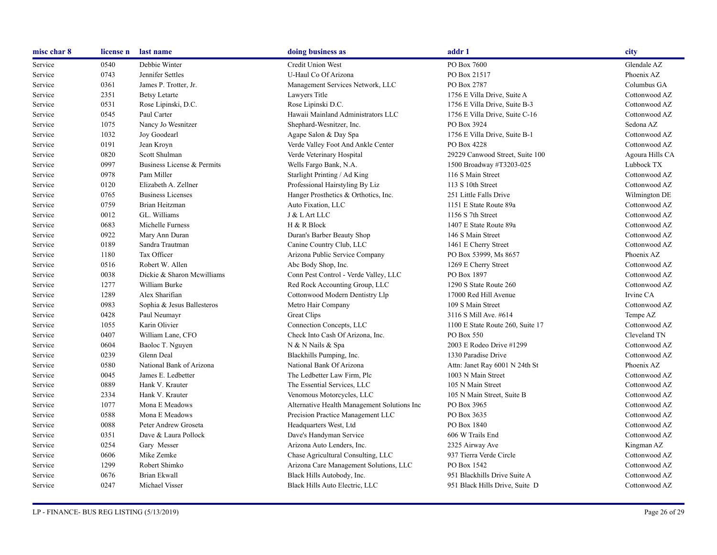| misc char 8 | license n | last name                  | doing business as                           | addr 1                           | city            |
|-------------|-----------|----------------------------|---------------------------------------------|----------------------------------|-----------------|
| Service     | 0540      | Debbie Winter              | Credit Union West                           | PO Box 7600                      | Glendale AZ     |
| Service     | 0743      | Jennifer Settles           | U-Haul Co Of Arizona                        | PO Box 21517                     | Phoenix AZ      |
| Service     | 0361      | James P. Trotter, Jr.      | Management Services Network, LLC            | PO Box 2787                      | Columbus GA     |
| Service     | 2351      | <b>Betsy Letarte</b>       | Lawyers Title                               | 1756 E Villa Drive, Suite A      | Cottonwood AZ   |
| Service     | 0531      | Rose Lipinski, D.C.        | Rose Lipinski D.C.                          | 1756 E Villa Drive, Suite B-3    | Cottonwood AZ   |
| Service     | 0545      | Paul Carter                | Hawaii Mainland Administrators LLC          | 1756 E Villa Drive, Suite C-16   | Cottonwood AZ   |
| Service     | 1075      | Nancy Jo Wesnitzer         | Shephard-Wesnitzer, Inc.                    | PO Box 3924                      | Sedona AZ       |
| Service     | 1032      | Joy Goodearl               | Agape Salon & Day Spa                       | 1756 E Villa Drive, Suite B-1    | Cottonwood AZ   |
| Service     | 0191      | Jean Kroyn                 | Verde Valley Foot And Ankle Center          | PO Box 4228                      | Cottonwood AZ   |
| Service     | 0820      | Scott Shulman              | Verde Veterinary Hospital                   | 29229 Canwood Street, Suite 100  | Agoura Hills CA |
| Service     | 0997      | Business License & Permits | Wells Fargo Bank, N.A.                      | 1500 Broadway #T3203-025         | Lubbock TX      |
| Service     | 0978      | Pam Miller                 | Starlight Printing / Ad King                | 116 S Main Street                | Cottonwood AZ   |
| Service     | 0120      | Elizabeth A. Zellner       | Professional Hairstyling By Liz             | 113 S 10th Street                | Cottonwood AZ   |
| Service     | 0765      | <b>Business Licenses</b>   | Hanger Prosthetics & Orthotics, Inc.        | 251 Little Falls Drive           | Wilmington DE   |
| Service     | 0759      | Brian Heitzman             | Auto Fixation, LLC                          | 1151 E State Route 89a           | Cottonwood AZ   |
| Service     | 0012      | GL. Williams               | J & L Art LLC                               | 1156 S 7th Street                | Cottonwood AZ   |
| Service     | 0683      | Michelle Furness           | H & R Block                                 | 1407 E State Route 89a           | Cottonwood AZ   |
| Service     | 0922      | Mary Ann Duran             | Duran's Barber Beauty Shop                  | 146 S Main Street                | Cottonwood AZ   |
| Service     | 0189      | Sandra Trautman            | Canine Country Club, LLC                    | 1461 E Cherry Street             | Cottonwood AZ   |
| Service     | 1180      | Tax Officer                | Arizona Public Service Company              | PO Box 53999, Ms 8657            | Phoenix AZ      |
| Service     | 0516      | Robert W. Allen            | Abc Body Shop, Inc.                         | 1269 E Cherry Street             | Cottonwood AZ   |
| Service     | 0038      | Dickie & Sharon Mcwilliams | Conn Pest Control - Verde Valley, LLC       | PO Box 1897                      | Cottonwood AZ   |
| Service     | 1277      | William Burke              | Red Rock Accounting Group, LLC              | 1290 S State Route 260           | Cottonwood AZ   |
| Service     | 1289      | Alex Sharifian             | Cottonwood Modern Dentistry Llp             | 17000 Red Hill Avenue            | Irvine CA       |
| Service     | 0983      | Sophia & Jesus Ballesteros | Metro Hair Company                          | 109 S Main Street                | Cottonwood AZ   |
| Service     | 0428      | Paul Neumayr               | Great Clips                                 | 3116 S Mill Ave. #614            | Tempe AZ        |
| Service     | 1055      | Karin Olivier              | Connection Concepts, LLC                    | 1100 E State Route 260, Suite 17 | Cottonwood AZ   |
| Service     | 0407      | William Lane, CFO          | Check Into Cash Of Arizona, Inc.            | PO Box 550                       | Cleveland TN    |
| Service     | 0604      | Baoloc T. Nguyen           | N & N Nails & Spa                           | 2003 E Rodeo Drive #1299         | Cottonwood AZ   |
| Service     | 0239      | Glenn Deal                 | Blackhills Pumping, Inc.                    | 1330 Paradise Drive              | Cottonwood AZ   |
| Service     | 0580      | National Bank of Arizona   | National Bank Of Arizona                    | Attn: Janet Ray 6001 N 24th St   | Phoenix AZ      |
| Service     | 0045      | James E. Ledbetter         | The Ledbetter Law Firm, Plc                 | 1003 N Main Street               | Cottonwood AZ   |
| Service     | 0889      | Hank V. Krauter            | The Essential Services, LLC                 | 105 N Main Street                | Cottonwood AZ   |
| Service     | 2334      | Hank V. Krauter            | Venomous Motorcycles, LLC                   | 105 N Main Street, Suite B       | Cottonwood AZ   |
| Service     | 1077      | Mona E Meadows             | Alternative Health Management Solutions Inc | PO Box 3965                      | Cottonwood AZ   |
| Service     | 0588      | Mona E Meadows             | Precision Practice Management LLC           | PO Box 3635                      | Cottonwood AZ   |
| Service     | 0088      | Peter Andrew Groseta       | Headquarters West, Ltd                      | PO Box 1840                      | Cottonwood AZ   |
| Service     | 0351      | Dave & Laura Pollock       | Dave's Handyman Service                     | 606 W Trails End                 | Cottonwood AZ   |
| Service     | 0254      | Gary Messer                | Arizona Auto Lenders, Inc.                  | 2325 Airway Ave                  | Kingman AZ      |
| Service     | 0606      | Mike Zemke                 | Chase Agricultural Consulting, LLC          | 937 Tierra Verde Circle          | Cottonwood AZ   |
| Service     | 1299      | Robert Shimko              | Arizona Care Management Solutions, LLC      | PO Box 1542                      | Cottonwood AZ   |
| Service     | 0676      | Brian Ekwall               | Black Hills Autobody, Inc.                  | 951 Blackhills Drive Suite A     | Cottonwood AZ   |
| Service     | 0247      | Michael Visser             | Black Hills Auto Electric, LLC              | 951 Black Hills Drive, Suite D   | Cottonwood AZ   |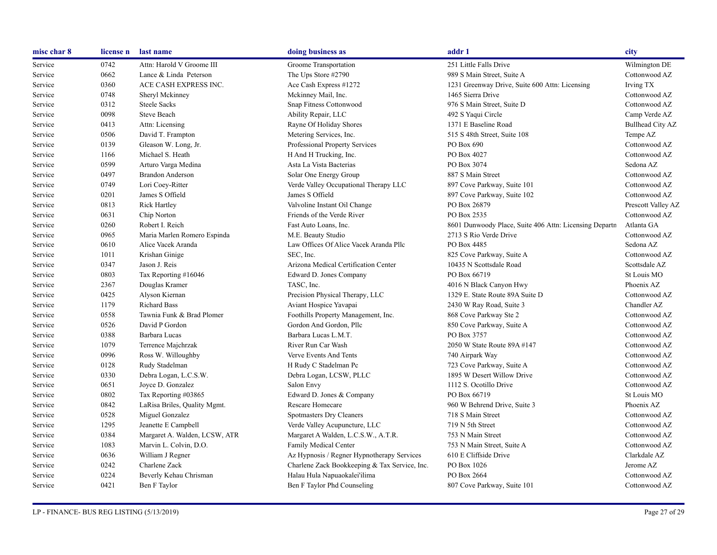| misc char 8 | license n | last name                     | doing business as                             | addr 1                                                 | city               |
|-------------|-----------|-------------------------------|-----------------------------------------------|--------------------------------------------------------|--------------------|
| Service     | 0742      | Attn: Harold V Groome III     | Groome Transportation                         | 251 Little Falls Drive                                 | Wilmington DE      |
| Service     | 0662      | Lance & Linda Peterson        | The Ups Store #2790                           | 989 S Main Street, Suite A                             | Cottonwood AZ      |
| Service     | 0360      | ACE CASH EXPRESS INC.         | Ace Cash Express #1272                        | 1231 Greenway Drive, Suite 600 Attn: Licensing         | Irving TX          |
| Service     | 0748      | Sheryl Mckinney               | Mckinney Mail, Inc.                           | 1465 Sierra Drive                                      | Cottonwood AZ      |
| Service     | 0312      | <b>Steele Sacks</b>           | Snap Fitness Cottonwood                       | 976 S Main Street, Suite D                             | Cottonwood AZ      |
| Service     | 0098      | Steve Beach                   | Ability Repair, LLC                           | 492 S Yaqui Circle                                     | Camp Verde AZ      |
| Service     | 0413      | Attn: Licensing               | Rayne Of Holiday Shores                       | 1371 E Baseline Road                                   | Bullhead City AZ   |
| Service     | 0506      | David T. Frampton             | Metering Services, Inc.                       | 515 S 48th Street, Suite 108                           | Tempe AZ           |
| Service     | 0139      | Gleason W. Long, Jr.          | Professional Property Services                | PO Box 690                                             | Cottonwood AZ      |
| Service     | 1166      | Michael S. Heath              | H And H Trucking, Inc.                        | PO Box 4027                                            | Cottonwood AZ      |
| Service     | 0599      | Arturo Varga Medina           | Asta La Vista Bacterias                       | PO Box 3074                                            | Sedona AZ          |
| Service     | 0497      | <b>Brandon Anderson</b>       | Solar One Energy Group                        | 887 S Main Street                                      | Cottonwood AZ      |
| Service     | 0749      | Lori Coey-Ritter              | Verde Valley Occupational Therapy LLC         | 897 Cove Parkway, Suite 101                            | Cottonwood AZ      |
| Service     | 0201      | James S Offield               | James S Offield                               | 897 Cove Parkway, Suite 102                            | Cottonwood AZ      |
| Service     | 0813      | <b>Rick Hartley</b>           | Valvoline Instant Oil Change                  | PO Box 26879                                           | Prescott Valley AZ |
| Service     | 0631      | Chip Norton                   | Friends of the Verde River                    | PO Box 2535                                            | Cottonwood AZ      |
| Service     | 0260      | Robert I. Reich               | Fast Auto Loans, Inc.                         | 8601 Dunwoody Place, Suite 406 Attn: Licensing Departn | Atlanta GA         |
| Service     | 0965      | Maria Marlen Romero Espinda   | M.E. Beauty Studio                            | 2713 S Rio Verde Drive                                 | Cottonwood AZ      |
| Service     | 0610      | Alice Vacek Aranda            | Law Offices Of Alice Vacek Aranda Pllc        | PO Box 4485                                            | Sedona AZ          |
| Service     | 1011      | Krishan Ginige                | SEC, Inc.                                     | 825 Cove Parkway, Suite A                              | Cottonwood AZ      |
| Service     | 0347      | Jason J. Reis                 | Arizona Medical Certification Center          | 10435 N Scottsdale Road                                | Scottsdale AZ      |
| Service     | 0803      | Tax Reporting #16046          | Edward D. Jones Company                       | PO Box 66719                                           | St Louis MO        |
| Service     | 2367      | Douglas Kramer                | TASC, Inc.                                    | 4016 N Black Canyon Hwy                                | Phoenix AZ         |
| Service     | 0425      | Alyson Kiernan                | Precision Physical Therapy, LLC               | 1329 E. State Route 89A Suite D                        | Cottonwood AZ      |
| Service     | 1179      | <b>Richard Bass</b>           | Aviant Hospice Yavapai                        | 2430 W Ray Road, Suite 3                               | Chandler AZ        |
| Service     | 0558      | Tawnia Funk & Brad Plomer     | Foothills Property Management, Inc.           | 868 Cove Parkway Ste 2                                 | Cottonwood AZ      |
| Service     | 0526      | David P Gordon                | Gordon And Gordon, Pllc                       | 850 Cove Parkway, Suite A                              | Cottonwood AZ      |
| Service     | 0388      | Barbara Lucas                 | Barbara Lucas L.M.T.                          | PO Box 3757                                            | Cottonwood AZ      |
| Service     | 1079      | Terrence Majchrzak            | River Run Car Wash                            | 2050 W State Route 89A #147                            | Cottonwood AZ      |
| Service     | 0996      | Ross W. Willoughby            | Verve Events And Tents                        | 740 Airpark Way                                        | Cottonwood AZ      |
| Service     | 0128      | Rudy Stadelman                | H Rudy C Stadelman Pc                         | 723 Cove Parkway, Suite A                              | Cottonwood AZ      |
| Service     | 0330      | Debra Logan, L.C.S.W.         | Debra Logan, LCSW, PLLC                       | 1895 W Desert Willow Drive                             | Cottonwood AZ      |
| Service     | 0651      | Joyce D. Gonzalez             | Salon Envy                                    | 1112 S. Ocotillo Drive                                 | Cottonwood AZ      |
| Service     | 0802      | Tax Reporting #03865          | Edward D. Jones & Company                     | PO Box 66719                                           | St Louis MO        |
| Service     | 0842      | LaRisa Briles, Quality Mgmt.  | Rescare Homecare                              | 960 W Behrend Drive, Suite 3                           | Phoenix AZ         |
| Service     | 0528      | Miguel Gonzalez               | Spotmasters Dry Cleaners                      | 718 S Main Street                                      | Cottonwood AZ      |
| Service     | 1295      | Jeanette E Campbell           | Verde Valley Acupuncture, LLC                 | 719 N 5th Street                                       | Cottonwood AZ      |
| Service     | 0384      | Margaret A. Walden, LCSW, ATR | Margaret A Walden, L.C.S.W., A.T.R.           | 753 N Main Street                                      | Cottonwood AZ      |
| Service     | 1083      | Marvin L. Colvin, D.O.        | Family Medical Center                         | 753 N Main Street, Suite A                             | Cottonwood AZ      |
| Service     | 0636      | William J Regner              | Az Hypnosis / Regner Hypnotherapy Services    | 610 E Cliffside Drive                                  | Clarkdale AZ       |
| Service     | 0242      | Charlene Zack                 | Charlene Zack Bookkeeping & Tax Service, Inc. | PO Box 1026                                            | Jerome AZ          |
| Service     | 0224      | Beverly Kehau Chrisman        | Halau Hula Napuaokalei'ilima                  | PO Box 2664                                            | Cottonwood AZ      |
| Service     | 0421      | Ben F Taylor                  | Ben F Taylor Phd Counseling                   | 807 Cove Parkway, Suite 101                            | Cottonwood AZ      |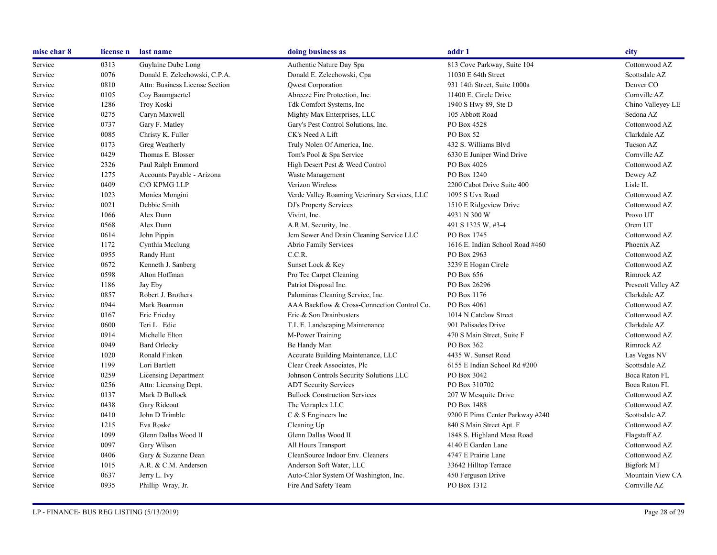| misc char 8 | license n | last name                      | doing business as                             | addr 1                          | city               |
|-------------|-----------|--------------------------------|-----------------------------------------------|---------------------------------|--------------------|
| Service     | 0313      | Guylaine Dube Long             | Authentic Nature Day Spa                      | 813 Cove Parkway, Suite 104     | Cottonwood AZ      |
| Service     | 0076      | Donald E. Zelechowski, C.P.A.  | Donald E. Zelechowski, Cpa                    | 11030 E 64th Street             | Scottsdale AZ      |
| Service     | 0810      | Attn: Business License Section | Qwest Corporation                             | 931 14th Street, Suite 1000a    | Denver CO          |
| Service     | 0105      | Coy Baumgaertel                | Abreeze Fire Protection, Inc.                 | 11400 E. Circle Drive           | Cornville AZ       |
| Service     | 1286      | <b>Troy Koski</b>              | Tdk Comfort Systems, Inc.                     | 1940 S Hwy 89, Ste D            | Chino Valleyey LE  |
| Service     | 0275      | Caryn Maxwell                  | Mighty Max Enterprises, LLC                   | 105 Abbott Road                 | Sedona AZ          |
| Service     | 0737      | Gary F. Matley                 | Gary's Pest Control Solutions, Inc.           | PO Box 4528                     | Cottonwood AZ      |
| Service     | 0085      | Christy K. Fuller              | CK's Need A Lift                              | PO Box 52                       | Clarkdale AZ       |
| Service     | 0173      | Greg Weatherly                 | Truly Nolen Of America, Inc.                  | 432 S. Williams Blvd            | Tucson AZ          |
| Service     | 0429      | Thomas E. Blosser              | Tom's Pool & Spa Service                      | 6330 E Juniper Wind Drive       | Cornville AZ       |
| Service     | 2326      | Paul Ralph Emmord              | High Desert Pest & Weed Control               | PO Box 4026                     | Cottonwood AZ      |
| Service     | 1275      | Accounts Payable - Arizona     | Waste Management                              | PO Box 1240                     | Dewey AZ           |
| Service     | 0409      | C/O KPMG LLP                   | Verizon Wireless                              | 2200 Cabot Drive Suite 400      | Lisle IL           |
| Service     | 1023      | Monica Mongini                 | Verde Valley Roaming Veterinary Services, LLC | 1095 S Uvx Road                 | Cottonwood AZ      |
| Service     | 0021      | Debbie Smith                   | DJ's Property Services                        | 1510 E Ridgeview Drive          | Cottonwood AZ      |
| Service     | 1066      | Alex Dunn                      | Vivint, Inc.                                  | 4931 N 300 W                    | Provo UT           |
| Service     | 0568      | Alex Dunn                      | A.R.M. Security, Inc.                         | 491 S 1325 W, #3-4              | Orem UT            |
| Service     | 0614      | John Pippin                    | Jcm Sewer And Drain Cleaning Service LLC      | PO Box 1745                     | Cottonwood AZ      |
| Service     | 1172      | Cynthia Mcclung                | Abrio Family Services                         | 1616 E. Indian School Road #460 | Phoenix AZ         |
| Service     | 0955      | Randy Hunt                     | C.C.R.                                        | PO Box 2963                     | Cottonwood AZ      |
| Service     | 0672      | Kenneth J. Sanberg             | Sunset Lock & Key                             | 3239 E Hogan Circle             | Cottonwood AZ      |
| Service     | 0598      | Alton Hoffman                  | Pro Tec Carpet Cleaning                       | PO Box 656                      | Rimrock AZ         |
| Service     | 1186      | Jay Eby                        | Patriot Disposal Inc.                         | PO Box 26296                    | Prescott Valley AZ |
| Service     | 0857      | Robert J. Brothers             | Palominas Cleaning Service, Inc.              | PO Box 1176                     | Clarkdale AZ       |
| Service     | 0944      | Mark Boarman                   | AAA Backflow & Cross-Connection Control Co.   | PO Box 4061                     | Cottonwood AZ      |
| Service     | 0167      | Eric Frieday                   | Eric & Son Drainbusters                       | 1014 N Catclaw Street           | Cottonwood AZ      |
| Service     | 0600      | Teri L. Edie                   | T.L.E. Landscaping Maintenance                | 901 Palisades Drive             | Clarkdale AZ       |
| Service     | 0914      | Michelle Elton                 | M-Power Training                              | 470 S Main Street, Suite F      | Cottonwood AZ      |
| Service     | 0949      | <b>Bard Orlecky</b>            | Be Handy Man                                  | PO Box 362                      | Rimrock AZ         |
| Service     | 1020      | Ronald Finken                  | Accurate Building Maintenance, LLC            | 4435 W. Sunset Road             | Las Vegas NV       |
| Service     | 1199      | Lori Bartlett                  | Clear Creek Associates, Plc                   | 6155 E Indian School Rd #200    | Scottsdale AZ      |
| Service     | 0259      | <b>Licensing Department</b>    | Johnson Controls Security Solutions LLC       | PO Box 3042                     | Boca Raton FL      |
| Service     | 0256      | Attn: Licensing Dept.          | <b>ADT Security Services</b>                  | PO Box 310702                   | Boca Raton FL      |
| Service     | 0137      | Mark D Bullock                 | <b>Bullock Construction Services</b>          | 207 W Mesquite Drive            | Cottonwood AZ      |
| Service     | 0438      | Gary Rideout                   | The Vetraplex LLC                             | PO Box 1488                     | Cottonwood AZ      |
| Service     | 0410      | John D Trimble                 | $C & S$ Engineers Inc                         | 9200 E Pima Center Parkway #240 | Scottsdale AZ      |
| Service     | 1215      | Eva Roske                      | Cleaning Up                                   | 840 S Main Street Apt. F        | Cottonwood AZ      |
| Service     | 1099      | Glenn Dallas Wood II           | Glenn Dallas Wood II                          | 1848 S. Highland Mesa Road      | Flagstaff AZ       |
| Service     | 0097      | Gary Wilson                    | All Hours Transport                           | 4140 E Garden Lane              | Cottonwood AZ      |
| Service     | 0406      | Gary & Suzanne Dean            | CleanSource Indoor Env. Cleaners              | 4747 E Prairie Lane             | Cottonwood AZ      |
| Service     | 1015      | A.R. & C.M. Anderson           | Anderson Soft Water, LLC                      | 33642 Hilltop Terrace           | <b>Bigfork MT</b>  |
| Service     | 0637      | Jerry L. Ivy                   | Auto-Chlor System Of Washington, Inc.         | 450 Ferguson Drive              | Mountain View CA   |
| Service     | 0935      | Phillip Wray, Jr.              | Fire And Safety Team                          | PO Box 1312                     | Cornville AZ       |